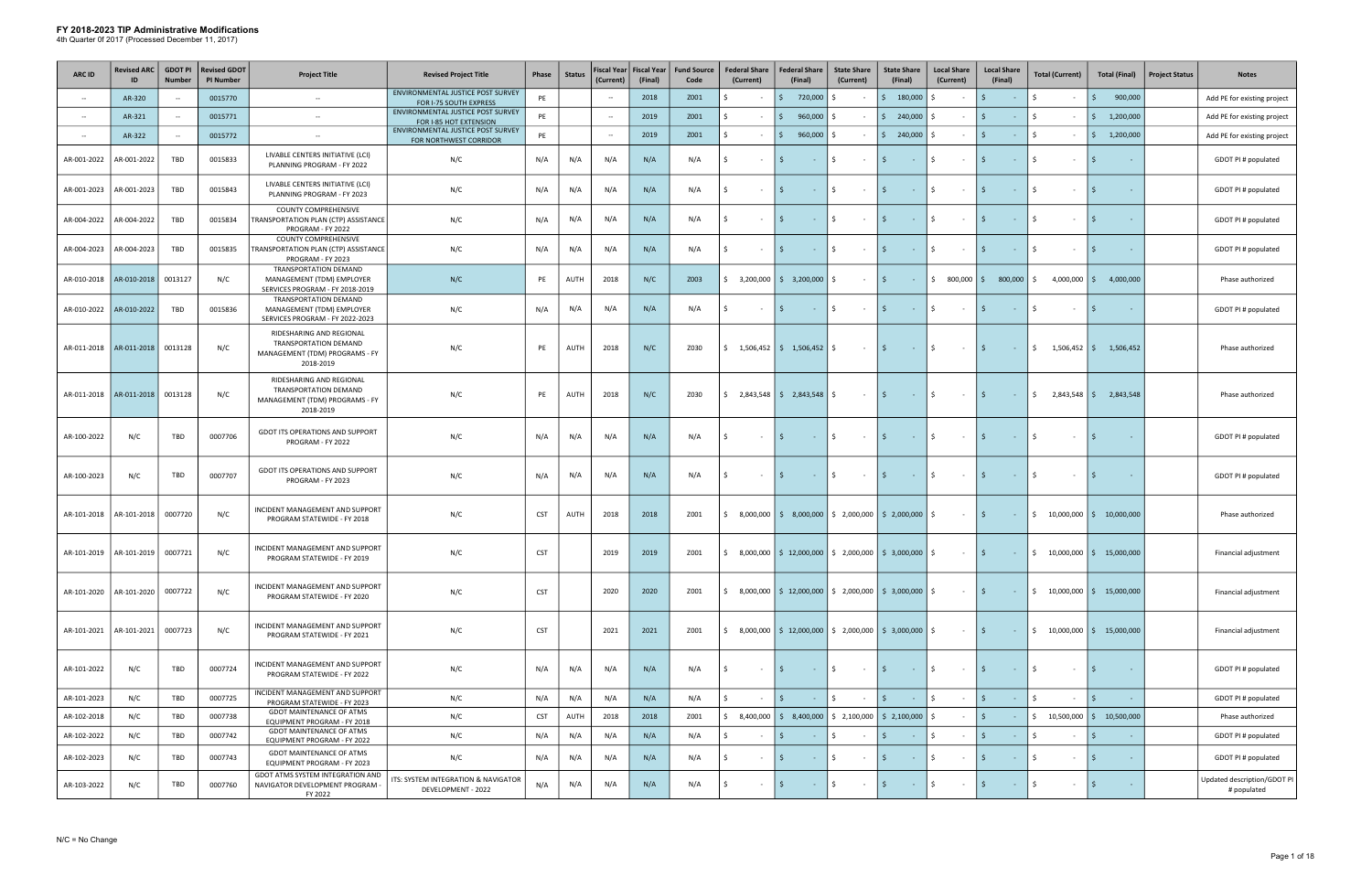| <b>ARC ID</b> | <b>Revised ARC</b>        | <b>GDOT PI</b><br><b>Number</b> | <b>Revised GDOT</b><br><b>PI Number</b> | <b>Project Title</b>                                                                             | <b>Revised Project Title</b>                                | Phase      | <b>Status</b> | Fiscal Year   Fiscal Year<br>(Current) | (Final) | <b>Fund Source</b><br>Code | <b>Federal Share</b><br>(Current) | <b>Federal Share</b><br>(Final)                                                                                | <b>State Share</b><br>(Current) | <b>State Share</b><br>(Final)                                         | <b>Local Share</b><br>(Current) | <b>Local Share</b><br>(Final)                | <b>Total (Current)</b>           | <b>Total (Final)</b>                              | <b>Project Status</b> | <b>Notes</b>                               |
|---------------|---------------------------|---------------------------------|-----------------------------------------|--------------------------------------------------------------------------------------------------|-------------------------------------------------------------|------------|---------------|----------------------------------------|---------|----------------------------|-----------------------------------|----------------------------------------------------------------------------------------------------------------|---------------------------------|-----------------------------------------------------------------------|---------------------------------|----------------------------------------------|----------------------------------|---------------------------------------------------|-----------------------|--------------------------------------------|
|               | AR-320                    | $\overline{\phantom{a}}$        | 0015770                                 | $\sim$                                                                                           | ENVIRONMENTAL JUSTICE POST SURVEY<br>FOR I-75 SOUTH EXPRESS | PE         |               | $\overline{\phantom{a}}$               | 2018    | Z001                       |                                   | 720,000                                                                                                        | Ś.                              | \$180,000                                                             |                                 | $\mathsf{S}$                                 | Ŝ.<br>$\overline{\phantom{a}}$   | 900,000<br>S.                                     |                       | Add PE for existing project                |
| $\sim$        | AR-321                    | $\sim$                          | 0015771                                 | $\sim$                                                                                           | ENVIRONMENTAL JUSTICE POST SURVEY<br>FOR I-85 HOT EXTENSION | PE         |               | $\overline{\phantom{a}}$               | 2019    | Z001                       | $\sim$                            | 960,000<br>Ŝ.                                                                                                  | Ŝ.                              | $\frac{1}{2}$ 240,000                                                 | Ŝ.                              | $\mathsf{S}$<br>$\sim$                       | Ŝ.<br>$\sim$                     | 1,200,000<br>S.                                   |                       | Add PE for existing project                |
| $\sim$        | AR-322                    | $\sim$                          | 0015772                                 | $\sim$                                                                                           | ENVIRONMENTAL JUSTICE POST SURVEY<br>FOR NORTHWEST CORRIDOR | PE         |               | ÷,                                     | 2019    | Z001                       |                                   | 960,000<br>S.                                                                                                  |                                 | \$240,000                                                             |                                 | S.<br>$\sim$                                 | Ŝ.<br>$\sim$                     | 1,200,000<br>I\$.                                 |                       | Add PE for existing project                |
| AR-001-2022   | AR-001-2022               | TBD                             | 0015833                                 | LIVABLE CENTERS INITIATIVE (LCI)<br>PLANNING PROGRAM - FY 2022                                   | N/C                                                         | N/A        | N/A           | N/A                                    | N/A     | N/A                        | $\sim$                            | $\sim$ $-$                                                                                                     | Ś.<br>$\sim$ $-$                | S.<br>$\sim 100$                                                      | Ś.<br>$\sim$                    | Ŝ.<br>$\sim 10$                              | Ŝ.<br>$\sim$                     | $\zeta$                                           |                       | GDOT PI # populated                        |
| AR-001-2023   | AR-001-2023               | TBD                             | 0015843                                 | LIVABLE CENTERS INITIATIVE (LCI)<br>PLANNING PROGRAM - FY 2023                                   | N/C                                                         | N/A        | N/A           | N/A                                    | N/A     | N/A                        | Ŝ.<br>$\sim$ $-$                  | \$<br>$\sim 10^{-10}$                                                                                          | \$<br>$\sim 100$                | l \$<br>$\mathcal{L}^{\mathcal{L}}$ and $\mathcal{L}^{\mathcal{L}}$ . | \$<br>$\sim 10^{-1}$            | l \$<br>$\sim 10^{-10}$                      | \$<br>$\sim$                     | I \$                                              |                       | GDOT PI # populated                        |
| AR-004-2022   | AR-004-2022               | TBD                             | 0015834                                 | <b>COUNTY COMPREHENSIVE</b><br>TRANSPORTATION PLAN (CTP) ASSISTANCE<br>PROGRAM - FY 2022         | N/C                                                         | N/A        | N/A           | N/A                                    | N/A     | N/A                        | Ŝ.<br>$\sim$                      |                                                                                                                | Ś.<br>$\sim$                    | 5<br>$\sim$ $-$                                                       | Ś.<br>$\sim$                    | S.<br><b>Section</b>                         | Ŝ.<br>$\sim$                     | I\$.                                              |                       | GDOT PI # populated                        |
| AR-004-2023   | AR-004-2023               | TBD                             | 0015835                                 | <b>COUNTY COMPREHENSIVE</b><br>TRANSPORTATION PLAN (CTP) ASSISTANCE<br>PROGRAM - FY 2023         | N/C                                                         | N/A        | N/A           | N/A                                    | N/A     | N/A                        | Ŝ.<br>$\sim$                      | $\mathsf{S}$<br>$\sim 10^{-10}$                                                                                | $\frac{1}{2}$<br>$\sim$ $-$     | l \$<br>$\sim 100$                                                    | \$<br>$\sim$                    | l \$<br>$\sim 10^{-1}$                       | Ŝ.<br>$\sim$                     | l \$                                              |                       | GDOT PI # populated                        |
| AR-010-2018   | AR-010-2018               | 0013127                         | N/C                                     | TRANSPORTATION DEMAND<br>MANAGEMENT (TDM) EMPLOYER<br>SERVICES PROGRAM - FY 2018-2019            | N/C                                                         | PE         | AUTH          | 2018                                   | N/C     | Z003                       | Ś.                                | $3,200,000$ $\binom{6}{5}$ $3,200,000$                                                                         | Ś.<br>$\sim$                    | l \$ l<br>$\sim 10$                                                   | $$800,000$ \$                   | 800,000                                      | $4,000,000$ \$<br>-S             | 4,000,000                                         |                       | Phase authorized                           |
| AR-010-2022   | AR-010-2022               | <b>TBD</b>                      | 0015836                                 | TRANSPORTATION DEMAND<br>MANAGEMENT (TDM) EMPLOYER<br>SERVICES PROGRAM - FY 2022-2023            | N/C                                                         | N/A        | N/A           | N/A                                    | N/A     | N/A                        | Ŝ.<br>$\sim$ $-$                  | \$<br><b>Contract</b>                                                                                          | \$<br>$\sim 10^{-1}$            | l \$<br><b>Contract</b>                                               | \$<br>$\sim 10^{-1}$            | $\mathsf{S}$<br>$\sim 10^{-1}$               | Ŝ.<br>$\sim$                     | S.<br>$\sim$                                      |                       | GDOT PI # populated                        |
| AR-011-2018   | AR-011-2018               | 0013128                         | N/C                                     | RIDESHARING AND REGIONAL<br>TRANSPORTATION DEMAND<br>MANAGEMENT (TDM) PROGRAMS - FY<br>2018-2019 | N/C                                                         | PE         | AUTH          | 2018                                   | N/C     | Z030                       |                                   |                                                                                                                | \$<br>$\sim 100$                | l \$ l<br><b>Contractor</b>                                           | I\$<br>$\sim 100$               | I\$.<br><b>Contract</b>                      |                                  | $\frac{1}{2}$ 1,506,452 $\frac{1}{2}$ 1,506,452   |                       | Phase authorized                           |
| AR-011-2018   | AR-011-2018               | 0013128                         | N/C                                     | RIDESHARING AND REGIONAL<br>TRANSPORTATION DEMAND<br>MANAGEMENT (TDM) PROGRAMS - FY<br>2018-2019 | N/C                                                         | PE         | AUTH          | 2018                                   | N/C     | Z030                       |                                   | $\frac{1}{2}$ , 2,843,548 $\frac{1}{2}$ , 2,843,548                                                            | Ŝ.<br>$\sim 10^{-11}$           | l \$ l<br><b>Contractor</b>                                           | \$<br>$\sim 100$                | I\$.<br>$\sim 10^{-1}$                       |                                  | $\frac{1}{2}$ , 2,843,548 $\frac{1}{2}$ 2,843,548 |                       | Phase authorized                           |
| AR-100-2022   | N/C                       | TBD                             | 0007706                                 | GDOT ITS OPERATIONS AND SUPPORT<br>PROGRAM - FY 2022                                             | N/C                                                         | N/A        | N/A           | N/A                                    | N/A     | N/A                        | Ŝ.<br>$\sim$                      | \$<br><b>Contract</b>                                                                                          | Ŝ.<br>$\sim 100$                | l \$<br><b>Contract</b>                                               | \$<br>$\sim 100$                | \$<br>$\sim 10^{-1}$                         | Ŝ.<br>$\sim$                     | IS.<br>$\sim$                                     |                       | GDOT PI # populated                        |
| AR-100-2023   | N/C                       | <b>TBD</b>                      | 0007707                                 | <b>GDOT ITS OPERATIONS AND SUPPORT</b><br>PROGRAM - FY 2023                                      | N/C                                                         | N/A        | N/A           | N/A                                    | N/A     | N/A                        | Ŝ.<br>$\sim$                      | S.<br>$\sim 10$                                                                                                | \$<br>$\sim 10^{-1}$            | l \$<br>$\sim 100$                                                    | \$<br>$\sim$ $-$                | \$<br>$\sim 10^{-1}$                         | Ŝ.<br>$\sim$                     | I \$                                              |                       | GDOT PI # populated                        |
| AR-101-2018   | AR-101-2018               | 0007720                         | N/C                                     | INCIDENT MANAGEMENT AND SUPPORT<br>PROGRAM STATEWIDE - FY 2018                                   | N/C                                                         | <b>CST</b> | AUTH          | 2018                                   | 2018    | Z001                       | Ŝ.                                | $8,000,000$ $\leq$ 8,000,000                                                                                   |                                 | $\frac{1}{2}$ ,000,000 $\frac{1}{2}$ ,000,000 $\frac{1}{2}$           | $\sim$                          | I\$<br>$\sim 10^{-1}$                        | Ŝ.<br>$10,000,000$ $\frac{1}{5}$ | 10,000,000                                        |                       | Phase authorized                           |
|               | AR-101-2019   AR-101-2019 | 0007721                         | N/C                                     | INCIDENT MANAGEMENT AND SUPPORT<br>PROGRAM STATEWIDE - FY 2019                                   | N/C                                                         | <b>CST</b> |               | 2019                                   | 2019    | Z001                       |                                   | $\frac{1}{2}$ 8,000,000 $\frac{1}{2}$ 12,000,000 $\frac{1}{2}$ 2,000,000 $\frac{1}{2}$ 3,000,000 $\frac{1}{2}$ |                                 |                                                                       | $\sim$ $-$                      | $\vert$ \$<br>$\alpha$ , $\alpha$ , $\alpha$ |                                  | $\frac{10,000,000}{15,000,000}$ \$ 15,000,000     |                       | Financial adjustment                       |
| AR-101-2020   | AR-101-2020               | 0007722                         | N/C                                     | INCIDENT MANAGEMENT AND SUPPORT<br>PROGRAM STATEWIDE - FY 2020                                   | N/C                                                         | <b>CST</b> |               | 2020                                   | 2020    | Z001                       |                                   | $\frac{1}{2}$ 8,000,000 $\frac{1}{2}$ 12,000,000 $\frac{1}{2}$ 2,000,000 $\frac{1}{2}$ 3,000,000 $\frac{1}{2}$ |                                 |                                                                       | $\sim$ 10 $\pm$                 | l \$<br>$\sim 100$                           |                                  | $\frac{10,000,000}{5}$ 15,000,000                 |                       | Financial adjustment                       |
| AR-101-2021   | AR-101-2021               | 0007723                         | N/C                                     | INCIDENT MANAGEMENT AND SUPPORT<br>PROGRAM STATEWIDE - FY 2021                                   | N/C                                                         | <b>CST</b> |               | 2021                                   | 2021    | Z001                       |                                   | $\frac{1}{2}$ 8,000,000 $\frac{1}{2}$ 12,000,000 $\frac{1}{2}$ 2,000,000 $\frac{1}{2}$ 3,000,000 $\frac{1}{2}$ |                                 |                                                                       | $\sim$ $-$                      | I\$.<br>$\sim 10^{-10}$                      |                                  | $\frac{10,000,000}{15,000,000}$ \$ 15,000,000     |                       | Financial adjustment                       |
| AR-101-2022   | N/C                       | TBD                             | 0007724                                 | INCIDENT MANAGEMENT AND SUPPORT<br>PROGRAM STATEWIDE - FY 2022                                   | N/C                                                         | N/A        | N/A           | N/A                                    | N/A     | N/A                        | Ŝ.<br>$\sim$ $-$                  | $\sim 10^{-11}$                                                                                                | \$<br>$\sim 100$                | l \$<br><b>Contractor</b>                                             | \$<br>$\sim 10^{-11}$           | I\$<br>$\sim 100$                            | Ŝ.<br>$\sim$                     | IS.                                               |                       | GDOT PI # populated                        |
| AR-101-2023   | N/C                       | TBD                             | 0007725                                 | INCIDENT MANAGEMENT AND SUPPORT<br>PROGRAM STATEWIDE - FY 2023                                   | N/C                                                         | N/A        | N/A           | N/A                                    | N/A     | N/A                        | Ŝ.<br>$\sim$ $-$                  | Ŝ.<br>$\sim 100$ km s $^{-1}$                                                                                  | $\mathsf{S}$<br>$\sim$          | 5<br>$\sim 10$                                                        | Ś.                              | $\mathsf{S}$<br>$\sim 10^{-1}$               | Ŝ.<br>$\sim$                     | l \$<br>$\sim$ $ \sim$                            |                       | GDOT PI # populated                        |
| AR-102-2018   | N/C                       | TBD                             | 0007738                                 | GDOT MAINTENANCE OF ATMS<br>EQUIPMENT PROGRAM - FY 2018                                          | N/C                                                         | <b>CST</b> | <b>AUTH</b>   | 2018                                   | 2018    | Z001                       | Ś.                                | $8,400,000$ \$ $8,400,000$ \$ 2,100,000 \$ 2,100,000                                                           |                                 |                                                                       |                                 | S.                                           | S.                               | $10,500,000$ \$ 10,500,000                        |                       | Phase authorized                           |
| AR-102-2022   | N/C                       | TBD                             | 0007742                                 | <b>GDOT MAINTENANCE OF ATMS</b><br>EQUIPMENT PROGRAM - FY 2022                                   | N/C                                                         | N/A        | N/A           | N/A                                    | N/A     | N/A                        | Ŝ.<br>$\sim$                      | $\sim$ $ \sim$                                                                                                 | Ś.<br>$\sim$                    | 5<br>$\sim 10$                                                        | \$<br>$\sim$                    | $\frac{1}{2}$<br>$\sim$ $-$                  | Ŝ.<br>$\sim$                     | I \$                                              |                       | GDOT PI # populated                        |
| AR-102-2023   | N/C                       | TBD                             | 0007743                                 | <b>GDOT MAINTENANCE OF ATMS</b><br>EQUIPMENT PROGRAM - FY 2023                                   | N/C                                                         | N/A        | N/A           | N/A                                    | N/A     | N/A                        | $\sim$                            |                                                                                                                | Ś.<br>$\sim$                    | \$<br><b>Contract</b>                                                 | S.<br>$\sim$                    | S.<br>$\sim 10^{-10}$                        | S.<br>$\sim$                     | IS.                                               |                       | GDOT PI # populated                        |
| AR-103-2022   | N/C                       | TBD                             | 0007760                                 | GDOT ATMS SYSTEM INTEGRATION AND<br>NAVIGATOR DEVELOPMENT PROGRAM -<br>FY 2022                   | ITS: SYSTEM INTEGRATION & NAVIGATOR<br>DEVELOPMENT - 2022   | N/A        | N/A           | N/A                                    | N/A     | N/A                        | \$<br>$\sim$                      | S.<br><b>Contract</b>                                                                                          | \$<br>$\sim$ $ \sim$            | \$<br>$\sim 100$                                                      | \$<br>$\sim$                    | S.<br>$\sim 100$                             | Ŝ.<br>$\sim$                     | IS.<br>$\sim$ $-$                                 |                       | Updated description/GDOT PI<br># populated |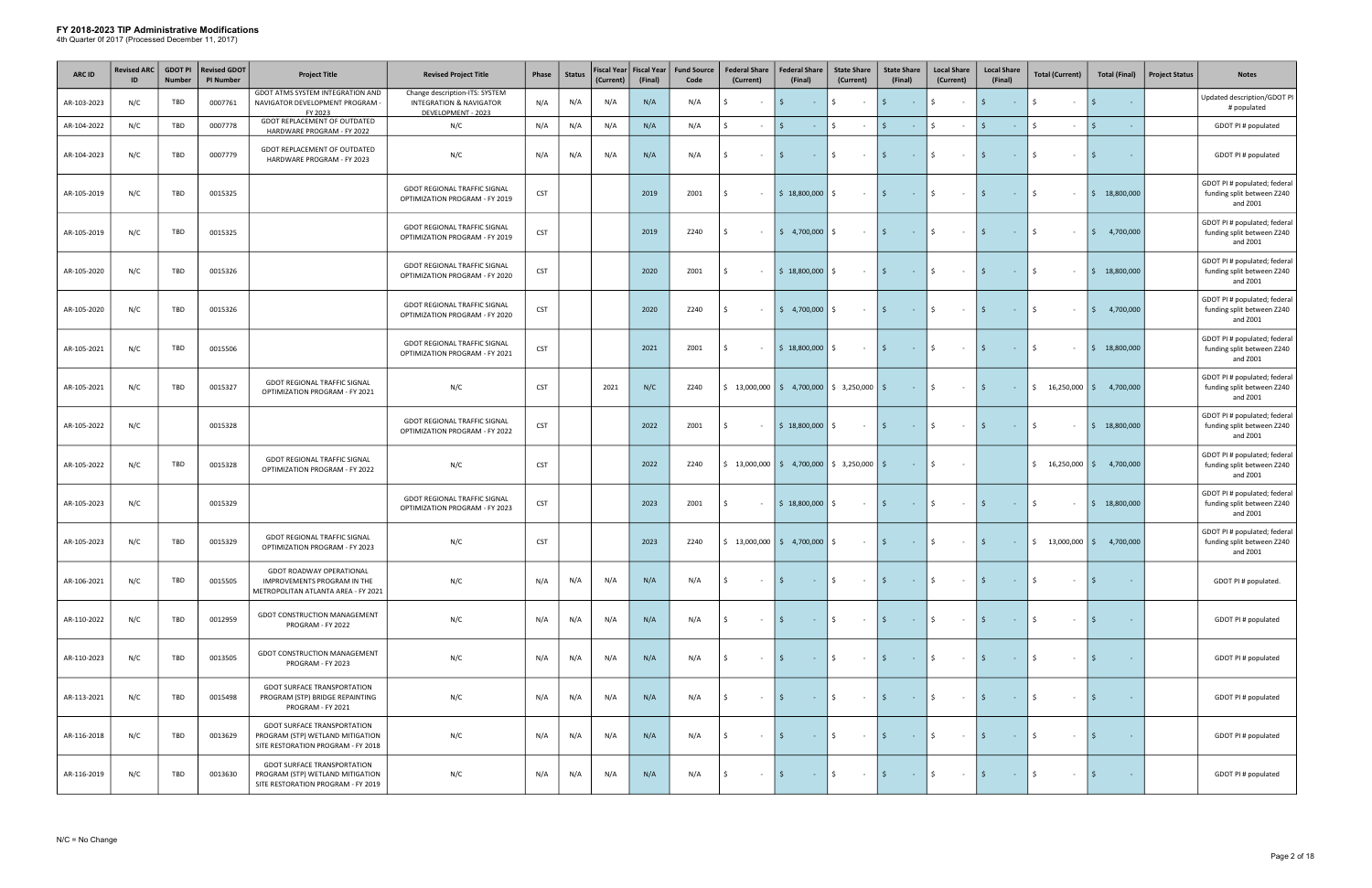| <b>ARC ID</b> | <b>Revised ARC</b> | <b>GDOT PI</b><br><b>Number</b> | <b>Revised GDOT</b><br><b>PI Number</b> | <b>Project Title</b>                                                                                         | <b>Revised Project Title</b>                                                               | Phase      | <b>Status</b> | Fiscal Year<br>(Current) | <b>Fiscal Year</b><br>(Final) | <b>Fund Source</b><br>Code | <b>Federal Share</b><br>(Current) | <b>Federal Share</b><br>(Final)                                                        | <b>State Share</b><br>(Current) | <b>State Share</b><br>(Final)                             | <b>Local Share</b><br>(Current)   | <b>Local Share</b><br>(Final)   | <b>Total (Current)</b>                           | <b>Total (Final)</b>     | <b>Project Status</b> | <b>Notes</b>                                                           |
|---------------|--------------------|---------------------------------|-----------------------------------------|--------------------------------------------------------------------------------------------------------------|--------------------------------------------------------------------------------------------|------------|---------------|--------------------------|-------------------------------|----------------------------|-----------------------------------|----------------------------------------------------------------------------------------|---------------------------------|-----------------------------------------------------------|-----------------------------------|---------------------------------|--------------------------------------------------|--------------------------|-----------------------|------------------------------------------------------------------------|
| AR-103-2023   | N/C                | TBD                             | 0007761                                 | GDOT ATMS SYSTEM INTEGRATION AND<br>NAVIGATOR DEVELOPMENT PROGRAM<br>FY 2023                                 | Change description-ITS: SYSTEM<br><b>INTEGRATION &amp; NAVIGATOR</b><br>DEVELOPMENT - 2023 | N/A        | N/A           | N/A                      | N/A                           | N/A                        | Ŝ.<br>$\sim$                      | $\sim 10$                                                                              | \$<br>$\sim$ $-$                | $\mathsf{S}$<br>$\sim 10^{-1}$                            | \$<br>$\sim$                      | S.<br>$\sim 10^{-1}$            | Ŝ.<br>$\sim$                                     | l \$<br>$\sim$           |                       | Updated description/GDOT PI<br># populated                             |
| AR-104-2022   | N/C                | TBD                             | 0007778                                 | GDOT REPLACEMENT OF OUTDATED<br>HARDWARE PROGRAM - FY 2022                                                   | N/C                                                                                        | N/A        | N/A           | N/A                      | N/A                           | N/A                        | Ŝ.                                | S.<br>$\sim 10$                                                                        | $\mathsf{S}$                    | $\mathsf{S}$<br>$\sim 10^{-1}$                            | $\mathsf{\$}$                     | S.<br>$\sim$                    | Ŝ.<br>$\sim$                                     | l s<br>$\sim$            |                       | GDOT PI # populated                                                    |
| AR-104-2023   | N/C                | TBD                             | 0007779                                 | GDOT REPLACEMENT OF OUTDATED<br>HARDWARE PROGRAM - FY 2023                                                   | N/C                                                                                        | N/A        | N/A           | N/A                      | N/A                           | N/A                        | Ŝ.<br>$\sim$                      | $\sim 10$                                                                              | \$<br>$\sim 10^{-1}$            | $\mathsf{S}$<br>$\sim 10^{-1}$                            | \$<br>$\sim$ $-$                  | $\mathsf{S}$<br>$\sim 10^{-1}$  | $\zeta$<br>$\sim$                                | ۱s<br>$\sim$             |                       | GDOT PI # populated                                                    |
| AR-105-2019   | N/C                | TBD                             | 0015325                                 |                                                                                                              | <b>GDOT REGIONAL TRAFFIC SIGNAL</b><br>OPTIMIZATION PROGRAM - FY 2019                      | <b>CST</b> |               |                          | 2019                          | Z001                       | Ŝ.                                | $$18,800,000$ $$$                                                                      | $\sim 10^{-1}$                  | $\mathsf{S}$<br>$\sim 100$ km s $^{-1}$                   | \$<br>$\sim 100$                  | $\mathsf{S}$<br>$\sim 10^{-1}$  | Ŝ.<br>$\sim$                                     | 18,800,000<br>IS.        |                       | GDOT PI # populated; federal<br>funding split between Z240<br>and Z001 |
| AR-105-2019   | N/C                | TBD                             | 0015325                                 |                                                                                                              | <b>GDOT REGIONAL TRAFFIC SIGNAL</b><br>OPTIMIZATION PROGRAM - FY 2019                      | <b>CST</b> |               |                          | 2019                          | Z240                       |                                   | $\frac{1}{2}$ 4,700,000 $\frac{1}{2}$                                                  | $\sim$ $-$                      | $\mathsf{S}$<br><b>Contract</b>                           | $\mathsf{S}$<br>$\sim 10^{-1}$    | $\mathsf{S}$<br>$\sim 100$      | S.<br>$\sim$                                     | I\$.<br>4,700,000        |                       | GDOT PI # populated; federal<br>funding split between Z240<br>and Z001 |
| AR-105-2020   | N/C                | TBD                             | 0015326                                 |                                                                                                              | GDOT REGIONAL TRAFFIC SIGNAL<br>OPTIMIZATION PROGRAM - FY 2020                             | <b>CST</b> |               |                          | 2020                          | Z001                       | Ŝ.<br>$\sim$                      | $$18,800,000$ $$$                                                                      | $\sim 100$                      | $\vert$ \$<br><b>Contractor</b>                           | $\vert$ \$<br>$\sim 100$          | l \$<br>$\sim 100$              | S.<br>$\sim$                                     | 5 18,800,000             |                       | GDOT PI # populated; federal<br>funding split between Z240<br>and Z001 |
| AR-105-2020   | N/C                | TBD                             | 0015326                                 |                                                                                                              | <b>GDOT REGIONAL TRAFFIC SIGNAL</b><br>OPTIMIZATION PROGRAM - FY 2020                      | <b>CST</b> |               |                          | 2020                          | Z240                       |                                   | $\frac{1}{2}$ 4,700,000 \$                                                             | $\sim$ $-$                      | $\mathsf{S}$<br><b>Contract</b>                           | \$<br>$\sim$ $-$                  | \$<br>$\sim 10^{-1}$            | Ŝ.<br>$\sim$                                     | I \$<br>4,700,000        |                       | GDOT PI # populated; federal<br>funding split between Z240<br>and Z001 |
| AR-105-2021   | N/C                | TBD                             | 0015506                                 |                                                                                                              | <b>GDOT REGIONAL TRAFFIC SIGNAL</b><br>OPTIMIZATION PROGRAM - FY 2021                      | <b>CST</b> |               |                          | 2021                          | Z001                       | Ŝ.<br>$\sim$                      | $$18,800,000$ $$$                                                                      | $\sim 10^{-1}$                  | $\mathsf{S}$<br>$\alpha$ , $\alpha$ , $\alpha$ , $\alpha$ | \$<br>$\sim 100$                  | $\mathsf{S}$<br>$\sim 10^{-1}$  | S.<br>$\sim$                                     | $\frac{1}{2}$ 18,800,000 |                       | GDOT PI # populated; federal<br>funding split between Z240<br>and Z001 |
| AR-105-2021   | N/C                | TBD                             | 0015327                                 | <b>GDOT REGIONAL TRAFFIC SIGNAL</b><br>OPTIMIZATION PROGRAM - FY 2021                                        | N/C                                                                                        | <b>CST</b> |               | 2021                     | N/C                           | Z240                       |                                   | $\frac{1}{2}$ 13,000,000 $\frac{1}{2}$ 4,700,000 $\frac{1}{2}$ 3,250,000 $\frac{1}{2}$ |                                 | $\sim 10^{-11}$                                           | \$<br>$\sim 100$                  | I\$.<br>$\sim 100$ km s $^{-1}$ | $\frac{1}{2}$ 16,250,000 $\frac{1}{2}$ 4,700,000 |                          |                       | GDOT PI # populated; federal<br>funding split between Z240<br>and Z001 |
| AR-105-2022   | N/C                |                                 | 0015328                                 |                                                                                                              | <b>GDOT REGIONAL TRAFFIC SIGNAL</b><br>OPTIMIZATION PROGRAM - FY 2022                      | <b>CST</b> |               |                          | 2022                          | Z001                       | \$<br>$\sim$ $-$                  | $$18,800,000$ $$$                                                                      | $\sim 100$                      | $\mathsf{S}$<br><b>Contact Contact</b>                    | $\mathsf{S}$<br>$\sim 100$        | I\$.<br>$\sim 100$              | S.<br>$\sim$                                     | 5 18,800,000             |                       | GDOT PI # populated; federal<br>funding split between Z240<br>and Z001 |
| AR-105-2022   | N/C                | TBD                             | 0015328                                 | <b>GDOT REGIONAL TRAFFIC SIGNAL</b><br>OPTIMIZATION PROGRAM - FY 2022                                        | N/C                                                                                        | <b>CST</b> |               |                          | 2022                          | Z240                       |                                   | $\frac{1}{2}$ 13,000,000 $\frac{1}{2}$ 4,700,000 $\frac{1}{2}$ 3,250,000 $\frac{1}{2}$ |                                 | $\sim 100$                                                | ls.<br>$\sim 100$                 |                                 | $$16,250,000$ $$$                                | 4,700,000                |                       | GDOT PI # populated; federal<br>funding split between Z240<br>and Z001 |
| AR-105-2023   | N/C                |                                 | 0015329                                 |                                                                                                              | <b>GDOT REGIONAL TRAFFIC SIGNAL</b><br>OPTIMIZATION PROGRAM - FY 2023                      | <b>CST</b> |               |                          | 2023                          | Z001                       | Ŝ.<br>$\sim$                      | $$18,800,000$ $$$                                                                      | $\sim 100$                      | $\mathsf{S}$<br><b>Contact Contact</b>                    | I \$<br>$\sim 100$                | l \$<br>$\sim 10^{-10}$         | \$<br>$\sim$                                     | $\frac{1}{2}$ 18,800,000 |                       | GDOT PI # populated; federal<br>funding split between Z240<br>and Z001 |
| AR-105-2023   | N/C                | TBD                             | 0015329                                 | <b>GDOT REGIONAL TRAFFIC SIGNAL</b><br>OPTIMIZATION PROGRAM - FY 2023                                        | N/C                                                                                        | <b>CST</b> |               |                          | 2023                          | Z240                       |                                   | $\frac{1}{2}$ 13,000,000 $\frac{1}{2}$ 4,700,000 $\frac{1}{2}$                         | $\sim 10^{-11}$                 | $\mathsf{S}$<br><b>Contractor</b>                         | $\ddot{\mathsf{S}}$<br>$\sim 100$ | I\$<br>$\sim 10^{-10}$          | $\frac{1}{2}$ 13,000,000 $\frac{1}{2}$ 4,700,000 |                          |                       | GDOT PI # populated; federal<br>funding split between Z240<br>and Z001 |
| AR-106-2021   | N/C                | TBD                             | 0015505                                 | <b>GDOT ROADWAY OPERATIONAL</b><br>IMPROVEMENTS PROGRAM IN THE<br>METROPOLITAN ATLANTA AREA - FY 2021        | N/C                                                                                        | N/A        | N/A           | N/A                      | N/A                           | N/A                        | 5<br>$\sim$                       | <b>Contract</b>                                                                        | \$<br>$\sim 100$                | $\mathsf{S}$<br>$\sim 100$ km s $^{-1}$                   | \$<br>$\sim 10^{-1}$              | $\mathsf{S}$<br>$\sim 100$      | Ŝ.<br>$\sim$                                     | I \$<br>$\sim 10^{-1}$   |                       | GDOT PI # populated.                                                   |
| AR-110-2022   | N/C                | TBD                             | 0012959                                 | <b>GDOT CONSTRUCTION MANAGEMENT</b><br>PROGRAM - FY 2022                                                     | N/C                                                                                        | N/A        | N/A           | N/A                      | N/A                           | N/A                        | S.<br>$\sim$                      | I\$.<br>$\sim 10$                                                                      | \$<br>$\sim$ $-$                | $\mathsf{S}$<br>$\sim 100$                                | $\frac{1}{2}$<br>$\sim$ $-$       | $\mathsf{S}$<br>$\sim 10^{-1}$  | Ŝ.<br>$\sim$                                     | l \$<br>$\sim$           |                       | GDOT PI # populated                                                    |
| AR-110-2023   | N/C                | TBD                             | 0013505                                 | GDOT CONSTRUCTION MANAGEMENT<br>PROGRAM - FY 2023                                                            | N/C                                                                                        | N/A        | N/A           | N/A                      | N/A                           | N/A                        | Ŝ.<br>$\sim$ $-$                  | $\sim 10$                                                                              | \$<br>$\sim$ $-$                | $\mathsf{S}$<br>$\sim 10^{-1}$                            | $\mathsf{S}^-$<br>$\sim$ $-$      | S.<br>$\sim 10^{-1}$            | Ŝ.<br>$\sim$                                     | ۱s<br>$\sim$             |                       | GDOT PI # populated                                                    |
| AR-113-2021   | N/C                | TBD                             | 0015498                                 | <b>GDOT SURFACE TRANSPORTATION</b><br>PROGRAM (STP) BRIDGE REPAINTING<br>PROGRAM - FY 2021                   | N/C                                                                                        | N/A        | N/A           | N/A                      | N/A                           | N/A                        |                                   | $\sim 10^{-1}$                                                                         | \$<br>$\sim$ $-$                | $\mathsf{S}$<br>$\sim 100$                                | \$<br>$\sim$                      | S.<br>$\sim 10^{-1}$            | Ŝ.<br>$\sim$                                     | ۱s<br>$\sim$             |                       | GDOT PI # populated                                                    |
| AR-116-2018   | N/C                | TBD                             | 0013629                                 | <b>GDOT SURFACE TRANSPORTATION</b><br>PROGRAM (STP) WETLAND MITIGATION<br>SITE RESTORATION PROGRAM - FY 2018 | N/C                                                                                        | N/A        | N/A           | N/A                      | N/A                           | N/A                        | Ŝ.<br>$\sim$                      | I\$<br>$\sim 10^{-1}$                                                                  | \$<br>$\sim$ $-$                | $\mathsf{S}$<br>$\sim 100$                                | $\mathsf{S}^-$<br>$\sim$ $-$      | $\mathsf{S}$<br>$\sim 10^{-1}$  | S.<br>$\sim$                                     | 5<br>$\sim$              |                       | GDOT PI # populated                                                    |
| AR-116-2019   | N/C                | TBD                             | 0013630                                 | <b>GDOT SURFACE TRANSPORTATION</b><br>PROGRAM (STP) WETLAND MITIGATION<br>SITE RESTORATION PROGRAM - FY 2019 | N/C                                                                                        | N/A        | N/A           | N/A                      | N/A                           | N/A                        | - Ś<br>$\sim$                     | IS.<br>$\sim 100$                                                                      | \$<br>$\sim 10^{-1}$            | $\frac{1}{2}$<br>$\sim 1000$ km s $^{-1}$                 | $\ddot{\mathsf{S}}$<br>$\sim$ $-$ | I\$<br>$\sim 100$               | \$<br>$\sim$                                     | \$<br>$\sim$             |                       | GDOT PI # populated                                                    |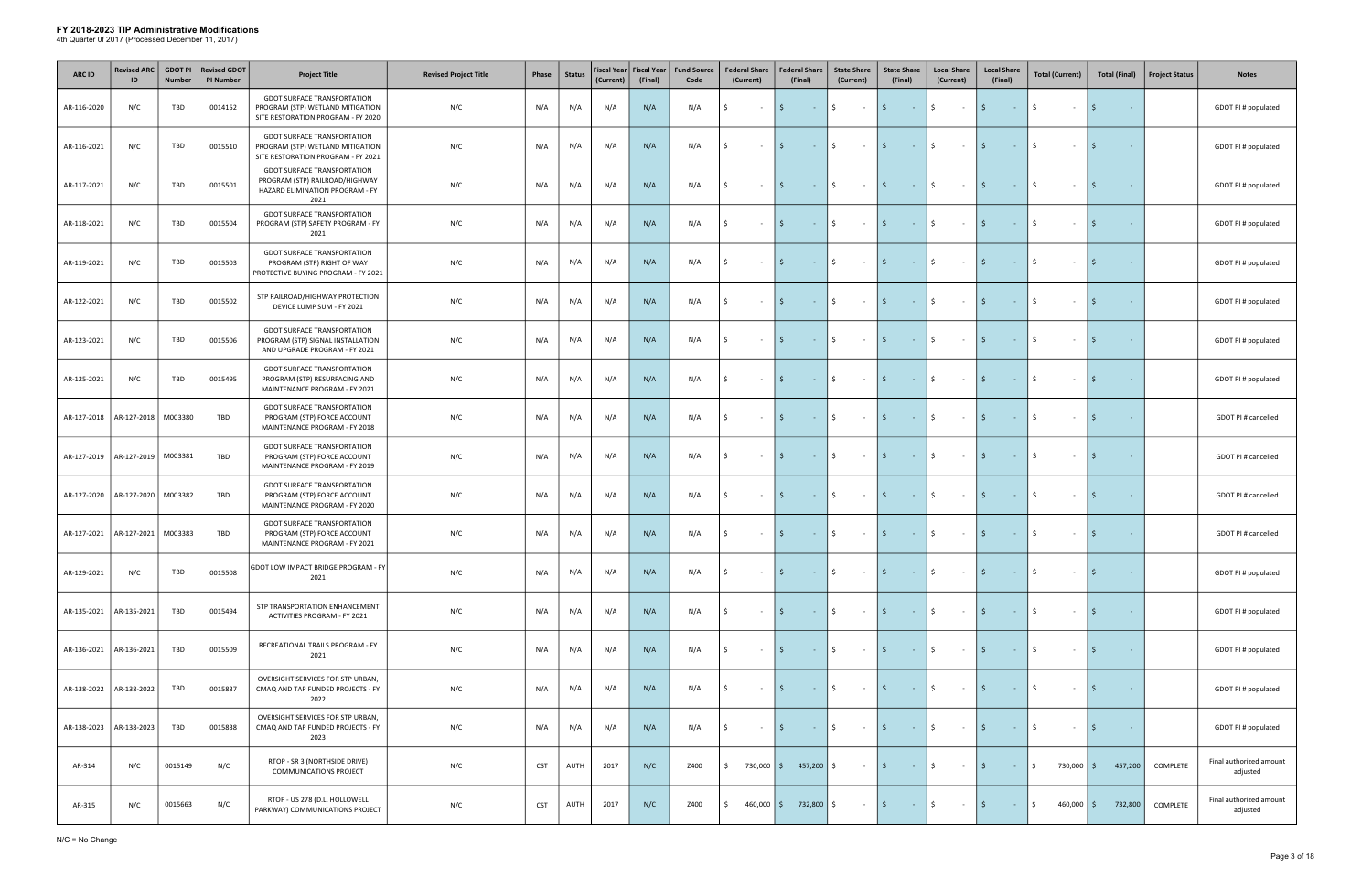| ARC ID      | <b>Revised ARC</b><br>ID | <b>GDOT PI</b><br><b>Number</b> | <b>Revised GDOT</b><br><b>PI Number</b> | <b>Project Title</b>                                                                                            | <b>Revised Project Title</b> | Phase      | <b>Status</b> | Fiscal Year Fiscal Year<br>(Current) | (Final) | <b>Fund Source</b><br>Code | <b>Federal Share</b><br>(Current) | <b>Federal Share</b><br>(Final)         | <b>State Share</b><br>(Current) | <b>State Share</b><br>(Final)    | <b>Local Share</b><br>(Current)  | <b>Local Share</b><br>(Final)                                                                                     | <b>Total (Current)</b> | <b>Total (Final)</b> | <b>Project Status</b> | <b>Notes</b>                        |
|-------------|--------------------------|---------------------------------|-----------------------------------------|-----------------------------------------------------------------------------------------------------------------|------------------------------|------------|---------------|--------------------------------------|---------|----------------------------|-----------------------------------|-----------------------------------------|---------------------------------|----------------------------------|----------------------------------|-------------------------------------------------------------------------------------------------------------------|------------------------|----------------------|-----------------------|-------------------------------------|
| AR-116-2020 | N/C                      | TBD                             | 0014152                                 | <b>GDOT SURFACE TRANSPORTATION</b><br>PROGRAM (STP) WETLAND MITIGATION<br>SITE RESTORATION PROGRAM - FY 2020    | N/C                          | N/A        | N/A           | N/A                                  | N/A     | N/A                        | Ŝ.<br>$\sim$                      | Ŝ.<br>$\sim 100$                        | \$<br>$\sim 100$                | l \$<br>$\sim 100$ km s $^{-1}$  | Ś.<br>$\sim 100$                 | $\mathsf{S}$<br>$\sim 10^{-1}$                                                                                    | Ŝ.<br>$\sim$           | $\sim$               |                       | GDOT PI # populated                 |
| AR-116-2021 | N/C                      | TBD                             | 0015510                                 | <b>GDOT SURFACE TRANSPORTATION</b><br>PROGRAM (STP) WETLAND MITIGATION<br>SITE RESTORATION PROGRAM - FY 2021    | N/C                          | N/A        | N/A           | N/A                                  | N/A     | N/A                        | Ŝ.<br>$\sim$                      | <b>Contract</b>                         | Ś.<br>$\sim 10^{-11}$           | l \$<br>$\sim 100$               | \$<br>$\sim$ $-$                 | $\mathsf{S}$<br>$\sim 10^{-1}$                                                                                    | Ŝ.<br>$\sim$           | S.                   |                       | GDOT PI # populated                 |
| AR-117-2021 | N/C                      | TBD                             | 0015501                                 | <b>GDOT SURFACE TRANSPORTATION</b><br>PROGRAM (STP) RAILROAD/HIGHWAY<br>HAZARD ELIMINATION PROGRAM - FY<br>2021 | N/C                          | N/A        | N/A           | N/A                                  | N/A     | N/A                        | Ŝ.<br>$\sim$                      | $\mathsf{S}$<br><b>Contract</b>         | Ś.<br>$\sim$ $-$                | l \$<br>$\sim 100$               | Ś.<br>$\sim$ $-$                 | $\ddot{\mathsf{S}}$<br>$\sim$ $ \sim$                                                                             | $\zeta$<br>$\sim$      | S.                   |                       | GDOT PI # populated                 |
| AR-118-2021 | N/C                      | TBD                             | 0015504                                 | <b>GDOT SURFACE TRANSPORTATION</b><br>PROGRAM (STP) SAFETY PROGRAM - FY<br>2021                                 | N/C                          | N/A        | N/A           | N/A                                  | N/A     | N/A                        | \$<br>$\sim$                      | $\mathsf{S}$<br>$\sim 100$ km s $^{-1}$ | \$<br>$\sim 10^{-11}$           | l \$<br><b>Contract</b>          | \$<br>$\sim 10^{-11}$            | \$<br>$\sim 100$                                                                                                  | Ŝ.<br>$\sim$           | I \$<br>$\sim$       |                       | GDOT PI # populated                 |
| AR-119-2021 | N/C                      | TBD                             | 0015503                                 | <b>GDOT SURFACE TRANSPORTATION</b><br>PROGRAM (STP) RIGHT OF WAY<br>PROTECTIVE BUYING PROGRAM - FY 2021         | N/C                          | N/A        | N/A           | N/A                                  | N/A     | N/A                        | \$<br>$\sim$                      | $\mathsf{S}$<br>$\sim 10^{-10}$         | \$<br>$\sim 100$                | l \$<br>$\sim 100$               | \$<br>$\sim 10^{-11}$            | 15<br>$\sim 10^{-1}$                                                                                              | Ŝ.<br>$\sim$           | S.<br>$\sim$         |                       | GDOT PI # populated                 |
| AR-122-2021 | N/C                      | TBD                             | 0015502                                 | STP RAILROAD/HIGHWAY PROTECTION<br>DEVICE LUMP SUM - FY 2021                                                    | N/C                          | N/A        | N/A           | N/A                                  | N/A     | N/A                        | Ŝ.<br>$\sim$                      | $\sim 10^{-10}$                         | Ś.<br>$\sim 10^{-1}$            | 5.<br>$\sim 100$                 | \$<br>$\sim$                     | $\ddot{\mathsf{s}}$<br>$\sim 10^{-1}$                                                                             | Ŝ.<br>$\sim$           | I \$                 |                       | GDOT PI # populated                 |
| AR-123-2021 | N/C                      | TBD                             | 0015506                                 | <b>GDOT SURFACE TRANSPORTATION</b><br>PROGRAM (STP) SIGNAL INSTALLATION<br>AND UPGRADE PROGRAM - FY 2021        | N/C                          | N/A        | N/A           | N/A                                  | N/A     | N/A                        | Ŝ.<br>$\sim$ $-$                  | Ŝ.<br>$\sim 10^{-10}$                   | $\frac{1}{2}$<br>$\sim 10^{-1}$ | l \$<br>$\sim 100$ km s $^{-1}$  | \$<br>$\sim 10^{-11}$            | \$<br>$\sim 10^{-1}$                                                                                              | Ŝ.<br>$\sim$           | I \$                 |                       | GDOT PI # populated                 |
| AR-125-2021 | N/C                      | TBD                             | 0015495                                 | <b>GDOT SURFACE TRANSPORTATION</b><br>PROGRAM (STP) RESURFACING AND<br>MAINTENANCE PROGRAM - FY 2021            | N/C                          | N/A        | N/A           | N/A                                  | N/A     | N/A                        | \$<br>$\sim$                      | S.<br>$\sim 100$ km s $^{-1}$           | $\frac{1}{2}$<br>$\sim 100$     | l \$<br>$\sim 1000$ km s $^{-1}$ | \$<br>$\sim 10^{-11}$            | \$<br>$\sim 10^{-10}$                                                                                             | \$<br>$\sim$           | I \$                 |                       | GDOT PI # populated                 |
| AR-127-2018 | AR-127-2018              | M003380                         | TBD                                     | <b>GDOT SURFACE TRANSPORTATION</b><br>PROGRAM (STP) FORCE ACCOUNT<br>MAINTENANCE PROGRAM - FY 2018              | N/C                          | N/A        | N/A           | N/A                                  | N/A     | N/A                        | Ŝ.<br>$\sim$                      | S.<br>$\sim 10^{-11}$                   | Ś.<br>$\sim 100$                | l \$<br>$\sim 100$ km s $^{-1}$  | \$<br>$\sim 10^{-1}$             | I \$<br>$\sim 10^{-1}$                                                                                            | Ŝ.<br>$\sim$           | S.                   |                       | GDOT PI # cancelled                 |
| AR-127-2019 | AR-127-2019              | M003381                         | TBD                                     | <b>GDOT SURFACE TRANSPORTATION</b><br>PROGRAM (STP) FORCE ACCOUNT<br>MAINTENANCE PROGRAM - FY 2019              | N/C                          | N/A        | N/A           | N/A                                  | N/A     | N/A                        | Ŝ.<br>$\sim$                      | <b>Contract</b>                         | \$<br>$\sim 10^{-1}$            | 5<br>$\sim 100$ km s $^{-1}$     | Ś.<br>$\sim$ $-$                 | $\mathsf{S}$<br>$\sim 10^{-1}$                                                                                    | Ŝ.<br>$\sim$           |                      |                       | GDOT PI # cancelled                 |
| AR-127-2020 | AR-127-2020              | M003382                         | TBD                                     | <b>GDOT SURFACE TRANSPORTATION</b><br>PROGRAM (STP) FORCE ACCOUNT<br>MAINTENANCE PROGRAM - FY 2020              | N/C                          | N/A        | N/A           | N/A                                  | N/A     | N/A                        | Ŝ.<br>$\sim$                      | S.<br><b>Contract</b>                   | \$<br>$\sim$ $-$                | l \$<br><b>Contract</b>          | Ś.<br>$\sim$ $-$                 | I\$<br>$\sim$ $ \sim$                                                                                             | Ŝ.<br>$\sim$           | S.                   |                       | GDOT PI # cancelled                 |
| AR-127-2021 | AR-127-2021              | M003383                         | TBD                                     | <b>GDOT SURFACE TRANSPORTATION</b><br>PROGRAM (STP) FORCE ACCOUNT<br>MAINTENANCE PROGRAM - FY 2021              | N/C                          | N/A        | N/A           | N/A                                  | N/A     | N/A                        | l \$<br>$\sim$ $-$                | $ \frac{1}{2}$<br>$\mathsf{S}$          | $ \frac{1}{2}$                  | $ \frac{1}{2}$                   | $ \sqrt{5}$                      | $\mathcal{L}^{\mathcal{L}}(\mathcal{L}^{\mathcal{L}})$ and $\mathcal{L}^{\mathcal{L}}(\mathcal{L}^{\mathcal{L}})$ | \$<br>$\sim$           | l \$<br>$\sim$       |                       | GDOT PI # cancelled                 |
| AR-129-2021 | N/C                      | TBD                             | 0015508                                 | GDOT LOW IMPACT BRIDGE PROGRAM - FY<br>2021                                                                     | N/C                          | N/A        | N/A           | N/A                                  | N/A     | N/A                        | Ŝ.<br>$\sim$                      | $\mathsf{S}$<br>$\sim 10^{-1}$          | Ś.<br>$\sim 100$                | l \$<br><b>Contract</b>          | Ś.<br>$\sim 10^{-11}$            | l \$<br>$\sim 10^{-1}$                                                                                            | Ŝ.<br>$\sim$           | l \$<br>$\sim$       |                       | GDOT PI # populated                 |
| AR-135-2021 | AR-135-2021              | TBD                             | 0015494                                 | STP TRANSPORTATION ENHANCEMENT<br>ACTIVITIES PROGRAM - FY 2021                                                  | N/C                          | N/A        | N/A           | N/A                                  | N/A     | N/A                        | Ŝ.<br>$\sim$                      | $\sim 10^{-1}$                          | \$<br>$\sim 100$                | l \$<br><b>Contract</b>          | Ś.<br>$\sim 100$                 | $\mathsf{S}$<br>$\sim 10^{-11}$                                                                                   | Ŝ.<br>$\sim$           | $\sim$               |                       | GDOT PI # populated                 |
| AR-136-2021 | AR-136-2021              | TBD                             | 0015509                                 | RECREATIONAL TRAILS PROGRAM - FY<br>2021                                                                        | N/C                          | N/A        | N/A           | N/A                                  | N/A     | N/A                        | Ŝ.<br>$\sim$ $-$                  | Ŝ.<br>$\sim 10$                         | \$<br>$\sim 10^{-1}$            | l \$<br><b>Contract</b>          | Ś.<br>$\sim$ $-$                 | 15<br>$\sim$ $ \sim$                                                                                              | S.<br>$\sim$           | IS.                  |                       | GDOT PI # populated                 |
| AR-138-2022 | AR-138-2022              | TBD                             | 0015837                                 | OVERSIGHT SERVICES FOR STP URBAN,<br>CMAQ AND TAP FUNDED PROJECTS - FY<br>2022                                  | N/C                          | N/A        | N/A           | N/A                                  | N/A     | N/A                        | \$<br>$\sim$ $-$                  | S.<br><b>Contract</b>                   | \$<br>$\sim 100$                | l \$<br>$\sim 1000$ km s $^{-1}$ | $\frac{1}{2}$<br>$\sim 10^{-11}$ | l \$<br>$\sim 10^{-10}$                                                                                           | \$<br>$\sim$           | I \$<br>$\sim$       |                       | GDOT PI # populated                 |
| AR-138-2023 | AR-138-2023              | <b>TBD</b>                      | 0015838                                 | OVERSIGHT SERVICES FOR STP URBAN,<br>CMAQ AND TAP FUNDED PROJECTS - FY<br>2023                                  | N/C                          | N/A        | N/A           | N/A                                  | N/A     | N/A                        | Ŝ.<br>$\sim$                      | S.<br>$\sim 10^{-11}$                   | \$<br>$\sim 100$                | l \$<br><b>Contract</b>          | \$<br>$\sim 10^{-11}$            | l \$<br>$\sim 10$                                                                                                 | Ŝ.<br>$\sim$           | l\$.<br>$\sim$       |                       | GDOT PI # populated                 |
| AR-314      | N/C                      | 0015149                         | N/C                                     | RTOP - SR 3 (NORTHSIDE DRIVE)<br><b>COMMUNICATIONS PROJECT</b>                                                  | N/C                          | <b>CST</b> | AUTH          | 2017                                 | N/C     | Z400                       | $\mathsf{S}$                      | 730,000   \$457,200   \$                | $\sim$ $-$                      | l \$<br>$\sim 100$               | Ś.<br>$\sim$ $-$                 | $\mathsf{S}$<br>$\sim 10^{-11}$                                                                                   | \$<br>730,000 \$       | 457,200              | COMPLETE              | Final authorized amount<br>adjusted |
| AR-315      | N/C                      | 0015663                         | N/C                                     | RTOP - US 278 (D.L. HOLLOWELL<br>PARKWAY) COMMUNICATIONS PROJECT                                                | N/C                          | <b>CST</b> | AUTH          | 2017                                 | N/C     | Z400                       | Ŝ.                                | 460,000   \$732,800                     | Ŝ.<br>$\sim$                    | l \$<br><b>Common</b>            | Ś.<br>$\sim$ $-$                 | $\mathsf{S}$<br>$\sim 100$                                                                                        | \$<br>$460,000$ \$     | 732,800              | COMPLETE              | Final authorized amount<br>adjusted |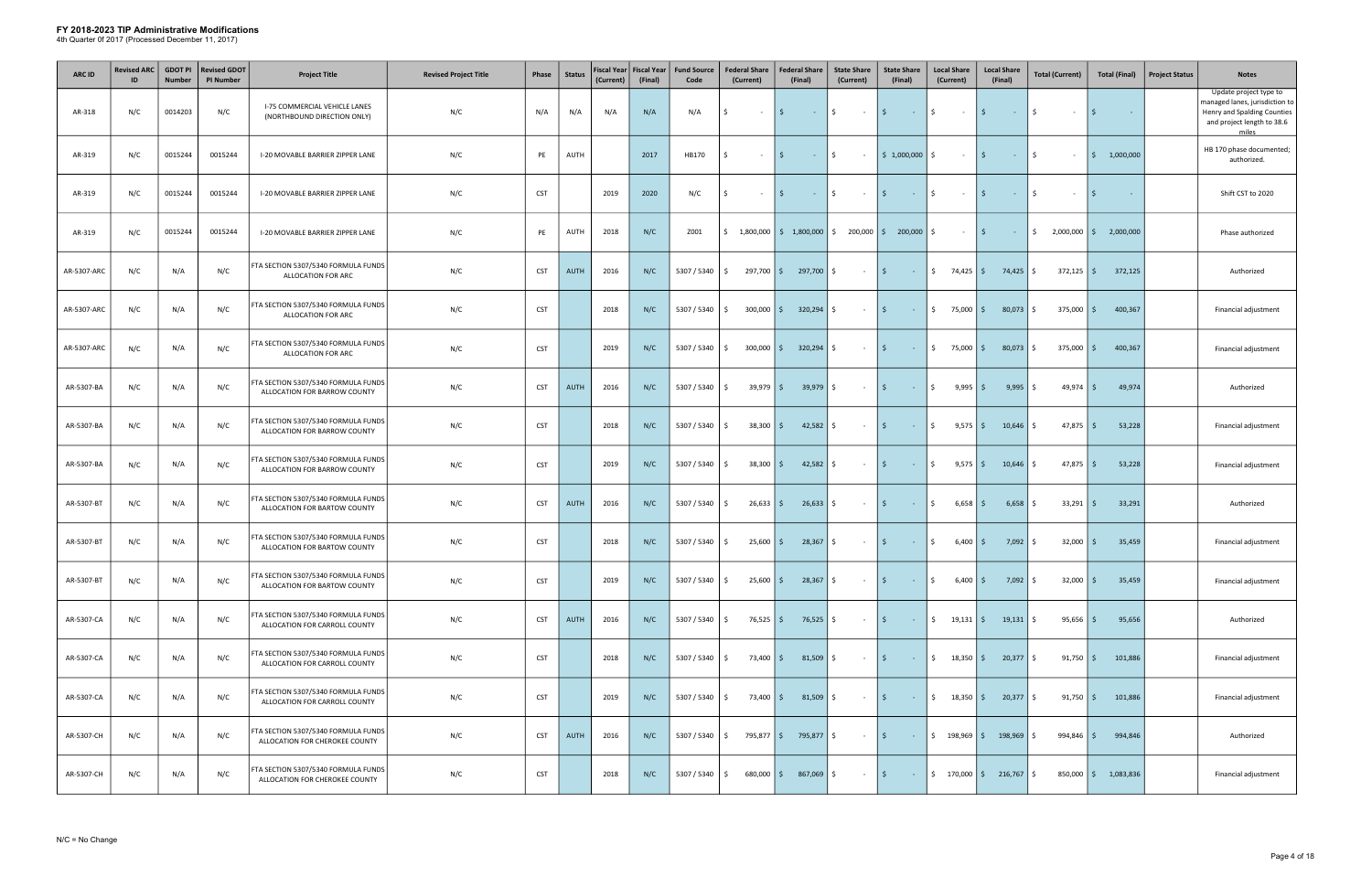| <b>ARC ID</b> | <b>Revised ARC</b><br>ID | <b>GDOT PI</b><br><b>Number</b> | <b>Revised GDOT</b><br><b>PI Number</b> | <b>Project Title</b>                                                  | <b>Revised Project Title</b> | Phase      | <b>Status</b> | (Current) | Fiscal Year   Fiscal Year<br>(Final) | <b>Fund Source</b><br>Code | <b>Federal Share</b><br>(Current) | <b>Federal Share</b><br>(Final) | <b>State Share</b><br>(Current)                                                             | <b>State Share</b><br>(Final)         | <b>Local Share</b><br>(Current)    | <b>Local Share</b><br>(Final)                             | <b>Total (Current)</b> | <b>Total (Final)</b>   | <b>Project Status</b> | <b>Notes</b>                                                                                                                   |
|---------------|--------------------------|---------------------------------|-----------------------------------------|-----------------------------------------------------------------------|------------------------------|------------|---------------|-----------|--------------------------------------|----------------------------|-----------------------------------|---------------------------------|---------------------------------------------------------------------------------------------|---------------------------------------|------------------------------------|-----------------------------------------------------------|------------------------|------------------------|-----------------------|--------------------------------------------------------------------------------------------------------------------------------|
| AR-318        | N/C                      | 0014203                         | N/C                                     | <b>I-75 COMMERCIAL VEHICLE LANES</b><br>(NORTHBOUND DIRECTION ONLY)   | N/C                          | N/A        | N/A           | N/A       | N/A                                  | N/A                        | Ś.<br>$\sim$                      | S.<br>$\sim 10^{-1}$            | \$<br>$\sim 100$                                                                            | I\$.<br><b>Contract</b>               | \$<br>$\sim 100$                   | l \$ l<br>$\sim 100$                                      | $\mathsf{S}$<br>$\sim$ | - S<br>$\sim$          |                       | Update project type to<br>managed lanes, jurisdiction to<br>Henry and Spalding Counties<br>and project length to 38.6<br>miles |
| AR-319        | N/C                      | 0015244                         | 0015244                                 | I-20 MOVABLE BARRIER ZIPPER LANE                                      | N/C                          | PE         | AUTH          |           | 2017                                 | HB170                      | Ś.<br>$\sim$                      | 5<br>$\sim 10^{-11}$            | $\frac{1}{2}$<br>$\sim$                                                                     | $\frac{1}{2}$ \$ 1,000,000            | \$<br>$\sim 10^{-11}$              | l \$<br>$\sim 10^{-1}$                                    | \$<br>$\sim$           | 1,000,000<br>I \$      |                       | HB 170 phase documented;<br>authorized.                                                                                        |
| AR-319        | N/C                      | 0015244                         | 0015244                                 | I-20 MOVABLE BARRIER ZIPPER LANE                                      | N/C                          | <b>CST</b> |               | 2019      | 2020                                 | N/C                        | Ŝ.<br>$\sim$                      | S.<br>$\sim 100$ km s $^{-1}$   | \$<br>$\sim 100$                                                                            | l \$<br><b>Contract</b>               | \$<br>$\sim 100$                   | I\$<br>$\sim 10^{-1}$                                     | S.<br>$\sim$           | - Ś<br>$\sim$          |                       | Shift CST to 2020                                                                                                              |
| AR-319        | N/C                      | 0015244                         | 0015244                                 | I-20 MOVABLE BARRIER ZIPPER LANE                                      | N/C                          | PE         | AUTH          | 2018      | N/C                                  | Z001                       |                                   |                                 | $\frac{1}{2}$ 1,800,000 $\frac{1}{2}$ 1,800,000 $\frac{1}{2}$ 200,000 $\frac{1}{2}$ 200,000 |                                       | \$<br>$\sim$                       | l \$<br>$\sim 100$                                        | \$<br>$2,000,000$   \$ | 2,000,000              |                       | Phase authorized                                                                                                               |
| AR-5307-ARC   | N/C                      | N/A                             | N/C                                     | FTA SECTION 5307/5340 FORMULA FUNDS<br>ALLOCATION FOR ARC             | N/C                          | <b>CST</b> | AUTH          | 2016      | N/C                                  | 5307 / 5340                | $297,700$ \$<br>S.                | 297,700 \$                      | $\sim 100$                                                                                  | $\vert$ \$<br><b>Contractor</b>       | $\frac{1}{2}$ 74,425 \$            | $74,425$ \$                                               | $372,125$ \$           | 372,125                |                       | Authorized                                                                                                                     |
| AR-5307-ARC   | N/C                      | N/A                             | N/C                                     | FTA SECTION 5307/5340 FORMULA FUNDS<br>ALLOCATION FOR ARC             | N/C                          | <b>CST</b> |               | 2018      | N/C                                  | 5307 / 5340                | $300,000$ \$<br>S.                | $320,294$ \$                    | $\sim$                                                                                      | l \$<br>$\sim 10$                     | $$75,000$ \$                       | $80,073$ \$                                               | $375,000$ \$           | 400,367                |                       | Financial adjustment                                                                                                           |
| AR-5307-ARC   | N/C                      | N/A                             | N/C                                     | FTA SECTION 5307/5340 FORMULA FUNDS<br>ALLOCATION FOR ARC             | N/C                          | <b>CST</b> |               | 2019      | N/C                                  | 5307 / 5340                | S.                                | $300,000$ \$ $320,294$ \$       | $\sim$ $-$                                                                                  | l \$<br>$\sim 100$                    | $$75,000$ \$                       | $80,073$ \$                                               | $375,000$ \$           | 400,367                |                       | Financial adjustment                                                                                                           |
| AR-5307-BA    | N/C                      | N/A                             | N/C                                     | FTA SECTION 5307/5340 FORMULA FUNDS<br>ALLOCATION FOR BARROW COUNTY   | N/C                          | <b>CST</b> | <b>AUTH</b>   | 2016      | N/C                                  | 5307 / 5340                | $39,979$ \$<br>S.                 | $39,979$ \$                     | $\sim$ $-$                                                                                  | l \$<br><b>Contract</b>               | \$<br>$9,995$ \$                   | $9,995$ \$                                                | $49,974$ \$            | 49,974                 |                       | Authorized                                                                                                                     |
| AR-5307-BA    | N/C                      | N/A                             | N/C                                     | FTA SECTION 5307/5340 FORMULA FUNDS<br>ALLOCATION FOR BARROW COUNTY   | N/C                          | <b>CST</b> |               | 2018      | N/C                                  | 5307 / 5340                | $38,300$ \$<br>S.                 | $42,582$ \$                     | $\sim$ $-$                                                                                  | l \$<br>$\sim 1000$ km s $^{-1}$      | \$<br>$9,575$ \$                   | $10,646$ \$                                               | 47,875                 | 53,228<br>I\$          |                       | Financial adjustment                                                                                                           |
| AR-5307-BA    | N/C                      | N/A                             | N/C                                     | FTA SECTION 5307/5340 FORMULA FUNDS<br>ALLOCATION FOR BARROW COUNTY   | N/C                          | <b>CST</b> |               | 2019      | N/C                                  | 5307 / 5340                | $38,300$ $\frac{2}{5}$<br>S.      | $42,582$ \$                     | $\sim 10^{-11}$                                                                             | I \$<br>$\sim 1000$ km s $^{-1}$      | \$<br>$9,575$ $\frac{2}{3}$        | $10,646$ \$                                               | $47,875$ \$            | 53,228                 |                       | Financial adjustment                                                                                                           |
| AR-5307-BT    | N/C                      | N/A                             | N/C                                     | FTA SECTION 5307/5340 FORMULA FUNDS<br>ALLOCATION FOR BARTOW COUNTY   | N/C                          | <b>CST</b> | AUTH          | 2016      | N/C                                  | 5307 / 5340                | $26,633$ \$<br>S.                 | $26,633$ \$                     | $\sim 10^{-11}$                                                                             | l \$<br>$\sim 100$                    | $\ddot{\mathsf{S}}$<br>$6,658$ \$  | 6,658                                                     | 33,291<br>5            | 33,291<br>I\$.         |                       | Authorized                                                                                                                     |
| AR-5307-BT    | N/C                      | N/A                             | N/C                                     | FTA SECTION 5307/5340 FORMULA FUNDS<br>ALLOCATION FOR BARTOW COUNTY   | N/C                          | <b>CST</b> |               | 2018      | N/C                                  | 5307 / 5340                | $25,600$ \$<br>Ŝ.                 | 28,367                          | \$<br>$\sim$ $-$                                                                            | l \$<br>$\sim 10$                     | \$<br>6,400                        | 7,092<br>I \$                                             | 32,000<br>I\$.         | 35,459<br>I\$.         |                       | Financial adjustment                                                                                                           |
| AR-5307-BT    | N/C                      | N/A                             | N/C                                     | FTA SECTION 5307/5340 FORMULA FUNDS<br>ALLOCATION FOR BARTOW COUNTY   | N/C                          | <b>CST</b> |               | 2019      | N/C                                  | 5307 / 5340                | $25,600$ \$<br>S.                 | $28,367$ \$                     | $\sim 100$                                                                                  | l \$<br>$\sim 100$ km s $^{-1}$       | \$<br>$6,400$   \$                 | $7,092$ \$                                                | $32,000$ \$            | 35,459                 |                       | Financial adjustment                                                                                                           |
| AR-5307-CA    | N/C                      | N/A                             | N/C                                     | FTA SECTION 5307/5340 FORMULA FUNDS<br>ALLOCATION FOR CARROLL COUNTY  | N/C                          | <b>CST</b> | <b>AUTH</b>   | 2016      | N/C                                  | 5307 / 5340                | $76,525$ \$<br>S.                 | $76,525$ \$                     | $\sim$ $-$                                                                                  | I\$.<br>$\sim 10$                     | \$<br>$19,131$ $\frac{1}{2}$       | $19,131$ \$                                               | 95,656                 | 95,656<br>IS.          |                       | Authorized                                                                                                                     |
| AR-5307-CA    | N/C                      | N/A                             | N/C                                     | FTA SECTION 5307/5340 FORMULA FUNDS<br>ALLOCATION FOR CARROLL COUNTY  | N/C                          | <b>CST</b> |               | 2018      | N/C                                  | 5307 / 5340                | 73,400 \$<br>\$                   | $81,509$ \$                     | $\sim 100$                                                                                  | l \$<br>$\sim 100$                    | $\frac{1}{2}$ 18,350 \$            | $20,377$ \$                                               | $91,750$ \$            | 101,886                |                       | Financial adjustment                                                                                                           |
| AR-5307-CA    | N/C                      | N/A                             | N/C                                     | FTA SECTION 5307/5340 FORMULA FUNDS<br>ALLOCATION FOR CARROLL COUNTY  | N/C                          | <b>CST</b> |               | 2019      | N/C                                  | 5307 / 5340                | 73,400 \$<br>S.                   | $81,509$ \$                     | $\sim 100$                                                                                  | l \$<br>$\sim 100$                    | $\frac{1}{2}$ 18,350 $\frac{1}{2}$ | $20,377$ \$                                               | $91,750$ \$            | 101,886                |                       | Financial adjustment                                                                                                           |
| AR-5307-CH    | N/C                      | N/A                             | N/C                                     | FTA SECTION 5307/5340 FORMULA FUNDS<br>ALLOCATION FOR CHEROKEE COUNTY | N/C                          | <b>CST</b> | AUTH          | 2016      | N/C                                  | 5307 / 5340                | 795,877 \$<br>\$                  | 795,877 \$                      | $\sim 100$                                                                                  | $\vert$ \$<br>$\sim 100$ km s $^{-1}$ | \$198,969                          | $198,969$ \$                                              | $994,846$ \$           | 994,846                |                       | Authorized                                                                                                                     |
| AR-5307-CH    | N/C                      | N/A                             | N/C                                     | FTA SECTION 5307/5340 FORMULA FUNDS<br>ALLOCATION FOR CHEROKEE COUNTY | N/C                          | <b>CST</b> |               | 2018      | N/C                                  | 5307 / 5340                | $680,000$ \$<br>\$                | $867,069$ \$                    | $\sim$ $-$                                                                                  | I \$<br>$\sim 1000$ km s $^{-1}$      |                                    | $\frac{1}{2}$ 170,000 $\frac{1}{2}$ 216,767 $\frac{1}{2}$ |                        | 850,000   \$ 1,083,836 |                       | Financial adjustment                                                                                                           |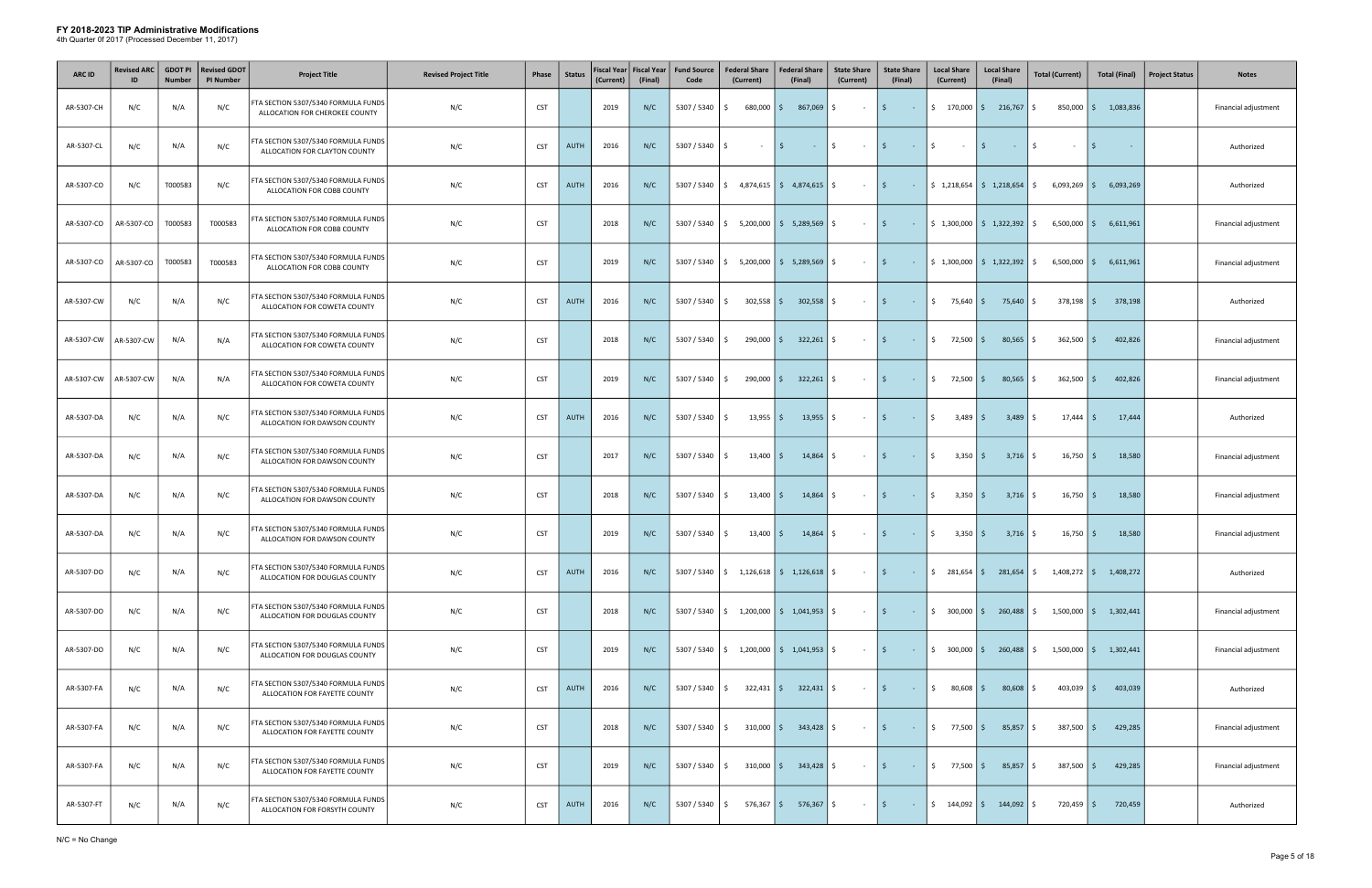| <b>ARC ID</b> | <b>Revised ARC</b> | <b>GDOT PI</b><br><b>Number</b> | <b>Revised GDOT</b><br><b>PI Number</b> | <b>Project Title</b>                                                  | <b>Revised Project Title</b> | Phase      | <b>Status</b> | Fiscal Year<br>(Current) | <b>Fiscal Year</b><br>(Final) | <b>Fund Source</b><br>Code | <b>Federal Share</b><br>(Current)               | <b>Federal Share</b><br>(Final)                 | <b>State Share</b><br>(Current) | <b>State Share</b><br>(Final)          | <b>Local Share</b><br>(Current)   | <b>Local Share</b><br>(Final)                              | <b>Total (Current)</b>                                                                      | <b>Total (Final)</b>     | <b>Project Status</b><br><b>Notes</b> |
|---------------|--------------------|---------------------------------|-----------------------------------------|-----------------------------------------------------------------------|------------------------------|------------|---------------|--------------------------|-------------------------------|----------------------------|-------------------------------------------------|-------------------------------------------------|---------------------------------|----------------------------------------|-----------------------------------|------------------------------------------------------------|---------------------------------------------------------------------------------------------|--------------------------|---------------------------------------|
| AR-5307-CH    | N/C                | N/A                             | N/C                                     | FTA SECTION 5307/5340 FORMULA FUNDS<br>ALLOCATION FOR CHEROKEE COUNTY | N/C                          | <b>CST</b> |               | 2019                     | N/C                           | 5307 / 5340                | $680,000$ \$<br>S.                              | 867,069                                         | Ŝ.<br>$\sim$ $-$                | l \$<br>$\sim 100$                     |                                   | $\frac{1}{2}$ 170,000 $\frac{1}{2}$ 216,767 $\frac{1}{2}$  |                                                                                             | 850,000   \$ 1,083,836   | Financial adjustment                  |
| AR-5307-CL    | N/C                | N/A                             | N/C                                     | FTA SECTION 5307/5340 FORMULA FUNDS<br>ALLOCATION FOR CLAYTON COUNTY  | N/C                          | <b>CST</b> | <b>AUTH</b>   | 2016                     | N/C                           | 5307 / 5340                | $\sim$                                          |                                                 | \$<br>$\sim$ $-$                | l \$<br>$\sim 10^{-11}$                | \$<br>$\sim$ $-$                  | l \$<br>$\sim 10^{-10}$                                    | S.<br>$\sim$                                                                                | l \$                     | Authorized                            |
| AR-5307-CO    | N/C                | T000583                         | N/C                                     | FTA SECTION 5307/5340 FORMULA FUNDS<br>ALLOCATION FOR COBB COUNTY     | N/C                          | <b>CST</b> | <b>AUTH</b>   | 2016                     | N/C                           | 5307 / 5340                | ، \$                                            | $4,874,615$ \$ $4,874,615$ \$                   | $\sim 10^{-11}$                 | $\vert$ \$                             |                                   |                                                            | $6,093,269$ \$                                                                              | 6,093,269                | Authorized                            |
| AR-5307-CO    | AR-5307-CO         | T000583                         | T000583                                 | FTA SECTION 5307/5340 FORMULA FUNDS<br>ALLOCATION FOR COBB COUNTY     | N/C                          | <b>CST</b> |               | 2018                     | N/C                           | 5307 / 5340                | S.                                              | $5,200,000$   \$ 5,289,569                      | -\$<br>$\sim 10^{-11}$          | I \$                                   |                                   | $\begin{bmatrix} 5 & 1,300,000 \end{bmatrix}$ \$ 1,322,392 | $6,500,000$ \$<br>-S                                                                        | 6,611,961                | Financial adjustment                  |
| AR-5307-CO    | AR-5307-CO         | T000583                         | T000583                                 | FTA SECTION 5307/5340 FORMULA FUNDS<br>ALLOCATION FOR COBB COUNTY     | N/C                          | <b>CST</b> |               | 2019                     | N/C                           | 5307 / 5340                | $\frac{1}{2}$ 5,200,000 $\frac{1}{2}$ 5,289,569 |                                                 | \$<br>$\sim$ $-$                | l \$<br>$\sim 10^{-1}$                 |                                   |                                                            | $\frac{1}{2}$ 1,300,000 $\frac{1}{2}$ 1,322,392 $\frac{1}{2}$ 6,500,000 $\frac{1}{2}$       | 6,611,961                | Financial adjustment                  |
| AR-5307-CW    | N/C                | N/A                             | N/C                                     | FTA SECTION 5307/5340 FORMULA FUNDS<br>ALLOCATION FOR COWETA COUNTY   | N/C                          | <b>CST</b> | <b>AUTH</b>   | 2016                     | N/C                           | 5307 / 5340                | $302,558$ \$<br>S.                              | 302,558                                         | \$<br>$\sim$                    | l \$<br>$\sim 10^{-1}$                 | $\mathsf{S}$<br>75,640            | 75,640<br>I\$.                                             | $378,198$ \$<br>S.                                                                          | 378,198                  | Authorized                            |
| AR-5307-CW    | AR-5307-CW         | N/A                             | N/A                                     | FTA SECTION 5307/5340 FORMULA FUNDS<br>ALLOCATION FOR COWETA COUNTY   | N/C                          | <b>CST</b> |               | 2018                     | N/C                           | 5307 / 5340                | $290,000$ \$<br>S.                              | $322,261$ \$                                    | $\sim 100$                      | $\vert$ \$<br>$\sim 1000$ km s $^{-1}$ | $\frac{1}{2}$ 72,500 \$           | 80,565                                                     | $362,500$ \$<br>S.                                                                          | 402,826                  | Financial adjustment                  |
| AR-5307-CW    | AR-5307-CW         | N/A                             | N/A                                     | FTA SECTION 5307/5340 FORMULA FUNDS<br>ALLOCATION FOR COWETA COUNTY   | N/C                          | <b>CST</b> |               | 2019                     | N/C                           | 5307 / 5340                | 290,000 \$<br>S.                                | $322,261$ \$                                    | $\sim 10^{-11}$                 | I \$<br>$\sim 10^{-11}$                | $\frac{1}{2}$ 72,500 \$           | $80,565$ \$                                                | $362,500$ \$                                                                                | 402,826                  | Financial adjustment                  |
| AR-5307-DA    | N/C                | N/A                             | N/C                                     | FTA SECTION 5307/5340 FORMULA FUNDS<br>ALLOCATION FOR DAWSON COUNTY   | N/C                          | <b>CST</b> | <b>AUTH</b>   | 2016                     | N/C                           | 5307 / 5340                | $13,955$ \$<br>Ŝ.                               | 13,955                                          | \$<br>$\sim$ $-$                | l \$<br><b>Contract</b>                | $\ddot{\mathsf{S}}$<br>$3,489$ \$ | 3,489                                                      | S.<br>$17,444$ \$                                                                           | 17,444                   | Authorized                            |
| AR-5307-DA    | N/C                | N/A                             | N/C                                     | FTA SECTION 5307/5340 FORMULA FUNDS<br>ALLOCATION FOR DAWSON COUNTY   | N/C                          | <b>CST</b> |               | 2017                     | N/C                           | 5307 / 5340                | $13,400$ $\mid$ \$<br>Ŝ.                        | 14,864                                          | \$<br>$\sim$ $-$                | l \$ l<br>$\sim 100$ km s $^{-1}$      | $\mathsf{S}$<br>$3,350$ $\mid$ \$ | $3,716$ \$                                                 | $16,750$   \$                                                                               | 18,580                   | Financial adjustment                  |
| AR-5307-DA    | N/C                | N/A                             | N/C                                     | FTA SECTION 5307/5340 FORMULA FUNDS<br>ALLOCATION FOR DAWSON COUNTY   | N/C                          | <b>CST</b> |               | 2018                     | N/C                           | 5307 / 5340                | $13,400$   \$<br>S.                             | $14,864$ \$                                     | $\sim$ $-$                      | l \$<br>$ \sqrt{5}$                    | $3,350$ \$                        | $3,716$ \$                                                 | $16,750$ \$                                                                                 | 18,580                   | Financial adjustment                  |
| AR-5307-DA    | N/C                | N/A                             | N/C                                     | FTA SECTION 5307/5340 FORMULA FUNDS<br>ALLOCATION FOR DAWSON COUNTY   | N/C                          | <b>CST</b> |               | 2019                     | N/C                           | 5307 / 5340                | $13,400$   \$<br>S.                             | $14,864$ \$                                     | $\sim 10^{-10}$                 | l \$<br>$ \sqrt{5}$                    | $3,350$ $\mid$ \$                 | $3,716$ \$                                                 | $16,750$   \$                                                                               | 18,580                   | Financial adjustment                  |
| AR-5307-DO    | N/C                | N/A                             | N/C                                     | FTA SECTION 5307/5340 FORMULA FUNDS<br>ALLOCATION FOR DOUGLAS COUNTY  | N/C                          | <b>CST</b> | <b>AUTH</b>   | 2016                     | N/C                           |                            | $5307 / 5340$   \$ 1,126,618   \$ 1,126,618     |                                                 | S.<br>$\sim$ $-$                | l \$<br>$\sim 100$                     |                                   |                                                            | $\frac{1}{2}$ 281,654 $\frac{1}{2}$ 281,654 $\frac{1}{2}$ 1,408,272 $\frac{1}{2}$ 1,408,272 |                          | Authorized                            |
| AR-5307-DO    | N/C                | N/A                             | N/C                                     | FTA SECTION 5307/5340 FORMULA FUNDS<br>ALLOCATION FOR DOUGLAS COUNTY  | N/C                          | <b>CST</b> |               | 2018                     | N/C                           | 5307 / 5340                |                                                 |                                                 | $\sim 100$                      | l \$<br>$\sim 1000$ km s $^{-1}$       |                                   | $\frac{1}{2}$ 300,000 $\frac{1}{2}$ 260,488 $\frac{1}{2}$  |                                                                                             | $1,500,000$ \$ 1,302,441 | Financial adjustment                  |
| AR-5307-DO    | N/C                | N/A                             | N/C                                     | FTA SECTION 5307/5340 FORMULA FUNDS<br>ALLOCATION FOR DOUGLAS COUNTY  | N/C                          | <b>CST</b> |               | 2019                     | N/C                           | 5307 / 5340                | IS.                                             | $1,200,000$   \$ $1,041,953$   \$               | $\sim 100$                      | l \$<br><b>Contract</b>                | $$300,000$ \$                     | $260,488$ \$                                               |                                                                                             | $1,500,000$ \$ 1,302,441 | Financial adjustment                  |
| AR-5307-FA    | N/C                | N/A                             | N/C                                     | FTA SECTION 5307/5340 FORMULA FUNDS<br>ALLOCATION FOR FAYETTE COUNTY  | N/C                          | <b>CST</b> | <b>AUTH</b>   | 2016                     | N/C                           | 5307 / 5340                | S.                                              | $322,431$ \$ $322,431$ \$                       | $\sim 100$ m $^{-1}$            | l \$<br>$ \sqrt{5}$                    | $80,608$ \$                       | $80,608$ \$                                                | $403,039$ \$                                                                                | 403,039                  | Authorized                            |
| AR-5307-FA    | N/C                | N/A                             | N/C                                     | FTA SECTION 5307/5340 FORMULA FUNDS<br>ALLOCATION FOR FAYETTE COUNTY  | N/C                          | <b>CST</b> |               | 2018                     | N/C                           | 5307 / 5340                | \$                                              | $310,000$ $\frac{1}{5}$ $343,428$ $\frac{1}{5}$ | $\sim 100$                      | I \$<br>$\sim 10^{-1}$                 | $$77,500$ \$                      | 85,857                                                     | $387,500$ \$<br>-S                                                                          | 429,285                  | Financial adjustment                  |
| AR-5307-FA    | N/C                | N/A                             | N/C                                     | FTA SECTION 5307/5340 FORMULA FUNDS<br>ALLOCATION FOR FAYETTE COUNTY  | N/C                          | <b>CST</b> |               | 2019                     | N/C                           | 5307 / 5340                | \$                                              | $310,000$ $\frac{1}{5}$ $343,428$ $\frac{1}{5}$ | $\sim 100$                      | l \$                                   | $ \frac{1}{2}$ 77,500 \$          | $85,857$ \$                                                | $387,500$ \$                                                                                | 429,285                  | Financial adjustment                  |
| AR-5307-FT    | N/C                | N/A                             | N/C                                     | FTA SECTION 5307/5340 FORMULA FUNDS<br>ALLOCATION FOR FORSYTH COUNTY  | N/C                          | <b>CST</b> | <b>AUTH</b>   | 2016                     | N/C                           | 5307 / 5340                | \$                                              | 576,367   \$ 576,367   \$                       | $\sim 100$                      | $\vert$ \$<br><b>Contractor</b>        | $\frac{1}{2}$ 144,092 \$          | 144,092                                                    | $720,459$ \$<br>S.                                                                          | 720,459                  | Authorized                            |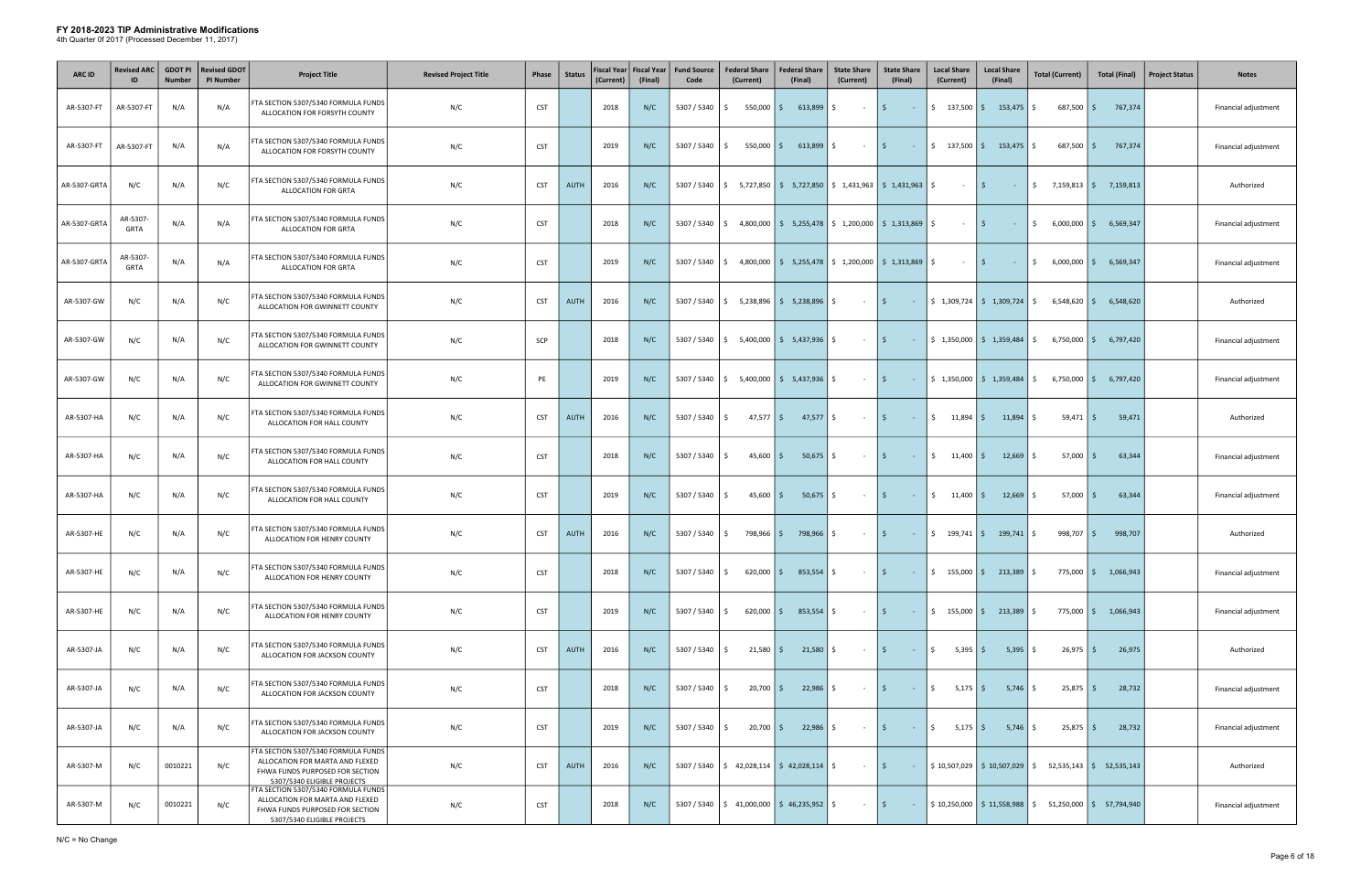| <b>ARC ID</b> | <b>Revised ARC</b><br>ID | <b>GDOT PI</b><br><b>Number</b> | <b>Revised GDOT</b><br><b>PI Number</b> | <b>Project Title</b>                                                                                                                     | <b>Revised Project Title</b> | Phase      | <b>Status</b> | <b>Fiscal Year</b><br>(Current) | <b>Fiscal Year</b><br>(Final) | <b>Fund Source</b><br>Code | <b>Federal Share</b><br>(Current)                               | <b>Federal Share</b><br>(Final)                                                                               | <b>State Share</b><br>(Current) | <b>State Share</b><br>(Final)          | <b>Local Share</b><br>(Current)   | <b>Local Share</b><br>(Final)                                 | <b>Total (Current)</b>                                  | <b>Total (Final)</b>     | <b>Project Status</b> | <b>Notes</b>         |
|---------------|--------------------------|---------------------------------|-----------------------------------------|------------------------------------------------------------------------------------------------------------------------------------------|------------------------------|------------|---------------|---------------------------------|-------------------------------|----------------------------|-----------------------------------------------------------------|---------------------------------------------------------------------------------------------------------------|---------------------------------|----------------------------------------|-----------------------------------|---------------------------------------------------------------|---------------------------------------------------------|--------------------------|-----------------------|----------------------|
| AR-5307-FT    | AR-5307-FT               | N/A                             | N/A                                     | FTA SECTION 5307/5340 FORMULA FUNDS<br>ALLOCATION FOR FORSYTH COUNTY                                                                     | N/C                          | <b>CST</b> |               | 2018                            | N/C                           | 5307 / 5340                | $550,000$ \$<br>S.                                              | 613,899                                                                                                       | Ŝ.<br>$\sim$ $-$                | $\mathsf{S}$<br>$\sim 10^{-1}$         | $\frac{137,500}{5}$               | $153,475$ $\frac{2}{3}$                                       | $687,500$ $\frac{2}{5}$                                 | 767,374                  |                       | Financial adjustment |
| AR-5307-FT    | AR-5307-FT               | N/A                             | N/A                                     | FTA SECTION 5307/5340 FORMULA FUNDS<br>ALLOCATION FOR FORSYTH COUNTY                                                                     | N/C                          | <b>CST</b> |               | 2019                            | N/C                           | 5307 / 5340                | 550,000 \$<br>S.                                                | 613,899                                                                                                       | \$<br>$\sim$                    | I\$.<br>$\sim 100$                     |                                   | $\frac{1}{2}$ 137,500 $\frac{1}{2}$ 153,475 $\frac{1}{2}$     | 687,500 \$                                              | 767,374                  |                       | Financial adjustment |
| AR-5307-GRTA  | N/C                      | N/A                             | N/C                                     | FTA SECTION 5307/5340 FORMULA FUNDS<br>ALLOCATION FOR GRTA                                                                               | N/C                          | <b>CST</b> | AUTH          | 2016                            | N/C                           | 5307 / 5340                |                                                                 | $\frac{1}{2}$ 5,727,850 $\frac{1}{2}$ 5,727,850 $\frac{1}{2}$ 1,431,963 $\frac{1}{2}$ 1,431,963 $\frac{1}{2}$ |                                 |                                        | $\sim$ $-$                        | l \$<br>$\sim 1000$ km s $^{-1}$                              | $\frac{1}{2}$ 7,159,813 $\frac{1}{2}$ 7,159,813         |                          |                       | Authorized           |
| AR-5307-GRTA  | AR-5307-<br>GRTA         | N/A                             | N/A                                     | FTA SECTION 5307/5340 FORMULA FUNDS<br>ALLOCATION FOR GRTA                                                                               | N/C                          | <b>CST</b> |               | 2018                            | N/C                           | 5307 / 5340                | S.                                                              | 4,800,000   \$ 5,255,478   \$ 1,200,000   \$ 1,313,869                                                        |                                 |                                        | \$<br>$\sim$                      | $\vert$ \$<br>$\sim 1000$ km s $^{-1}$                        | $\ddot{\mathsf{s}}$<br>$6,000,000$ \$                   | 6,569,347                |                       | Financial adjustment |
| AR-5307-GRTA  | AR-5307-<br>GRTA         | N/A                             | N/A                                     | FTA SECTION 5307/5340 FORMULA FUNDS<br>ALLOCATION FOR GRTA                                                                               | N/C                          | <b>CST</b> |               | 2019                            | N/C                           | 5307 / 5340                | Ŝ.<br>4,800,000                                                 | $\frac{1}{2}$ 5,255,478 $\frac{1}{2}$ 1,200,000 $\frac{1}{2}$ 1,313,869                                       |                                 |                                        | Ś.<br>$\sim$                      | l \$<br>$\sim 10^{-1}$                                        | \$<br>$6,000,000$ \$                                    | 6,569,347                |                       | Financial adjustment |
| AR-5307-GW    | N/C                      | N/A                             | N/C                                     | FTA SECTION 5307/5340 FORMULA FUNDS<br>ALLOCATION FOR GWINNETT COUNTY                                                                    | N/C                          | <b>CST</b> | <b>AUTH</b>   | 2016                            | N/C                           | 5307 / 5340                | \$                                                              | $5,238,896$ $\mid$ \$ 5,238,896                                                                               | \$<br>$\sim$ $-$                | $\vert$ \$<br>$\sim 10^{-1}$           |                                   | $\frac{1}{2}$ 1,309,724 $\frac{1}{2}$ 1,309,724 $\frac{1}{2}$ | $6,548,620$ \$                                          | 6,548,620                |                       | Authorized           |
| AR-5307-GW    | N/C                      | N/A                             | N/C                                     | FTA SECTION 5307/5340 FORMULA FUNDS<br>ALLOCATION FOR GWINNETT COUNTY                                                                    | N/C                          | SCP        |               | 2018                            | N/C                           | 5307 / 5340                | 5,400,000<br>S.                                                 | 5,437,936                                                                                                     | \$<br>$\sim$ $-$                | l \$<br>$\sim 100$                     |                                   | $\frac{1}{2}$ 1,350,000 $\frac{1}{2}$ 1,359,484 $\frac{1}{2}$ |                                                         | $6,750,000$ \$ 6,797,420 |                       | Financial adjustment |
| AR-5307-GW    | N/C                      | N/A                             | N/C                                     | FTA SECTION 5307/5340 FORMULA FUNDS<br>ALLOCATION FOR GWINNETT COUNTY                                                                    | N/C                          | PE         |               | 2019                            | N/C                           | 5307 / 5340                |                                                                 | $\frac{1}{2}$ 5,400,000 $\frac{1}{2}$ 5,437,936 $\frac{1}{2}$                                                 | $\sim 10^{-1}$                  | $\vert$ \$<br>$\sim 1000$ km s $^{-1}$ |                                   | $\frac{1}{2}$ 1,350,000 $\frac{1}{2}$ 1,359,484 $\frac{1}{2}$ |                                                         | $6,750,000$ \$ 6,797,420 |                       | Financial adjustment |
| AR-5307-HA    | N/C                      | N/A                             | N/C                                     | FTA SECTION 5307/5340 FORMULA FUNDS<br>ALLOCATION FOR HALL COUNTY                                                                        | N/C                          | <b>CST</b> | <b>AUTH</b>   | 2016                            | N/C                           | 5307 / 5340                | $47,577$ \$<br>Ŝ.                                               | $47,577$ \$                                                                                                   | $\sim$ $-$                      | l \$<br>$\sim 10^{-10}$                | $\frac{1}{2}$ 11,894 \$           | $11,894$ \$                                                   | $59,471$ $\frac{1}{5}$                                  | 59,471                   |                       | Authorized           |
| AR-5307-HA    | N/C                      | N/A                             | N/C                                     | FTA SECTION 5307/5340 FORMULA FUNDS<br>ALLOCATION FOR HALL COUNTY                                                                        | N/C                          | <b>CST</b> |               | 2018                            | N/C                           | 5307 / 5340                | $45,600$ \$<br>S.                                               | $50,675$ \$                                                                                                   | $\sim$ $-$                      | I\$.<br>$\sim 100$                     | $\frac{1}{2}$ 11,400 \$           | $12,669$ \$                                                   | 57,000                                                  | 63,344<br>l \$           |                       | Financial adjustment |
| AR-5307-HA    | N/C                      | N/A                             | N/C                                     | FTA SECTION 5307/5340 FORMULA FUNDS<br>ALLOCATION FOR HALL COUNTY                                                                        | N/C                          | <b>CST</b> |               | 2019                            | N/C                           | 5307 / 5340                | $45,600$ \$<br>S.                                               | $50,675$ \$                                                                                                   | $\sim$ $-$                      | l \$<br>$\sim 100$ km s $^{-1}$        | $\frac{1}{2}$ 11,400 \$           | $12,669$ \$                                                   | $57,000$ \$                                             | 63,344                   |                       | Financial adjustment |
| AR-5307-HE    | N/C                      | N/A                             | N/C                                     | FTA SECTION 5307/5340 FORMULA FUNDS<br>ALLOCATION FOR HENRY COUNTY                                                                       | N/C                          | <b>CST</b> | <b>AUTH</b>   | 2016                            | N/C                           | 5307 / 5340                | 798,966 \$<br>S.                                                | 798,966 \$                                                                                                    | $\sim$                          | $\vert$ \$<br><b>Contractor</b>        | $$199,741$ $$$                    | 199,741   \$                                                  | 998,707 \$                                              | 998,707                  |                       | Authorized           |
| AR-5307-HE    | N/C                      | N/A                             | N/C                                     | FTA SECTION 5307/5340 FORMULA FUNDS<br>ALLOCATION FOR HENRY COUNTY                                                                       | N/C                          | <b>CST</b> |               | 2018                            | N/C                           | 5307 / 5340                | \$<br>$620,000$   \$                                            | $853,554$ $\frac{1}{5}$                                                                                       | $\sim$ $-$                      | l \$<br>$\sim$ $-$                     |                                   | $\frac{155,000}{5}$ 213,389 \$                                |                                                         | 775,000   \$1,066,943    |                       | Financial adjustment |
| AR-5307-HE    | N/C                      | N/A                             | N/C                                     | FTA SECTION 5307/5340 FORMULA FUNDS<br>ALLOCATION FOR HENRY COUNTY                                                                       | N/C                          | <b>CST</b> |               | 2019                            | N/C                           | 5307 / 5340                | $620,000$ \$<br>S.                                              | $853,554$ \$                                                                                                  | $\sim$ 100 $\pm$                | I\$.<br>$\sim 100$                     |                                   | $\frac{1}{2}$ 155,000 $\frac{1}{2}$ 213,389 $\frac{1}{2}$     |                                                         | 775,000 \$ 1,066,943     |                       | Financial adjustment |
| AR-5307-JA    | N/C                      | N/A                             | N/C                                     | FTA SECTION 5307/5340 FORMULA FUNDS<br>ALLOCATION FOR JACKSON COUNTY                                                                     | N/C                          | <b>CST</b> | <b>AUTH</b>   | 2016                            | N/C                           | 5307 / 5340                | $21,580$ \$<br>S.                                               | $21,580$ \$                                                                                                   | $\sim$ $-$                      | I\$.<br>$\sim 10^{-1}$                 | $\ddot{\mathsf{S}}$<br>$5,395$ \$ | $5,395$ \$                                                    | $26,975$ \$                                             | 26,975                   |                       | Authorized           |
| AR-5307-JA    | N/C                      | N/A                             | N/C                                     | FTA SECTION 5307/5340 FORMULA FUNDS<br>ALLOCATION FOR JACKSON COUNTY                                                                     | N/C                          | <b>CST</b> |               | 2018                            | N/C                           | 5307 / 5340                | $20,700$ \$<br>S.                                               | $22,986$ \$                                                                                                   | $\sim$ $-$                      | l \$<br>$\sim 100$                     | $\ddot{\mathsf{S}}$<br>$5,175$ \$ | $5,746$ \$                                                    | $25,875$ \$                                             | 28,732                   |                       | Financial adjustment |
| AR-5307-JA    | N/C                      | N/A                             | N/C                                     | FTA SECTION 5307/5340 FORMULA FUNDS<br>ALLOCATION FOR JACKSON COUNTY                                                                     | N/C                          | <b>CST</b> |               | 2019                            | N/C                           | 5307 / 5340                | $20,700$ \$<br>S.                                               | $22,986$ \$                                                                                                   | $\sim$ $-$                      | I \$<br>$\sim 10$                      | $\ddot{\mathsf{S}}$<br>$5,175$ \$ | $5,746$ \$                                                    | $25,875$ \$                                             | 28,732                   |                       | Financial adjustment |
| AR-5307-M     | N/C                      | 0010221                         | N/C                                     | FTA SECTION 5307/5340 FORMULA FUNDS<br>ALLOCATION FOR MARTA AND FLEXED<br>FHWA FUNDS PURPOSED FOR SECTION<br>5307/5340 ELIGIBLE PROJECTS | N/C                          | <b>CST</b> | <b>AUTH</b>   | 2016                            | N/C                           | 5307 / 5340                | $\frac{1}{2}$ 42,028,114 $\frac{1}{2}$ 42,028,114 $\frac{1}{2}$ |                                                                                                               | $\sim$ $-$                      | l \$<br>$\sim 100$                     |                                   |                                                               | $$10,507,029$ $$10,507,029$ $$52,535,143$ $$52,535,143$ |                          |                       | Authorized           |
| AR-5307-M     | N/C                      | 0010221                         | N/C                                     | FTA SECTION 5307/5340 FORMULA FUNDS<br>ALLOCATION FOR MARTA AND FLEXED<br>FHWA FUNDS PURPOSED FOR SECTION<br>5307/5340 ELIGIBLE PROJECTS | N/C                          | <b>CST</b> |               | 2018                            | N/C                           | 5307 / 5340                | $\frac{1}{2}$ 41,000,000 $\frac{1}{2}$ 46,235,952 $\frac{1}{2}$ |                                                                                                               | $\sim$                          | $\frac{1}{2}$<br>$\sim 10^{-1}$        |                                   |                                                               | $$10,250,000$ $$11,558,988$ $$51,250,000$ $$57,794,940$ |                          |                       | Financial adjustment |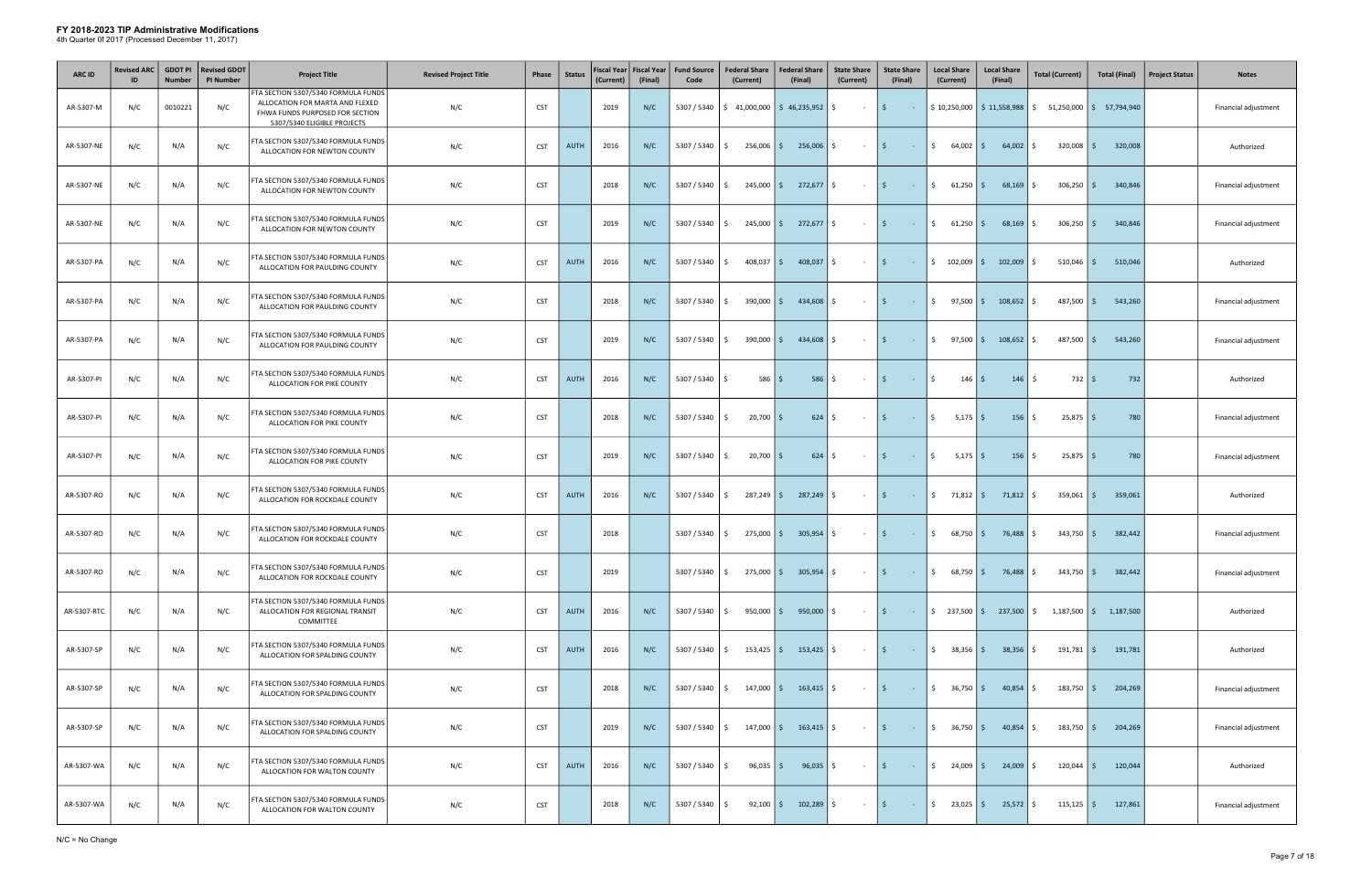| ARC ID      | <b>Revised ARC</b><br>ID | <b>GDOT PI</b><br><b>Number</b> | <b>Revised GDOT</b><br><b>PI Number</b> | <b>Project Title</b>                                                                                                                     | <b>Revised Project Title</b> | Phase      | <b>Status</b> | <b>Fiscal Year</b><br>(Current) | <b>Fiscal Year</b><br>(Final) | <b>Fund Source</b><br>Code | <b>Federal Share</b><br>(Current)                               | <b>Federal Share</b><br>(Final) | <b>State Share</b><br>(Current) | <b>State Share</b><br>(Final)      | <b>Local Share</b><br>(Current)               | <b>Local Share</b><br>(Final) | <b>Total (Current)</b>                                                                      | <b>Total (Final)</b> | <b>Project Status</b><br><b>Notes</b> |
|-------------|--------------------------|---------------------------------|-----------------------------------------|------------------------------------------------------------------------------------------------------------------------------------------|------------------------------|------------|---------------|---------------------------------|-------------------------------|----------------------------|-----------------------------------------------------------------|---------------------------------|---------------------------------|------------------------------------|-----------------------------------------------|-------------------------------|---------------------------------------------------------------------------------------------|----------------------|---------------------------------------|
| AR-5307-M   | N/C                      | 0010221                         | N/C                                     | FTA SECTION 5307/5340 FORMULA FUNDS<br>ALLOCATION FOR MARTA AND FLEXED<br>FHWA FUNDS PURPOSED FOR SECTION<br>5307/5340 ELIGIBLE PROJECTS | N/C                          | <b>CST</b> |               | 2019                            | N/C                           | 5307 / 5340                | $\frac{1}{2}$ 41,000,000 $\frac{1}{2}$ 46,235,952 $\frac{1}{2}$ |                                 | $\sim$ $-$                      | \$<br>$\sim 100$                   |                                               |                               | $$10,250,000$ $$11,558,988$ $$51,250,000$ $$57,794,940$                                     |                      | Financial adjustment                  |
| AR-5307-NE  | N/C                      | N/A                             | N/C                                     | FTA SECTION 5307/5340 FORMULA FUNDS<br>ALLOCATION FOR NEWTON COUNTY                                                                      | N/C                          | <b>CST</b> | <b>AUTH</b>   | 2016                            | N/C                           | 5307 / 5340                | 256,006 \$<br>S.                                                | 256,006                         | S.<br>$\sim$                    | \$<br>$\sim 10^{-11}$              | \$<br>$64,002$ \$                             | 64,002                        | $320,008$   \$<br>S.                                                                        | 320,008              | Authorized                            |
| AR-5307-NE  | N/C                      | N/A                             | N/C                                     | FTA SECTION 5307/5340 FORMULA FUNDS<br>ALLOCATION FOR NEWTON COUNTY                                                                      | N/C                          | <b>CST</b> |               | 2018                            | N/C                           | 5307 / 5340                | $245,000$   \$<br>S.                                            | 272,677                         | \$<br>$\sim$ $-$                | l \$<br><b>Contract</b>            | $\ddot{\mathsf{S}}$<br>$61,250$ $\frac{2}{5}$ | $68,169$ \$                   | 306,250                                                                                     | 340,846<br>l \$      | Financial adjustment                  |
| AR-5307-NE  | N/C                      | N/A                             | N/C                                     | FTA SECTION 5307/5340 FORMULA FUNDS<br>ALLOCATION FOR NEWTON COUNTY                                                                      | N/C                          | <b>CST</b> |               | 2019                            | N/C                           | 5307 / 5340                | $245,000$   \$<br>S.                                            | $272,677$ \$                    | $\sim$ $-$                      | l \$<br>$\sim 10^{-10}$            | $\ddot{\mathsf{S}}$<br>$61,250$ \$            | $68,169$ \$                   | $306,250$ \$                                                                                | 340,846              | Financial adjustment                  |
| AR-5307-PA  | N/C                      | N/A                             | N/C                                     | FTA SECTION 5307/5340 FORMULA FUNDS<br>ALLOCATION FOR PAULDING COUNTY                                                                    | N/C                          | <b>CST</b> | AUTH          | 2016                            | N/C                           | 5307 / 5340                | 408,037<br>Ŝ.                                                   | 408,037<br>l \$ l               | Ŝ.<br>$\sim$ $-$                | l \$<br>$\sim$ $-$                 | \$102,009                                     | 102,009<br>l \$               | 510,046                                                                                     | 510,046<br>l \$      | Authorized                            |
| AR-5307-PA  | N/C                      | N/A                             | N/C                                     | FTA SECTION 5307/5340 FORMULA FUNDS<br>ALLOCATION FOR PAULDING COUNTY                                                                    | N/C                          | <b>CST</b> |               | 2018                            | N/C                           | 5307 / 5340                | 390,000 \$<br>Ś.                                                | 434,608                         | Ŝ.<br>$\sim$                    | 5<br>$\sim$ $-$                    | $\frac{1}{2}$ 97,500 \$                       | 108,652                       | 487,500<br>-S                                                                               | l \$<br>543,260      | Financial adjustment                  |
| AR-5307-PA  | N/C                      | N/A                             | N/C                                     | FTA SECTION 5307/5340 FORMULA FUNDS<br>ALLOCATION FOR PAULDING COUNTY                                                                    | N/C                          | <b>CST</b> |               | 2019                            | N/C                           | 5307 / 5340                | $390,000$ $\mid$ \$<br>S.                                       | 434,608                         | Ŝ.<br>$\sim$ $-$                | l \$<br>$\sim 100$                 | $\mathsf{S}$<br>$97,500$ \$                   | 108,652                       | $487,500$ \$                                                                                | 543,260              | Financial adjustment                  |
| AR-5307-PI  | N/C                      | N/A                             | N/C                                     | FTA SECTION 5307/5340 FORMULA FUNDS<br>ALLOCATION FOR PIKE COUNTY                                                                        | N/C                          | <b>CST</b> | AUTH          | 2016                            | N/C                           | 5307 / 5340                | $586$ $\mid$ \$<br>Ŝ.                                           | 586                             | \$<br>$\sim$ $-$                | l \$<br>$\sim 10^{-10}$            | \$<br>$146 \mid \zeta$                        | $146 \mid \xi$                | $732 \mid 5$                                                                                | 732                  | Authorized                            |
| AR-5307-PI  | N/C                      | N/A                             | N/C                                     | FTA SECTION 5307/5340 FORMULA FUNDS<br>ALLOCATION FOR PIKE COUNTY                                                                        | N/C                          | <b>CST</b> |               | 2018                            | N/C                           | 5307 / 5340                | $20,700$ \$<br>Ŝ.                                               | 624                             | \$<br>$\sim$ $-$                | l \$<br>$\sim 10$                  | \$<br>$5,175$ \$                              | $156 \mid \xi$                | $25,875$ \$                                                                                 | 780                  | Financial adjustment                  |
| AR-5307-PI  | N/C                      | N/A                             | N/C                                     | FTA SECTION 5307/5340 FORMULA FUNDS<br>ALLOCATION FOR PIKE COUNTY                                                                        | N/C                          | <b>CST</b> |               | 2019                            | N/C                           | 5307 / 5340                | $20,700$ \$<br>Ŝ.                                               | $624$ \$                        | $\sim$ $-$                      | l \$<br>$\sim 10^{-11}$            | $\ddot{\mathsf{S}}$<br>$5,175$ \$             | $156 \mid \xi$                | $25,875$ \$                                                                                 | 780                  | Financial adjustment                  |
| AR-5307-RO  | N/C                      | N/A                             | N/C                                     | FTA SECTION 5307/5340 FORMULA FUNDS<br>ALLOCATION FOR ROCKDALE COUNTY                                                                    | N/C                          | <b>CST</b> | AUTH          | 2016                            | N/C                           | 5307 / 5340                | $287,249$ \$<br>S.                                              | 287,249 \$                      | $\sim$ $-$                      | l \$<br>$\sim 100$ km s $^{-1}$    | $\frac{1}{2}$ 71,812 \$                       | $71,812$ \$                   | 359,061                                                                                     | 359,061<br>I\$       | Authorized                            |
| AR-5307-RO  | N/C                      | N/A                             | N/C                                     | FTA SECTION 5307/5340 FORMULA FUNDS<br>ALLOCATION FOR ROCKDALE COUNTY                                                                    | N/C                          | <b>CST</b> |               | 2018                            |                               | 5307 / 5340                | 275,000 \$<br>S.                                                | 305,954 \$                      | $\sim 10^{-11}$                 | $\vert$ \$<br><b>Service State</b> | \$<br>68,750 \$                               | 76,488 \$                     | $343,750$   \$                                                                              | 382,442              | Financial adjustment                  |
| AR-5307-RO  | N/C                      | N/A                             | N/C                                     | FTA SECTION 5307/5340 FORMULA FUNDS<br>ALLOCATION FOR ROCKDALE COUNTY                                                                    | N/C                          | <b>CST</b> |               | 2019                            |                               | 5307 / 5340                | S.                                                              | 275,000   \$ 305,954            | S.<br>$\sim$ $-$                | l \$<br>$\sim 100$                 | \$<br>$68,750$ \$                             | 76,488 \$                     | $343,750$ \$                                                                                | 382,442              | Financial adjustment                  |
| AR-5307-RTC | N/C                      | N/A                             | N/C                                     | FTA SECTION 5307/5340 FORMULA FUNDS<br>ALLOCATION FOR REGIONAL TRANSIT<br>COMMITTEE                                                      | N/C                          | <b>CST</b> | <b>AUTH</b>   | 2016                            | N/C                           | 5307 / 5340                | S.                                                              | 950,000   \$950,000   \$        | $\sim$ 100 $\pm$                | \$<br>$\sim 1000$                  |                                               |                               | $\frac{1}{2}$ 237,500 $\frac{1}{2}$ 237,500 $\frac{1}{2}$ 1,187,500 $\frac{1}{2}$ 1,187,500 |                      | Authorized                            |
| AR-5307-SP  | N/C                      | N/A                             | N/C                                     | FTA SECTION 5307/5340 FORMULA FUNDS<br>ALLOCATION FOR SPALDING COUNTY                                                                    | N/C                          | <b>CST</b> | <b>AUTH</b>   | 2016                            | N/C                           | 5307 / 5340                | $153,425$ \$<br>S.                                              | $153,425$ \$                    | $\sim$ $-$                      | l \$<br>$\sim 100$                 | \$38,356                                      | $38,356$ \$                   | $191,781$ \$                                                                                | 191,781              | Authorized                            |
| AR-5307-SP  | N/C                      | N/A                             | N/C                                     | FTA SECTION 5307/5340 FORMULA FUNDS<br>ALLOCATION FOR SPALDING COUNTY                                                                    | N/C                          | <b>CST</b> |               | 2018                            | N/C                           | 5307 / 5340                | $147,000$ \$<br>S.                                              | $163,415$ \$                    | $\sim 100$                      | \$<br>$\sim 1000$                  | $\frac{1}{2}$ 36,750 \$                       | $40,854$ \$                   | $183,750$ \$                                                                                | 204,269              | Financial adjustment                  |
| AR-5307-SP  | N/C                      | N/A                             | N/C                                     | FTA SECTION 5307/5340 FORMULA FUNDS<br>ALLOCATION FOR SPALDING COUNTY                                                                    | N/C                          | <b>CST</b> |               | 2019                            | N/C                           | 5307 / 5340                | $147,000$ \$<br>S.                                              | $163,415$ \$                    | $\sim$ $-$                      | l \$<br>$\sim 10$                  | $\frac{1}{2}$ 36,750 \$                       | 40,854                        | $183,750$ \$<br>-S                                                                          | 204,269              | Financial adjustment                  |
| AR-5307-WA  | N/C                      | N/A                             | N/C                                     | FTA SECTION 5307/5340 FORMULA FUNDS<br>ALLOCATION FOR WALTON COUNTY                                                                      | N/C                          | <b>CST</b> | <b>AUTH</b>   | 2016                            | N/C                           | 5307 / 5340                | $96,035$ \$<br>Ŝ.                                               | $96,035$ \$                     | $\sim 100$                      | l \$<br>$\sim 10^{-1}$             | $\frac{1}{2}$ 24,009 \$                       | $24,009$ \$                   | $120,044$ \$                                                                                | 120,044              | Authorized                            |
| AR-5307-WA  | N/C                      | N/A                             | N/C                                     | FTA SECTION 5307/5340 FORMULA FUNDS<br>ALLOCATION FOR WALTON COUNTY                                                                      | N/C                          | <b>CST</b> |               | 2018                            | N/C                           | 5307 / 5340                | $92,100$ \$<br>S.                                               | 102,289                         | \$<br>$\sim$ $-$                | \$<br><b>Contract</b>              | $\frac{1}{2}$ 23,025 \$                       | $25,572$ \$                   | $115,125$ \$                                                                                | 127,861              | Financial adjustment                  |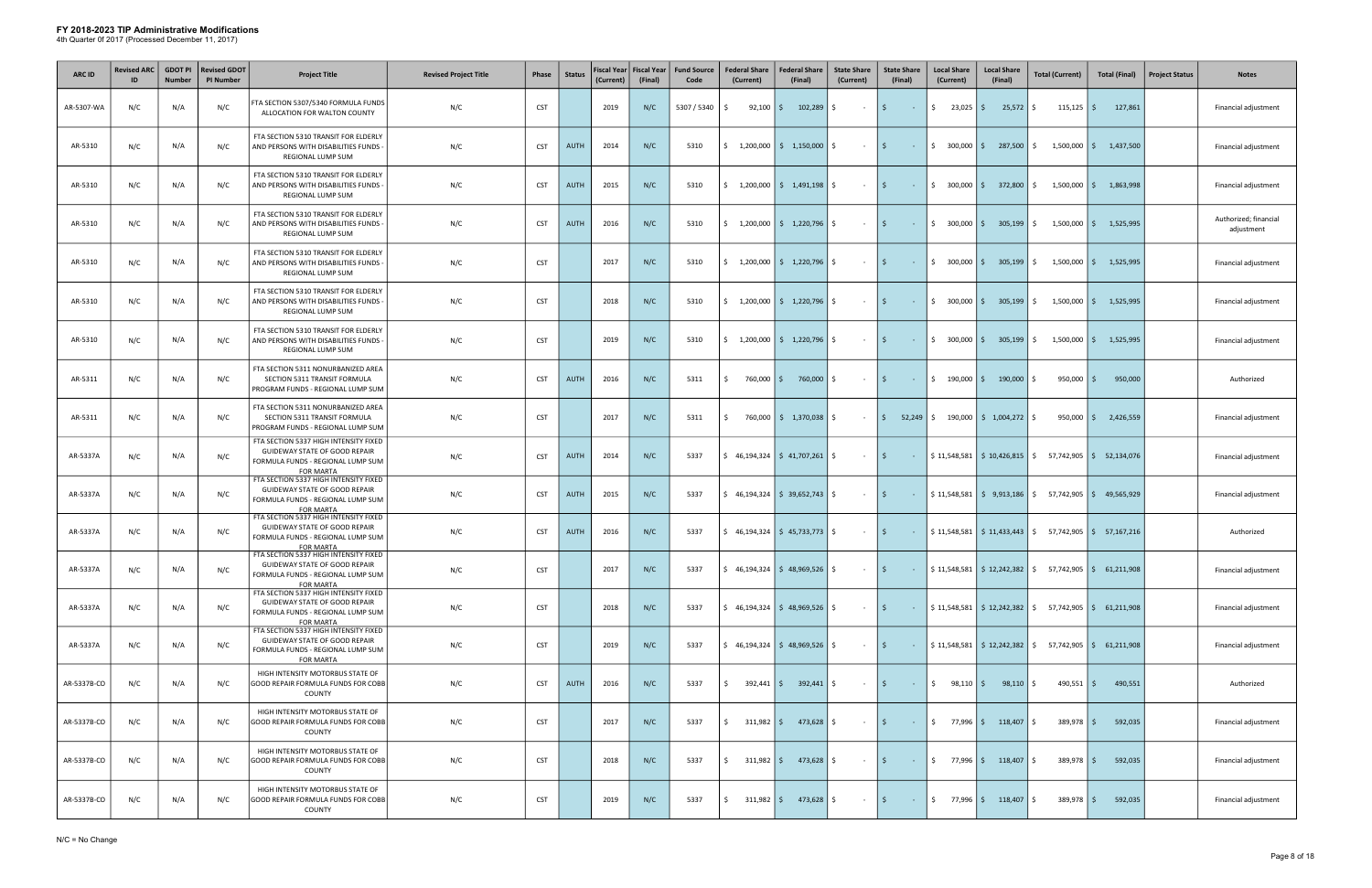| <b>ARC ID</b> | <b>Revised ARC</b><br>ID | <b>GDOT PI</b><br><b>Number</b> | <b>Revised GDOT</b><br><b>PI Number</b> | <b>Project Title</b>                                                                                                                   | <b>Revised Project Title</b> | Phase      | <b>Status</b> | Fiscal Year  <br>(Current) | <b>Fiscal Year</b><br>(Final) | <b>Fund Source</b><br>Code | <b>Federal Share</b><br>(Current)                               | <b>Federal Share</b><br>(Final)                                 | <b>State Share</b><br>(Current) | <b>State Share</b><br>(Final)                                                                                  | <b>Local Share</b><br>(Current) | <b>Local Share</b><br>(Final)                               | <b>Total (Current)</b>                                                                                    | <b>Total (Final)</b>                 | <b>Project Status</b> | <b>Notes</b>                        |
|---------------|--------------------------|---------------------------------|-----------------------------------------|----------------------------------------------------------------------------------------------------------------------------------------|------------------------------|------------|---------------|----------------------------|-------------------------------|----------------------------|-----------------------------------------------------------------|-----------------------------------------------------------------|---------------------------------|----------------------------------------------------------------------------------------------------------------|---------------------------------|-------------------------------------------------------------|-----------------------------------------------------------------------------------------------------------|--------------------------------------|-----------------------|-------------------------------------|
| AR-5307-WA    | N/C                      | N/A                             | N/C                                     | FTA SECTION 5307/5340 FORMULA FUNDS<br>ALLOCATION FOR WALTON COUNTY                                                                    | N/C                          | <b>CST</b> |               | 2019                       | N/C                           | 5307 / 5340                | $92,100$ \$<br>S.                                               | 102,289                                                         | Ŝ.<br>$\sim$ $-$                | 5<br>$\sim 10^{-1}$                                                                                            | $\frac{1}{2}$ 23,025 \$         | $25,572$ \$                                                 | $115,125$ \$                                                                                              | 127,861                              |                       | Financial adjustment                |
| AR-5310       | N/C                      | N/A                             | N/C                                     | FTA SECTION 5310 TRANSIT FOR ELDERLY<br>AND PERSONS WITH DISABILITIES FUNDS<br>REGIONAL LUMP SUM                                       | N/C                          | <b>CST</b> | <b>AUTH</b>   | 2014                       | N/C                           | 5310                       |                                                                 | $\frac{1}{2}$ 1,200,000 $\frac{1}{2}$ 1,150,000                 | S.<br>$\sim$                    | l \$<br>$\sim 10^{-11}$                                                                                        |                                 | $\frac{1}{2}$ 300,000 $\frac{1}{2}$ 287,500                 | S.                                                                                                        | $1,500,000$ $\binom{6}{5}$ 1,437,500 |                       | Financial adjustment                |
| AR-5310       | N/C                      | N/A                             | N/C                                     | FTA SECTION 5310 TRANSIT FOR ELDERLY<br>AND PERSONS WITH DISABILITIES FUNDS<br>REGIONAL LUMP SUM                                       | N/C                          | <b>CST</b> | <b>AUTH</b>   | 2015                       | N/C                           | 5310                       | Ŝ.<br>1,200,000                                                 | \$1,491,198                                                     | Ŝ.<br>$\sim$                    | l \$<br>$\sim 100$                                                                                             | $$300,000$ \$                   | 372,800                                                     | 1,500,000<br>S.                                                                                           | 1,863,998<br>Is.                     |                       | Financial adjustment                |
| AR-5310       | N/C                      | N/A                             | N/C                                     | FTA SECTION 5310 TRANSIT FOR ELDERLY<br>AND PERSONS WITH DISABILITIES FUNDS<br>REGIONAL LUMP SUM                                       | N/C                          | <b>CST</b> | <b>AUTH</b>   | 2016                       | N/C                           | 5310                       | \$1,200,000                                                     | $\frac{1}{2}$ 1,220,796                                         | Ŝ.<br>$\sim$ $-$                | l \$<br>$\sim 100$                                                                                             | $$300,000$ \$                   | 305,199                                                     | $1,500,000$ \$<br>-S                                                                                      | 1,525,995                            |                       | Authorized; financial<br>adjustment |
| AR-5310       | N/C                      | N/A                             | N/C                                     | FTA SECTION 5310 TRANSIT FOR ELDERLY<br>AND PERSONS WITH DISABILITIES FUNDS<br>REGIONAL LUMP SUM                                       | N/C                          | <b>CST</b> |               | 2017                       | N/C                           | 5310                       |                                                                 | $\frac{1}{2}$ 1,200,000 $\frac{1}{2}$ 1,220,796                 | Ŝ.<br>$\sim$                    | 5<br>$\sim$ $-$                                                                                                | $$300,000$ $$$                  | 305,199                                                     | Ŝ.<br>$1,500,000$   \$                                                                                    | 1,525,995                            |                       | Financial adjustment                |
| AR-5310       | N/C                      | N/A                             | N/C                                     | FTA SECTION 5310 TRANSIT FOR ELDERLY<br>AND PERSONS WITH DISABILITIES FUNDS<br>REGIONAL LUMP SUM                                       | N/C                          | <b>CST</b> |               | 2018                       | N/C                           | 5310                       |                                                                 | $\frac{1}{2}$ 1,200,000 $\frac{1}{2}$ 1,220,796                 | Ŝ.<br>$\sim$                    | 5<br>$\sim$                                                                                                    | $$300,000$ \$                   | 305,199                                                     |                                                                                                           | $1,500,000$ \$ 1,525,995             |                       | Financial adjustment                |
| AR-5310       | N/C                      | N/A                             | N/C                                     | FTA SECTION 5310 TRANSIT FOR ELDERLY<br>AND PERSONS WITH DISABILITIES FUNDS<br><b>REGIONAL LUMP SUM</b>                                | N/C                          | <b>CST</b> |               | 2019                       | N/C                           | 5310                       | \$                                                              | $1,200,000$ \$ 1,220,796                                        | Ŝ.<br>$\sim$ $-$                | l \$<br>$\sim 100$                                                                                             | $$300,000$ \$                   | 305,199                                                     | $1,500,000$ \$<br>S.                                                                                      | 1,525,995                            |                       | Financial adjustment                |
| AR-5311       | N/C                      | N/A                             | N/C                                     | FTA SECTION 5311 NONURBANIZED AREA<br>SECTION 5311 TRANSIT FORMULA<br>PROGRAM FUNDS - REGIONAL LUMP SUM                                | N/C                          | <b>CST</b> | <b>AUTH</b>   | 2016                       | N/C                           | 5311                       | 760,000 \$<br>\$                                                | 760,000                                                         | Ŝ.<br>$\sim$ $-$                | l \$<br>$\sim 10^{-1}$                                                                                         | $$190,000$ \$                   | 190,000                                                     | 950,000<br>S.                                                                                             | 950,000<br>l \$                      |                       | Authorized                          |
| AR-5311       | N/C                      | N/A                             | N/C                                     | FTA SECTION 5311 NONURBANIZED AREA<br>SECTION 5311 TRANSIT FORMULA<br>PROGRAM FUNDS - REGIONAL LUMP SUM                                | N/C                          | <b>CST</b> |               | 2017                       | N/C                           | 5311                       | \$                                                              | 760,000   \$ 1,370,038                                          | Ŝ.<br>$\sim$ $-$                | $\vert$ \$<br>52,249                                                                                           |                                 | $\frac{1}{2}$ 190,000 $\frac{1}{2}$ 1,004,272 $\frac{1}{2}$ |                                                                                                           | $950,000$ $\frac{2}{9}$ 2,426,559    |                       | Financial adjustment                |
| AR-5337A      | N/C                      | N/A                             | N/C                                     | FTA SECTION 5337 HIGH INTENSITY FIXED<br><b>GUIDEWAY STATE OF GOOD REPAIR</b><br>FORMULA FUNDS - REGIONAL LUMP SUM<br><b>FOR MARTA</b> | N/C                          | <b>CST</b> | <b>AUTH</b>   | 2014                       | N/C                           | 5337                       |                                                                 | $\frac{1}{2}$ 46,194,324 $\frac{1}{2}$ 41,707,261 $\frac{1}{2}$ | $\sim$ $-$                      | l \$<br>$\sim 100$                                                                                             |                                 |                                                             | $\frac{1}{2}$ 11,548,581   $\frac{1}{2}$ 10,426,815   $\frac{1}{2}$ 57,742,905   $\frac{1}{2}$ 52,134,076 |                                      |                       | Financial adjustment                |
| AR-5337A      | N/C                      | N/A                             | N/C                                     | FTA SECTION 5337 HIGH INTENSITY FIXED<br>GUIDEWAY STATE OF GOOD REPAIR<br>FORMULA FUNDS - REGIONAL LUMP SUM<br><b>FOR MARTA</b>        | N/C                          | <b>CST</b> | <b>AUTH</b>   | 2015                       | N/C                           | 5337                       | $\frac{1}{2}$ 46,194,324 $\frac{1}{2}$ 39,652,743 $\frac{1}{2}$ |                                                                 | $\sim$ $-$                      | l \$ l<br>$\sim 1000$ km s $^{-1}$                                                                             |                                 |                                                             | $$11,548,581$ $$9,913,186$ $$57,742,905$ $$49,565,929$                                                    |                                      |                       | Financial adjustment                |
| AR-5337A      | N/C                      | N/A                             | N/C                                     | FTA SECTION 5337 HIGH INTENSITY FIXED<br>GUIDEWAY STATE OF GOOD REPAIR<br>FORMULA FUNDS - REGIONAL LUMP SUM<br><b>FOR MARTA</b>        | N/C                          | <b>CST</b> | <b>AUTH</b>   | 2016                       | N/C                           | 5337                       |                                                                 | $\frac{1}{2}$ 46,194,324 $\frac{1}{2}$ 45,733,773 $\frac{1}{2}$ | $\sim$ $-$                      | l \$ l<br>$\sim$                                                                                               |                                 |                                                             | $$11,548,581$ $$11,433,443$ $$57,742,905$ $$57,167,216$                                                   |                                      |                       | Authorized                          |
| AR-5337A      | N/C                      | N/A                             | N/C                                     | FTA SECTION 5337 HIGH INTENSITY FIXED<br>GUIDEWAY STATE OF GOOD REPAIR<br>FORMULA FUNDS - REGIONAL LUMP SUM<br><b>FOR MARTA</b>        | N/C                          | <b>CST</b> |               | 2017                       | N/C                           | 5337                       |                                                                 | $\frac{1}{2}$ 46,194,324 $\frac{1}{2}$ 48,969,526 $\frac{1}{2}$ |                                 | l \$                                                                                                           |                                 |                                                             | $$11,548,581$ $$12,242,382$ $$57,742,905$ $$61,211,908$                                                   |                                      |                       | Financial adjustment                |
| AR-5337A      | N/C                      | N/A                             | N/C                                     | FTA SECTION 5337 HIGH INTENSITY FIXED<br>GUIDEWAY STATE OF GOOD REPAIR<br>FORMULA FUNDS - REGIONAL LUMP SUM<br>FOR MARTA               | N/C                          | <b>CST</b> |               | 2018                       | N/C                           | 5337                       | $\frac{1}{2}$ 46,194,324 $\frac{1}{2}$ 48,969,526 $\frac{1}{2}$ |                                                                 | $\sim 100$                      | l \$<br>$\sim 100$                                                                                             |                                 |                                                             | $\frac{1}{2}$ 11,548,581 $\frac{1}{2}$ 12,242,382 $\frac{1}{2}$ 57,742,905 $\frac{1}{2}$ 61,211,908       |                                      |                       | Financial adjustment                |
| AR-5337A      | N/C                      | N/A                             | N/C                                     | FTA SECTION 5337 HIGH INTENSITY FIXED<br><b>GUIDEWAY STATE OF GOOD REPAIR</b><br>FORMULA FUNDS - REGIONAL LUMP SUM<br><b>FOR MARTA</b> | N/C                          | <b>CST</b> |               | 2019                       | N/C                           | 5337                       |                                                                 | $\frac{1}{2}$ 46,194,324 $\frac{1}{2}$ 48,969,526 $\frac{1}{2}$ | $\sim 10^{-1}$                  | l \$ l<br>$\sim 100$                                                                                           |                                 |                                                             | $\frac{1}{2}$ 11,548,581   $\frac{1}{2}$ 12,242,382   $\frac{1}{2}$ 57,742,905   $\frac{1}{2}$ 61,211,908 |                                      |                       | Financial adjustment                |
| AR-5337B-CO   | N/C                      | N/A                             | N/C                                     | HIGH INTENSITY MOTORBUS STATE OF<br>GOOD REPAIR FORMULA FUNDS FOR COBB<br>COUNTY                                                       | N/C                          | <b>CST</b> | <b>AUTH</b>   | 2016                       | N/C                           | 5337                       | Ś.                                                              | 392,441   \$392,441   \$                                        | $\sim 100$                      | l \$<br><b>Contact</b>                                                                                         | $\mathsf{S}$<br>$98,110$ \$     | $98,110$ \$                                                 | 490,551                                                                                                   | 490,551<br>l s                       |                       | Authorized                          |
| AR-5337B-CO   | N/C                      | N/A                             | N/C                                     | HIGH INTENSITY MOTORBUS STATE OF<br>GOOD REPAIR FORMULA FUNDS FOR COBB<br>COUNTY                                                       | N/C                          | <b>CST</b> |               | 2017                       | N/C                           | 5337                       | $\mathsf{\$}$                                                   | $311,982$ $\mid \xi$ 473,628 $\mid \xi$                         | $\sim 100$ km s $^{-1}$         | $\vert$ \$<br>$\mathcal{L}^{\mathcal{L}}(\mathbb{R}^{d})$ . In the $\mathcal{L}^{\mathcal{L}}(\mathbb{R}^{d})$ |                                 | $\frac{1}{2}$ 77,996 $\frac{1}{2}$ 118,407 $\frac{1}{2}$    | $389,978$ \$                                                                                              | 592,035                              |                       | Financial adjustment                |
| AR-5337B-CO   | N/C                      | N/A                             | N/C                                     | HIGH INTENSITY MOTORBUS STATE OF<br>GOOD REPAIR FORMULA FUNDS FOR COBB<br>COUNTY                                                       | N/C                          | <b>CST</b> |               | 2018                       | N/C                           | 5337                       | \$                                                              | $311,982$ $\frac{2}{3}$ $473,628$ $\frac{2}{3}$                 | $\sim$ $-$                      | l \$<br>$\sim 10^{-10}$                                                                                        |                                 | $\frac{1}{2}$ 77,996 $\frac{1}{2}$ 118,407 $\frac{1}{2}$    | $389,978$ \$                                                                                              | 592,035                              |                       | Financial adjustment                |
| AR-5337B-CO   | N/C                      | N/A                             | N/C                                     | HIGH INTENSITY MOTORBUS STATE OF<br>GOOD REPAIR FORMULA FUNDS FOR COBB<br>COUNTY                                                       | N/C                          | <b>CST</b> |               | 2019                       | N/C                           | 5337                       | \$                                                              | $311,982$ $\frac{2}{3}$ $473,628$ $\frac{2}{3}$                 | $\sim$ $-$                      | \$<br>$\sim 10^{-10}$                                                                                          |                                 | $\frac{1}{2}$ 77,996 $\frac{1}{2}$ 118,407 $\frac{1}{2}$    | $389,978$ \$                                                                                              | 592,035                              |                       | Financial adjustment                |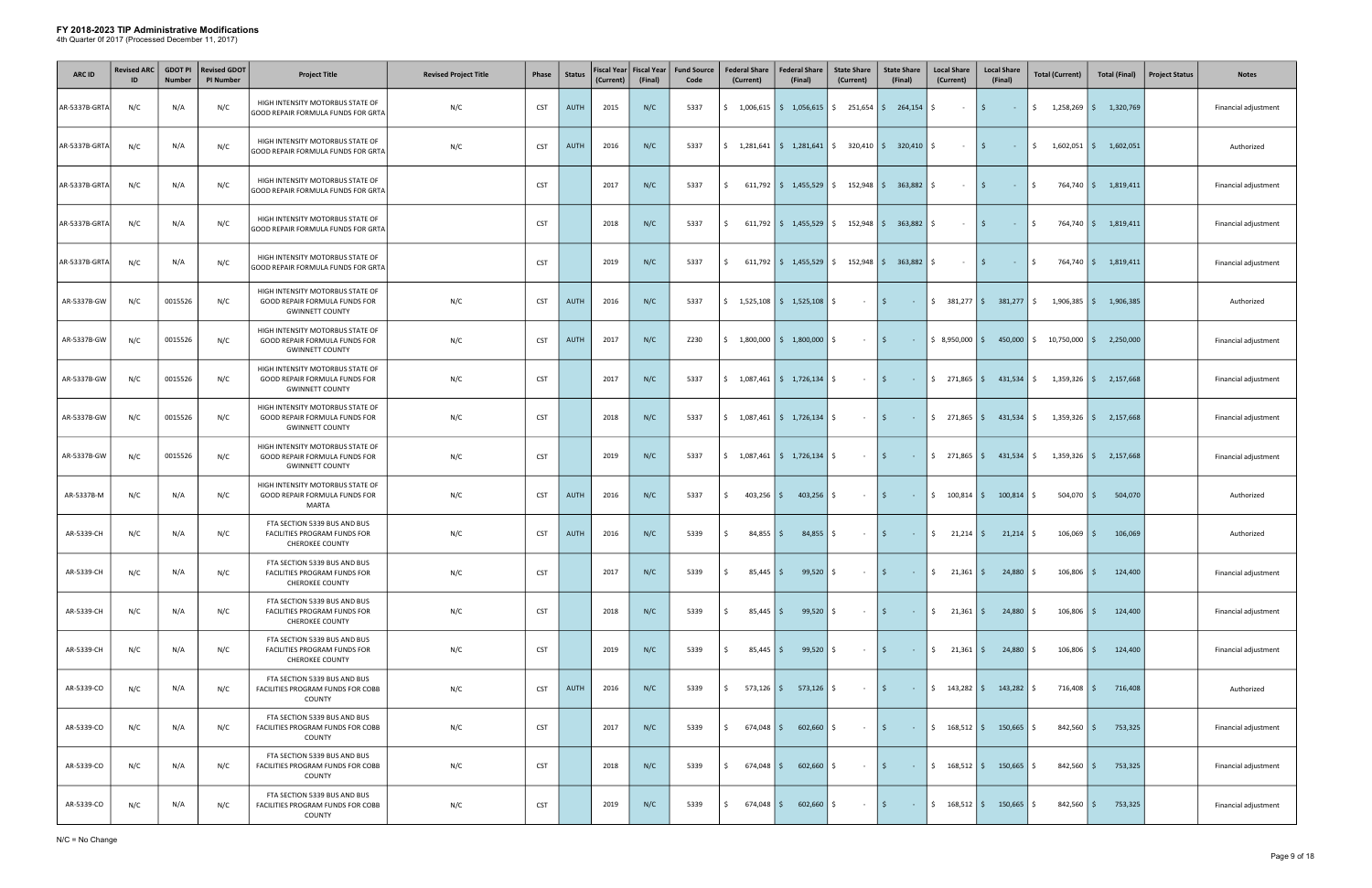| <b>ARC ID</b> | <b>Revised ARC</b> | <b>GDOT PI</b><br><b>Number</b> | <b>Revised GDOT</b><br><b>PI Number</b> | <b>Project Title</b>                                                                        | <b>Revised Project Title</b> | Phase      | <b>Status</b> | (Current) | Fiscal Year   Fiscal Year<br>(Final) | <b>Fund Source</b><br>Code | <b>Federal Share</b><br>(Current) | <b>Federal Share</b><br>(Final)                               | <b>State Share</b><br>(Current) | <b>State Share</b><br>(Final)                 | <b>Local Share</b><br>(Current)                                                                                                                                                                                                                                                                                     | <b>Local Share</b><br>(Final)    | <b>Total (Current)</b>                                          | <b>Total (Final)</b>                            | <b>Project Status</b> | <b>Notes</b>         |
|---------------|--------------------|---------------------------------|-----------------------------------------|---------------------------------------------------------------------------------------------|------------------------------|------------|---------------|-----------|--------------------------------------|----------------------------|-----------------------------------|---------------------------------------------------------------|---------------------------------|-----------------------------------------------|---------------------------------------------------------------------------------------------------------------------------------------------------------------------------------------------------------------------------------------------------------------------------------------------------------------------|----------------------------------|-----------------------------------------------------------------|-------------------------------------------------|-----------------------|----------------------|
| AR-5337B-GRTA | N/C                | N/A                             | N/C                                     | HIGH INTENSITY MOTORBUS STATE OF<br>GOOD REPAIR FORMULA FUNDS FOR GRTA                      | N/C                          | <b>CST</b> | <b>AUTH</b>   | 2015      | N/C                                  | 5337                       |                                   | $\frac{1}{2}$ 1,006,615 $\frac{1}{2}$ 1,056,615               |                                 | $\frac{1}{2}$ 251,654 $\frac{1}{2}$ 264,154   | S.<br>$\sim$                                                                                                                                                                                                                                                                                                        | $\mathsf{S}$<br>$\sim$ $ \sim$   |                                                                 | $\frac{1}{2}$ 1,258,269 $\frac{1}{2}$ 1,320,769 |                       | Financial adjustment |
| AR-5337B-GRTA | N/C                | N/A                             | N/C                                     | HIGH INTENSITY MOTORBUS STATE OF<br>GOOD REPAIR FORMULA FUNDS FOR GRTA                      | N/C                          | <b>CST</b> | <b>AUTH</b>   | 2016      | N/C                                  | 5337                       |                                   | $\frac{1}{2}$ 1,281,641   $\frac{1}{2}$ 1,281,641             |                                 | $\frac{1}{2}$ 320,410   $\frac{1}{2}$ 320,410 | S.<br>$\sim$                                                                                                                                                                                                                                                                                                        | I\$.<br>$\sim 10^{-10}$          | $\frac{1}{2}$ 1,602,051 $\frac{1}{2}$ 1,602,051                 |                                                 |                       | Authorized           |
| AR-5337B-GRTA | N/C                | N/A                             | N/C                                     | HIGH INTENSITY MOTORBUS STATE OF<br>GOOD REPAIR FORMULA FUNDS FOR GRTA                      |                              | <b>CST</b> |               | 2017      | N/C                                  | 5337                       | S.                                | $611,792$   \$ 1,455,529                                      |                                 | $\frac{152,948}{5}$ 363,882 \ \$              | $\sim$ 10 $\pm$                                                                                                                                                                                                                                                                                                     | I\$.<br>$\sim 1000$ km s $^{-1}$ | \$                                                              | 764,740   \$1,819,411                           |                       | Financial adjustment |
| AR-5337B-GRTA | N/C                | N/A                             | N/C                                     | HIGH INTENSITY MOTORBUS STATE OF<br>GOOD REPAIR FORMULA FUNDS FOR GRTA                      |                              | <b>CST</b> |               | 2018      | N/C                                  | 5337                       | \$                                | $611,792$   \$ 1,455,529                                      |                                 | $\frac{152,948}{5}$ 363,882 \ \$              | $\sim$ $-$                                                                                                                                                                                                                                                                                                          | $15 -$<br>$\sim 10^{-10}$        | \$                                                              | 764,740   \$1,819,411                           |                       | Financial adjustment |
| AR-5337B-GRTA | N/C                | N/A                             | N/C                                     | HIGH INTENSITY MOTORBUS STATE OF<br>GOOD REPAIR FORMULA FUNDS FOR GRTA                      |                              | <b>CST</b> |               | 2019      | N/C                                  | 5337                       | Ŝ.                                | $611,792$ $\mid$ \$ 1,455,529                                 | \$152,948                       | $363,882$ \$                                  | $\sim$ 10 $\pm$                                                                                                                                                                                                                                                                                                     | l \$<br>$\sim 10^{-1}$           | \$                                                              | 764,740   \$1,819,411                           |                       | Financial adjustment |
| AR-5337B-GW   | N/C                | 0015526                         | N/C                                     | HIGH INTENSITY MOTORBUS STATE OF<br>GOOD REPAIR FORMULA FUNDS FOR<br><b>GWINNETT COUNTY</b> | N/C                          | <b>CST</b> | <b>AUTH</b>   | 2016      | N/C                                  | 5337                       |                                   | $\frac{1}{2}$ 1,525,108 $\frac{1}{2}$ 1,525,108               | Ŝ.<br>$\sim$ $-$                | l \$<br>$\sim 100$                            | $$381,277$ \$                                                                                                                                                                                                                                                                                                       | 381,277                          | S.                                                              | $1,906,385$ $\frac{2}{5}$ 1,906,385             |                       | Authorized           |
| AR-5337B-GW   | N/C                | 0015526                         | N/C                                     | HIGH INTENSITY MOTORBUS STATE OF<br>GOOD REPAIR FORMULA FUNDS FOR<br><b>GWINNETT COUNTY</b> | N/C                          | <b>CST</b> | <b>AUTH</b>   | 2017      | N/C                                  | Z230                       | 5                                 | $1,800,000$ \$ 1,800,000 \$                                   | $\sim 10^{-11}$                 | $\vert$ \$<br><b>Contractor</b>               | $\frac{1}{2}$ 8,950,000 \$                                                                                                                                                                                                                                                                                          | 450,000                          | $10,750,000$ \$<br>S.                                           | 2,250,000                                       |                       | Financial adjustment |
| AR-5337B-GW   | N/C                | 0015526                         | N/C                                     | HIGH INTENSITY MOTORBUS STATE OF<br>GOOD REPAIR FORMULA FUNDS FOR<br><b>GWINNETT COUNTY</b> | N/C                          | <b>CST</b> |               | 2017      | N/C                                  | 5337                       |                                   |                                                               | $ \frac{1}{2}$                  |                                               | $-\frac{1}{2}$ \$ 271,865 \$                                                                                                                                                                                                                                                                                        |                                  | $431,534$ \$ $1,359,326$ \$ 2,157,668                           |                                                 |                       | Financial adjustment |
| AR-5337B-GW   | N/C                | 0015526                         | N/C                                     | HIGH INTENSITY MOTORBUS STATE OF<br>GOOD REPAIR FORMULA FUNDS FOR<br><b>GWINNETT COUNTY</b> | N/C                          | <b>CST</b> |               | 2018      | N/C                                  | 5337                       |                                   | $\frac{1}{2}$ 1,087,461 $\frac{1}{2}$ 1,726,134 $\frac{1}{2}$ | $ \frac{1}{2}$                  |                                               |                                                                                                                                                                                                                                                                                                                     |                                  |                                                                 | $1,359,326$ \$ 2,157,668                        |                       | Financial adjustment |
| AR-5337B-GW   | N/C                | 0015526                         | N/C                                     | HIGH INTENSITY MOTORBUS STATE OF<br>GOOD REPAIR FORMULA FUNDS FOR<br><b>GWINNETT COUNTY</b> | N/C                          | <b>CST</b> |               | 2019      | N/C                                  | 5337                       |                                   | $\frac{1}{2}$ 1,087,461 $\frac{1}{2}$ 1,726,134 $\frac{1}{2}$ | $\sim 10^{-11}$                 | l \$<br><b>Contractor</b>                     |                                                                                                                                                                                                                                                                                                                     |                                  | $ \xi$ 271,865 $ \xi$ 431,534 $ \xi$ 1,359,326 $ \xi$ 2,157,668 |                                                 |                       | Financial adjustment |
| AR-5337B-M    | N/C                | N/A                             | N/C                                     | HIGH INTENSITY MOTORBUS STATE OF<br>GOOD REPAIR FORMULA FUNDS FOR<br><b>MARTA</b>           | N/C                          | <b>CST</b> | <b>AUTH</b>   | 2016      | N/C                                  | 5337                       | $403,256$ \$<br>Ŝ.                | 403,256                                                       | \$<br>$\sim$ $-$                | l \$ l<br><b>Contractor</b>                   | $\frac{100,814}{5}$                                                                                                                                                                                                                                                                                                 | 100,814                          | $504,070$ \$                                                    | 504,070                                         |                       | Authorized           |
| AR-5339-CH    | N/C                | N/A                             | N/C                                     | FTA SECTION 5339 BUS AND BUS<br>FACILITIES PROGRAM FUNDS FOR<br><b>CHEROKEE COUNTY</b>      | N/C                          | <b>CST</b> | <b>AUTH</b>   | 2016      | N/C                                  | 5339                       | Ŝ.<br>$84,855$ $\frac{2}{3}$      | $84,855$ $\frac{2}{3}$                                        | $ \frac{1}{2}$                  |                                               | $\frac{1}{2}$ $\frac{1}{2}$ $\frac{1}{2}$ $\frac{1}{2}$ $\frac{1}{2}$ $\frac{1}{2}$ $\frac{1}{2}$ $\frac{1}{2}$ $\frac{1}{2}$ $\frac{1}{2}$ $\frac{1}{2}$ $\frac{1}{2}$ $\frac{1}{2}$ $\frac{1}{2}$ $\frac{1}{2}$ $\frac{1}{2}$ $\frac{1}{2}$ $\frac{1}{2}$ $\frac{1}{2}$ $\frac{1}{2}$ $\frac{1}{2}$ $\frac{1}{2}$ | $21,214$ \$                      | $106,069$ \$                                                    | 106,069                                         |                       | Authorized           |
| AR-5339-CH    | N/C                | N/A                             | N/C                                     | FTA SECTION 5339 BUS AND BUS<br>FACILITIES PROGRAM FUNDS FOR<br><b>CHEROKEE COUNTY</b>      | N/C                          | <b>CST</b> |               | 2017      | N/C                                  | 5339                       | Ŝ.<br>$85,445$ $\frac{2}{3}$      | 99,520                                                        | S.<br>$\sim$                    | l \$<br>$\sim 100$                            | S.<br>$21,361$ \$                                                                                                                                                                                                                                                                                                   | $24,880$ \$                      | $106,806$ \$                                                    | 124,400                                         |                       | Financial adjustment |
| AR-5339-CH    | N/C                | N/A                             | N/C                                     | FTA SECTION 5339 BUS AND BUS<br>FACILITIES PROGRAM FUNDS FOR<br><b>CHEROKEE COUNTY</b>      | N/C                          | <b>CST</b> |               | 2018      | N/C                                  | 5339                       | $85,445$ \$<br>Ŝ.                 | 99,520                                                        | \$<br>$\sim 10^{-11}$           | l \$<br>$\sim 100$                            | $\frac{1}{2}$ 21,361 \$                                                                                                                                                                                                                                                                                             | 24,880                           | $106,806$ \$<br>S.                                              | 124,400                                         |                       | Financial adjustment |
| AR-5339-CH    | N/C                | N/A                             | N/C                                     | FTA SECTION 5339 BUS AND BUS<br>FACILITIES PROGRAM FUNDS FOR<br><b>CHEROKEE COUNTY</b>      | N/C                          | <b>CST</b> |               | 2019      | N/C                                  | 5339                       | $85,445$ \$<br>Ŝ.                 | 99,520                                                        | S.<br>$\sim$                    | l \$ l<br>$\sim 100$                          | $\frac{1}{2}$ 21,361 \$                                                                                                                                                                                                                                                                                             | 24,880                           | $106,806$ \$<br>S.                                              | 124,400                                         |                       | Financial adjustment |
| AR-5339-CO    | N/C                | N/A                             | N/C                                     | FTA SECTION 5339 BUS AND BUS<br>FACILITIES PROGRAM FUNDS FOR COBB<br>COUNTY                 | N/C                          | <b>CST</b> | <b>AUTH</b>   | 2016      | N/C                                  | 5339                       | \$                                | 573,126   \$ 573,126   \$                                     | $\sim 10^{-11}$                 | I \$<br><b>Contract</b>                       | $\frac{1}{2}$ 143,282 \$                                                                                                                                                                                                                                                                                            | $143,282$ \$                     | $716,408$ \$                                                    | 716,408                                         |                       | Authorized           |
| AR-5339-CO    | N/C                | N/A                             | N/C                                     | FTA SECTION 5339 BUS AND BUS<br>FACILITIES PROGRAM FUNDS FOR COBB<br>COUNTY                 | N/C                          | <b>CST</b> |               | 2017      | N/C                                  | 5339                       | \$<br>$674,048$ \$                | 602,660                                                       | S.<br>$\sim$ $-$                | I \$<br>$\sim 100$                            | \$168,512                                                                                                                                                                                                                                                                                                           | 150,665                          | $842,560$ \$                                                    | 753,325                                         |                       | Financial adjustment |
| AR-5339-CO    | N/C                | N/A                             | N/C                                     | FTA SECTION 5339 BUS AND BUS<br>FACILITIES PROGRAM FUNDS FOR COBB<br>COUNTY                 | N/C                          | <b>CST</b> |               | 2018      | N/C                                  | 5339                       | Ŝ.<br>674,048 \$                  | 602,660                                                       | Ŝ.<br>$\sim$ $-$                | l \$<br>$\sim 10$                             | $\frac{168,512}{5}$                                                                                                                                                                                                                                                                                                 | 150,665                          | $842,560$ \$<br>S.                                              | 753,325                                         |                       | Financial adjustment |
| AR-5339-CO    | N/C                | N/A                             | N/C                                     | FTA SECTION 5339 BUS AND BUS<br>FACILITIES PROGRAM FUNDS FOR COBB<br>COUNTY                 | N/C                          | <b>CST</b> |               | 2019      | N/C                                  | 5339                       | Ś.<br>$674,048$ \$                | 602,660                                                       | S.<br>$\sim$                    | l \$<br>$\sim 100$ km s $^{-1}$               | $\frac{168,512}{5}$                                                                                                                                                                                                                                                                                                 | 150,665                          | $842,560$ \$<br>-S                                              | 753,325                                         |                       | Financial adjustment |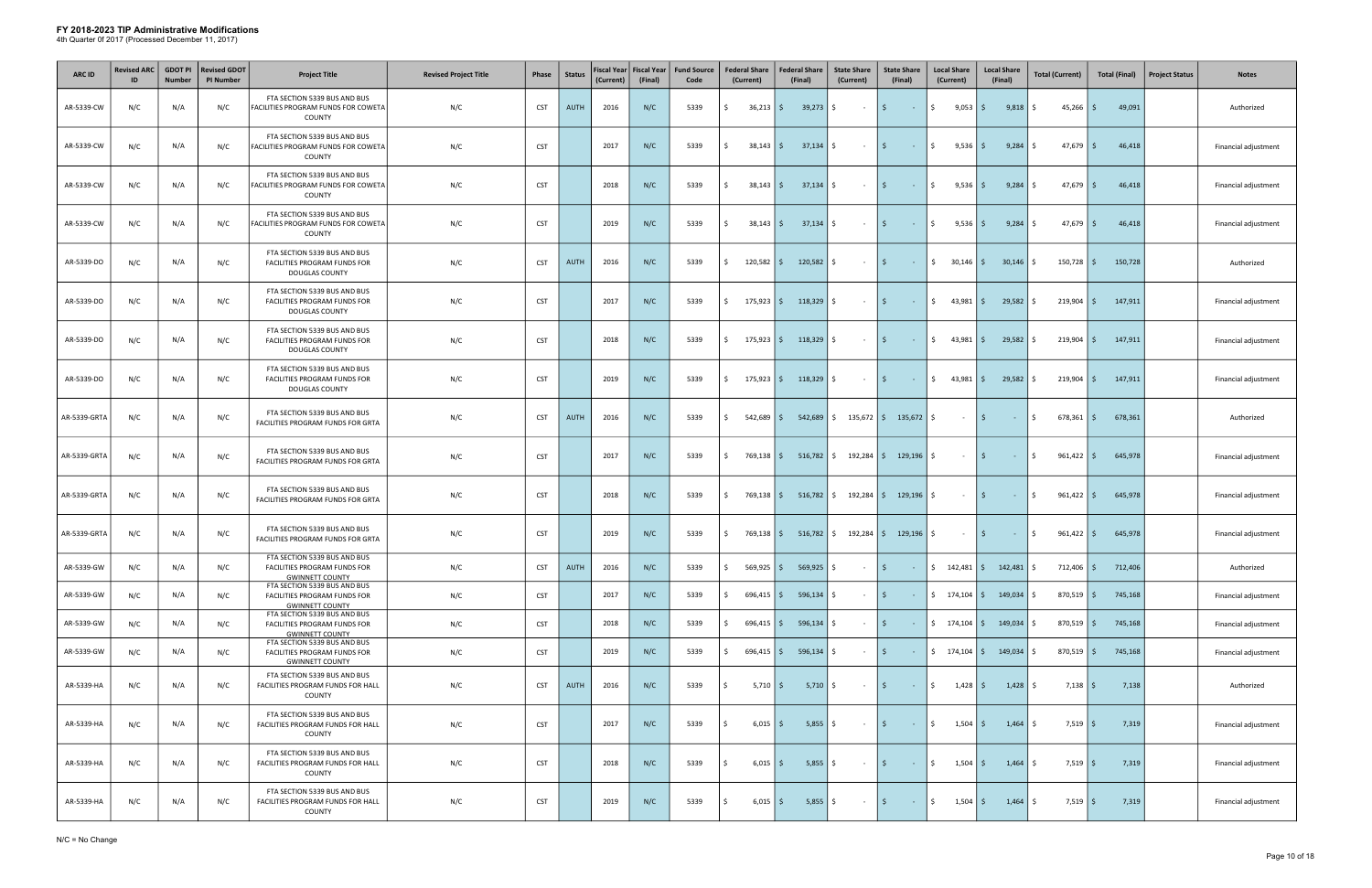| <b>ARC ID</b> | <b>Revised ARC</b><br>ID | <b>GDOT PI</b><br><b>Number</b> | <b>Revised GDOT</b><br><b>PI Number</b> | <b>Project Title</b>                                                                                  | <b>Revised Project Title</b> | Phase      | <b>Status</b> | <b>Fiscal Year</b><br>(Current) | <b>Fiscal Year</b><br>(Final) | <b>Fund Source</b><br>Code | <b>Federal Share</b><br>(Current) | <b>Federal Share</b><br>(Final)           | <b>State Share</b><br>(Current)                | <b>State Share</b><br>(Final)                                                                            | <b>Local Share</b><br>(Current)   | <b>Local Share</b><br>(Final)                             | <b>Total (Current)</b>   | <b>Total (Final)</b> | <b>Project Status</b> | <b>Notes</b>         |
|---------------|--------------------------|---------------------------------|-----------------------------------------|-------------------------------------------------------------------------------------------------------|------------------------------|------------|---------------|---------------------------------|-------------------------------|----------------------------|-----------------------------------|-------------------------------------------|------------------------------------------------|----------------------------------------------------------------------------------------------------------|-----------------------------------|-----------------------------------------------------------|--------------------------|----------------------|-----------------------|----------------------|
| AR-5339-CW    | N/C                      | N/A                             | N/C                                     | FTA SECTION 5339 BUS AND BUS<br>FACILITIES PROGRAM FUNDS FOR COWETA<br>COUNTY                         | N/C                          | <b>CST</b> | AUTH          | 2016                            | N/C                           | 5339                       | $36,213$ \$<br>Ś.                 | $39,273$ \$                               | $\sim$ $-$                                     | $\mathsf{S}$<br>$\sim 100$                                                                               | $\ddot{\mathsf{S}}$<br>$9,053$ \$ | 9,818                                                     | 45,266<br>S.             | 49,091<br>l \$       |                       | Authorized           |
| AR-5339-CW    | N/C                      | N/A                             | N/C                                     | FTA SECTION 5339 BUS AND BUS<br>FACILITIES PROGRAM FUNDS FOR COWETA<br>COUNTY                         | N/C                          | <b>CST</b> |               | 2017                            | N/C                           | 5339                       | Ŝ.<br>$38,143$ \$                 | $37,134$ \$                               | $\sim$ $-$                                     | I\$.<br><b>Contract</b>                                                                                  | \$<br>$9,536$ $\frac{1}{5}$       | $9,284$ \$                                                | 47,679                   | l \$<br>46,418       |                       | Financial adjustment |
| AR-5339-CW    | N/C                      | N/A                             | N/C                                     | FTA SECTION 5339 BUS AND BUS<br>FACILITIES PROGRAM FUNDS FOR COWETA<br>COUNTY                         | N/C                          | <b>CST</b> |               | 2018                            | N/C                           | 5339                       | Ŝ.<br>$38,143$ \$                 | $37,134$ \$                               | $\sim$ $-$                                     | I\$.<br><b>Contract</b>                                                                                  | $\ddot{\mathsf{S}}$<br>$9,536$ \$ | 9,284                                                     | $47,679$ \$<br>I\$.      | 46,418               |                       | Financial adjustment |
| AR-5339-CW    | N/C                      | N/A                             | N/C                                     | FTA SECTION 5339 BUS AND BUS<br>FACILITIES PROGRAM FUNDS FOR COWETA<br>COUNTY                         | N/C                          | <b>CST</b> |               | 2019                            | N/C                           | 5339                       | Ŝ.<br>$38,143$ \$                 | $37,134$ \$                               | $\sim$                                         | l \$<br>$\sim 10^{-10}$                                                                                  | \$<br>$9,536$   \$                | $9,284$ \$                                                | $47,679$ \$              | 46,418               |                       | Financial adjustment |
| AR-5339-DO    | N/C                      | N/A                             | N/C                                     | FTA SECTION 5339 BUS AND BUS<br>FACILITIES PROGRAM FUNDS FOR<br>DOUGLAS COUNTY                        | N/C                          | <b>CST</b> | <b>AUTH</b>   | 2016                            | N/C                           | 5339                       | $120,582$ \$<br>Ś.                | 120,582                                   | S.<br>$\sim$                                   | I\$<br>$\sim 10^{-1}$                                                                                    | $\frac{1}{2}$ 30,146 \$           | 30,146                                                    | 150,728<br>S.            | l \$<br>150,728      |                       | Authorized           |
| AR-5339-DO    | N/C                      | N/A                             | N/C                                     | FTA SECTION 5339 BUS AND BUS<br>FACILITIES PROGRAM FUNDS FOR<br>DOUGLAS COUNTY                        | N/C                          | <b>CST</b> |               | 2017                            | N/C                           | 5339                       | 175,923 \$<br>Ś.                  | 118,329                                   | Ŝ.<br>$\sim$ $-$                               | I\$.<br>$\sim$ $-$                                                                                       | \$<br>43,981                      | 29,582<br>l \$ l                                          | 219,904<br>S.            | l \$<br>147,911      |                       | Financial adjustment |
| AR-5339-DO    | N/C                      | N/A                             | N/C                                     | FTA SECTION 5339 BUS AND BUS<br>FACILITIES PROGRAM FUNDS FOR<br>DOUGLAS COUNTY                        | N/C                          | <b>CST</b> |               | 2018                            | N/C                           | 5339                       | Ŝ.<br>$175,923$ \$                | $118,329$ \$                              | $\sim$ $-$                                     | l \$<br>$\sim 100$ km s $^{-1}$                                                                          | $\frac{1}{2}$<br>$43,981$ \$      | 29,582                                                    | 5<br>219,904             | l \$<br>147,911      |                       | Financial adjustment |
| AR-5339-DO    | N/C                      | N/A                             | N/C                                     | FTA SECTION 5339 BUS AND BUS<br>FACILITIES PROGRAM FUNDS FOR<br>DOUGLAS COUNTY                        | N/C                          | <b>CST</b> |               | 2019                            | N/C                           | 5339                       | \$<br>175,923 \$                  | $118,329$ \$                              | $\sim 10^{-11}$                                | I \$<br>$\sim 100$ km s $^{-1}$                                                                          | $\frac{1}{2}$ 43,981 \$           | $29,582$ \$                                               | $219,904$   \$           | 147,911              |                       | Financial adjustment |
| AR-5339-GRTA  | N/C                      | N/A                             | N/C                                     | FTA SECTION 5339 BUS AND BUS<br>FACILITIES PROGRAM FUNDS FOR GRTA                                     | N/C                          | <b>CST</b> | <b>AUTH</b>   | 2016                            | N/C                           | 5339                       | $542,689$ \$<br>Ŝ.                | 542,689                                   |                                                | $\frac{1}{2}$ 135,672 $\frac{1}{2}$ 135,672                                                              | \$<br>$\sim 10^{-11}$             | l \$<br>$\sim 100$                                        | \$<br>678,361            | 678,361<br>l \$      |                       | Authorized           |
| AR-5339-GRTA  | N/C                      | N/A                             | N/C                                     | FTA SECTION 5339 BUS AND BUS<br>FACILITIES PROGRAM FUNDS FOR GRTA                                     | N/C                          | <b>CST</b> |               | 2017                            | N/C                           | 5339                       | \$                                |                                           | 769,138   \$ 516,782   \$ 192,284   \$ 129,196 |                                                                                                          | \$<br>$\sim$ $-$                  | l \$<br>$\sim 100$                                        | $961,422$ \$<br><b>S</b> | 645,978              |                       | Financial adjustment |
| AR-5339-GRTA  | N/C                      | N/A                             | N/C                                     | FTA SECTION 5339 BUS AND BUS<br>FACILITIES PROGRAM FUNDS FOR GRTA                                     | N/C                          | <b>CST</b> |               | 2018                            | N/C                           | 5339                       | Ŝ.                                |                                           | 769,138 \$516,782 \$192,284 \$129,196 \$       |                                                                                                          | $\sim$ $-$                        | l \$<br>$\alpha$ , $\alpha$ , $\alpha$                    | $961,422$ \$<br>\$       | 645,978              |                       | Financial adjustment |
| AR-5339-GRTA  | N/C                      | N/A                             | N/C                                     | FTA SECTION 5339 BUS AND BUS<br><b>FACILITIES PROGRAM FUNDS FOR GRTA</b>                              | N/C                          | <b>CST</b> |               | 2019                            | N/C                           | 5339                       | \$<br>769,138 \$                  |                                           | 516,782   \$192,284   \$129,196   \$           |                                                                                                          | $ \sqrt{5}$                       | $\mathcal{L}^{\text{max}}_{\text{max}}$                   | I\$<br>$961,422$   \$    | 645,978              |                       | Financial adjustment |
| AR-5339-GW    | N/C                      | N/A                             | N/C                                     | FTA SECTION 5339 BUS AND BUS<br>FACILITIES PROGRAM FUNDS FOR<br><b>GWINNETT COUNTY</b>                | N/C                          | <b>CST</b> | <b>AUTH</b>   | 2016                            | N/C                           | 5339                       | $569,925$ \$<br>Ŝ.                | $569,925$ \$                              | $\sim$ $-$                                     | $\vert$ \$<br>$\sim 100$                                                                                 | $\frac{1}{2}$ 142,481 \$          | $142,481$ \$                                              | $712,406$ \$             | 712,406              |                       | Authorized           |
| AR-5339-GW    | N/C                      | N/A                             | N/C                                     | FTA SECTION 5339 BUS AND BUS<br>FACILITIES PROGRAM FUNDS FOR<br><b>GWINNETT COUNTY</b>                | N/C                          | <b>CST</b> |               | 2017                            | N/C                           | 5339                       | $696,415$ \$<br>Ŝ.                | $596,134$ \$                              | $\sim$ $-$                                     | I\$.<br>$\sim 100$ km s $^{-1}$                                                                          | $\frac{1}{2}$ 174,104 \$          | $149,034$   \$                                            | $870,519$ \$             | 745,168              |                       | Financial adjustment |
| AR-5339-GW    | N/C                      | N/A                             | N/C                                     | FTA SECTION 5339 BUS AND BUS<br>FACILITIES PROGRAM FUNDS FOR<br><b>GWINNETT COUNTY</b>                | N/C                          | <b>CST</b> |               | 2018                            | N/C                           | 5339                       | $696,415$ \$<br>S.                | $596,134$ $\frac{1}{5}$                   | $\sim$ $-$                                     | I\$.<br><b>Contract</b>                                                                                  |                                   | $\frac{1}{2}$ 174,104 $\frac{1}{2}$ 149,034 $\frac{1}{2}$ | $870,519$ \$             | 745,168              |                       | Financial adjustment |
| AR-5339-GW    | N/C                      | N/A                             | N/C                                     | FTA SECTION 5339 BUS AND BUS<br>FACILITIES PROGRAM FUNDS FOR                                          | N/C                          | <b>CST</b> |               | 2019                            | N/C                           | 5339                       | \$                                | $696,415$ $\vert \xi$ 596,134 $\vert \xi$ | $\sim$ $-$                                     | l \$ l<br>$\sim 100$ km s $^{-1}$                                                                        |                                   | $\frac{1}{2}$ 174,104 $\frac{1}{2}$ 149,034 $\frac{1}{2}$ | $870,519$ \$             | 745,168              |                       | Financial adjustment |
| AR-5339-HA    | N/C                      | N/A                             | N/C                                     | <b>GWINNETT COUNTY</b><br>FTA SECTION 5339 BUS AND BUS<br>FACILITIES PROGRAM FUNDS FOR HALL<br>COUNTY | N/C                          | <b>CST</b> | <b>AUTH</b>   | 2016                            | N/C                           | 5339                       | $5,710$ $\mid$ \$<br>Ś.           | $5,710$ \$                                | $\sim 100$                                     | \$<br>$\sim 100$                                                                                         | \$<br>$1,428$ \$                  | $1,428$ \$                                                | $7,138$ \$               | 7,138                |                       | Authorized           |
| AR-5339-HA    | N/C                      | N/A                             | N/C                                     | FTA SECTION 5339 BUS AND BUS<br>FACILITIES PROGRAM FUNDS FOR HALL<br><b>COUNTY</b>                    | N/C                          | <b>CST</b> |               | 2017                            | N/C                           | 5339                       | $6,015$ \$<br>Ś.                  | $5,855$ $\frac{1}{5}$                     | $\sim 100$                                     | l \$<br>$\sim 100$ km s $^{-1}$                                                                          | $\mathsf{S}$<br>$1,504$ \$        | $1,464$ \$                                                | $7,519$ \$               | 7,319                |                       | Financial adjustment |
| AR-5339-HA    | N/C                      | N/A                             | N/C                                     | FTA SECTION 5339 BUS AND BUS<br>FACILITIES PROGRAM FUNDS FOR HALL<br>COUNTY                           | N/C                          | <b>CST</b> |               | 2018                            | N/C                           | 5339                       | $6,015$ \$<br>Ŝ.                  | $5,855$ $\frac{2}{3}$                     | $\sim 100$ km s $^{-1}$                        | l \$<br>$\mathcal{L}^{\mathcal{L}}(\mathbb{R}^{d})$ . In the $\mathcal{L}^{\mathcal{L}}(\mathbb{R}^{d})$ | $\frac{1}{2}$<br>$1,504$ \$       | $1,464$ \$                                                | $7,519$ \$               | 7,319                |                       | Financial adjustment |
| AR-5339-HA    | N/C                      | N/A                             | N/C                                     | FTA SECTION 5339 BUS AND BUS<br>FACILITIES PROGRAM FUNDS FOR HALL<br>COUNTY                           | N/C                          | <b>CST</b> |               | 2019                            | N/C                           | 5339                       | $6,015$ \$<br>Ŝ.                  | $5,855$ $\frac{1}{2}$                     | $\sim 100$                                     | $\vert$ \$<br>$\sim 100$ km s $^{-1}$                                                                    | $\ddot{\mathsf{S}}$<br>$1,504$ \$ | $1,464$ \$                                                | $7,519$ \$               | 7,319                |                       | Financial adjustment |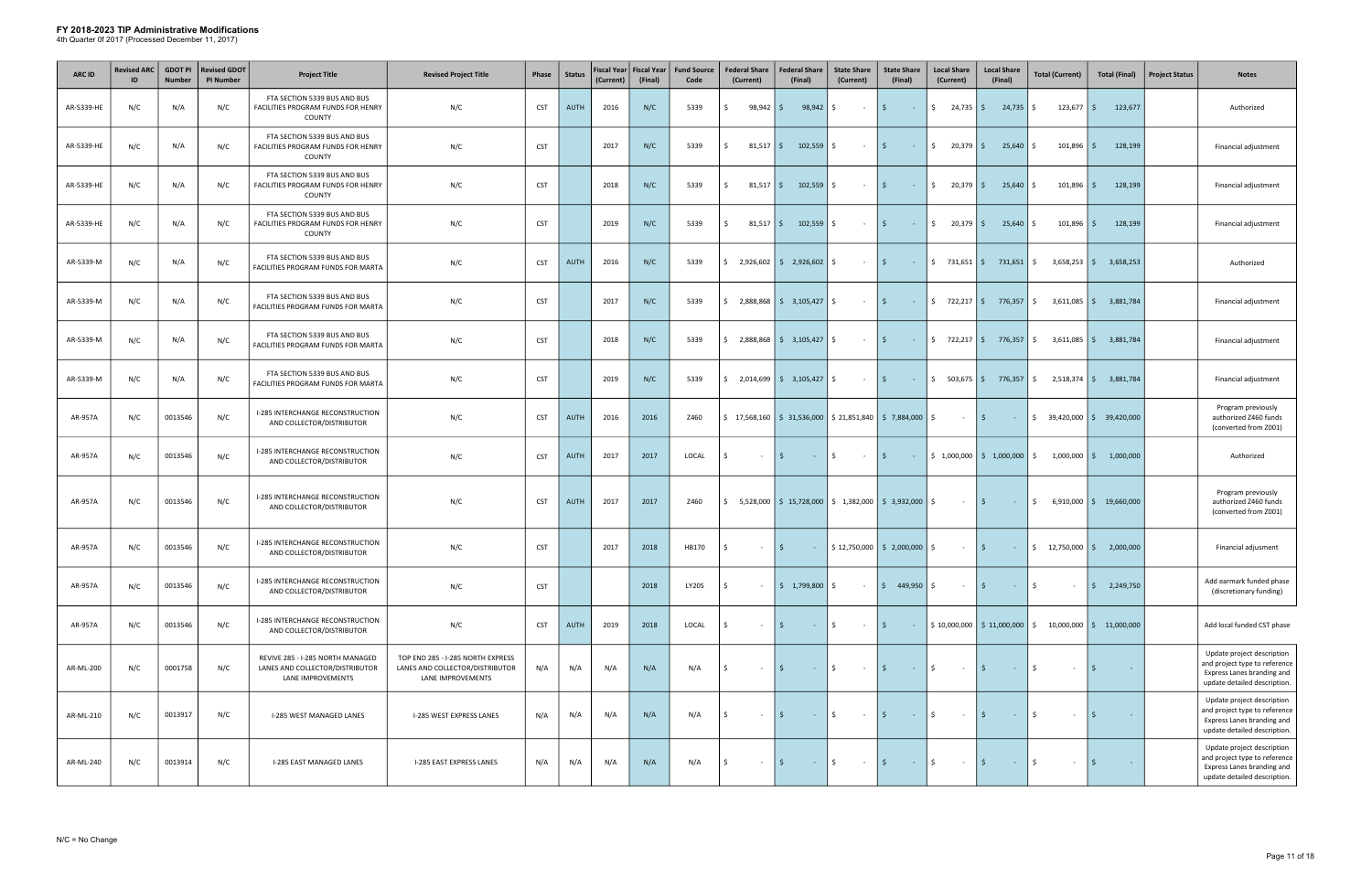| <b>ARC ID</b> | <b>Revised ARC</b><br>ID | <b>GDOT PI</b><br><b>Number</b> | <b>Revised GDOT</b><br><b>PI Number</b> | <b>Project Title</b>                                                                     | <b>Revised Project Title</b>                                                              | Phase      | <b>Status</b> | <b>Fiscal Year</b><br>(Current) | <b>Fiscal Year</b><br>(Final) | <b>Fund Source</b><br>Code | <b>Federal Share</b><br>(Current)                                                                  | <b>Federal Share</b><br>(Final)                                                                                | <b>State Share</b><br>(Current)                   | <b>State Share</b><br>(Final)                                                                                  | <b>Local Share</b><br>(Current) | <b>Local Share</b><br>(Final)                | <b>Total (Current)</b>                                                                                | <b>Total (Final)</b>      | <b>Project Status</b> | <b>Notes</b>                                                                                                              |
|---------------|--------------------------|---------------------------------|-----------------------------------------|------------------------------------------------------------------------------------------|-------------------------------------------------------------------------------------------|------------|---------------|---------------------------------|-------------------------------|----------------------------|----------------------------------------------------------------------------------------------------|----------------------------------------------------------------------------------------------------------------|---------------------------------------------------|----------------------------------------------------------------------------------------------------------------|---------------------------------|----------------------------------------------|-------------------------------------------------------------------------------------------------------|---------------------------|-----------------------|---------------------------------------------------------------------------------------------------------------------------|
| AR-5339-HE    | N/C                      | N/A                             | N/C                                     | FTA SECTION 5339 BUS AND BUS<br>FACILITIES PROGRAM FUNDS FOR HENRY<br>COUNTY             | N/C                                                                                       | <b>CST</b> | <b>AUTH</b>   | 2016                            | N/C                           | 5339                       | $98,942$ \$<br>Ś.                                                                                  | 98,942                                                                                                         | S.<br>$\sim$ $-$                                  | $\mathsf{S}$<br>$\sim 100$                                                                                     | $\frac{1}{2}$ 24,735 \$         | $24,735$ \$                                  | $123,677$ $\frac{1}{5}$                                                                               | 123,677                   |                       | Authorized                                                                                                                |
| AR-5339-HE    | N/C                      | N/A                             | N/C                                     | FTA SECTION 5339 BUS AND BUS<br>FACILITIES PROGRAM FUNDS FOR HENRY<br>COUNTY             | N/C                                                                                       | <b>CST</b> |               | 2017                            | N/C                           | 5339                       | Ś.<br>$81,517$ \$                                                                                  | 102,559                                                                                                        | Ŝ.<br>$\sim$ $-$                                  | l \$<br>$\sim 100$                                                                                             | $\frac{1}{20,379}$ \$           | 25,640                                       | 101,896<br>IS.                                                                                        | 128,199<br>l \$           |                       | Financial adjustment                                                                                                      |
| AR-5339-HE    | N/C                      | N/A                             | N/C                                     | FTA SECTION 5339 BUS AND BUS<br>FACILITIES PROGRAM FUNDS FOR HENRY<br>COUNTY             | N/C                                                                                       | <b>CST</b> |               | 2018                            | N/C                           | 5339                       | Ŝ.<br>$81,517$ $\frac{2}{3}$                                                                       | 102,559                                                                                                        | \$<br>$\sim$                                      | l \$<br><b>Contract</b>                                                                                        | $\frac{1}{20,379}$ \$           | $25,640$ \$                                  | 101,896                                                                                               | 128,199<br>l \$           |                       | Financial adjustment                                                                                                      |
| AR-5339-HE    | N/C                      | N/A                             | N/C                                     | FTA SECTION 5339 BUS AND BUS<br>FACILITIES PROGRAM FUNDS FOR HENRY<br>COUNTY             | N/C                                                                                       | <b>CST</b> |               | 2019                            | N/C                           | 5339                       | \$<br>$81,517$ $\mid$ \$                                                                           | $102,559$ $\frac{1}{2}$                                                                                        | $\sim$ $-$                                        | $\vert$ \$<br><b>Contractor</b>                                                                                | $\frac{1}{2}$ 20,379 \$         | $25,640$ \$                                  | $101,896$   \$                                                                                        | 128,199                   |                       | Financial adjustment                                                                                                      |
| AR-5339-M     | N/C                      | N/A                             | N/C                                     | FTA SECTION 5339 BUS AND BUS<br>FACILITIES PROGRAM FUNDS FOR MARTA                       | N/C                                                                                       | <b>CST</b> | AUTH          | 2016                            | N/C                           | 5339                       | \$2,926,602                                                                                        | \$2,926,602                                                                                                    | Ŝ.<br>$\sim$                                      | I \$<br>$\sim 10^{-1}$                                                                                         | $$731,651$ \$                   | 731,651                                      | 3,658,253<br>S.                                                                                       | 3,658,253<br>l \$         |                       | Authorized                                                                                                                |
| AR-5339-M     | N/C                      | N/A                             | N/C                                     | FTA SECTION 5339 BUS AND BUS<br>FACILITIES PROGRAM FUNDS FOR MARTA                       | N/C                                                                                       | <b>CST</b> |               | 2017                            | N/C                           | 5339                       |                                                                                                    |                                                                                                                | $\sim$ $-$                                        | l \$<br>$\sim 10^{-1}$                                                                                         |                                 |                                              | $\frac{1}{2}$ 722,217 $\frac{1}{2}$ 776,357 $\frac{1}{2}$ 3,611,085 $\frac{1}{2}$ 3,881,784           |                           |                       | Financial adjustment                                                                                                      |
| AR-5339-M     | N/C                      | N/A                             | N/C                                     | FTA SECTION 5339 BUS AND BUS<br>FACILITIES PROGRAM FUNDS FOR MARTA                       | N/C                                                                                       | <b>CST</b> |               | 2018                            | N/C                           | 5339                       | Ŝ.                                                                                                 | $2,888,868$ $\binom{6}{5}$ 3,105,427 $\binom{6}{5}$                                                            | $\sim 10^{-1}$                                    | l \$<br>$\sim 100$ km s $^{-1}$                                                                                | $\frac{1}{2}$ 722,217 \$        | 776,357 \$                                   | $3,611,085$ \$                                                                                        | 3,881,784                 |                       | Financial adjustment                                                                                                      |
| AR-5339-M     | N/C                      | N/A                             | N/C                                     | FTA SECTION 5339 BUS AND BUS<br>FACILITIES PROGRAM FUNDS FOR MARTA                       | N/C                                                                                       | <b>CST</b> |               | 2019                            | N/C                           | 5339                       | $\frac{1}{2}$ , 2,014,699 $\frac{1}{2}$ 3,105,427 $\frac{1}{2}$                                    |                                                                                                                | $\sim 100$                                        | $\vert$ \$<br><b>Contractor</b>                                                                                |                                 |                                              | $\frac{1}{2}$ 503,675 $\frac{1}{2}$ 776,357 $\frac{1}{2}$ 2,518,374 $\frac{1}{2}$ 3,881,784           |                           |                       | Financial adjustment                                                                                                      |
| AR-957A       | N/C                      | 0013546                         | N/C                                     | I-285 INTERCHANGE RECONSTRUCTION<br>AND COLLECTOR/DISTRIBUTOR                            | N/C                                                                                       | <b>CST</b> | <b>AUTH</b>   | 2016                            | 2016                          | Z460                       | $\frac{1}{2}$ 17,568,160 $\frac{1}{2}$ 31,536,000 $\frac{1}{2}$ 21,851,840 $\frac{1}{2}$ 7,884,000 |                                                                                                                |                                                   |                                                                                                                | \$<br>$\sim 10^{-11}$           | $\vert$ \$<br><b>Contract</b>                | $\frac{1}{2}$ 39,420,000 $\frac{1}{2}$ 39,420,000                                                     |                           |                       | Program previously<br>authorized Z460 funds<br>(converted from Z001)                                                      |
| AR-957A       | N/C                      | 0013546                         | N/C                                     | I-285 INTERCHANGE RECONSTRUCTION<br>AND COLLECTOR/DISTRIBUTOR                            | N/C                                                                                       | <b>CST</b> | AUTH          | 2017                            | 2017                          | LOCAL                      | Ŝ.<br>$\sim$                                                                                       | S.<br>$\sim 10$                                                                                                | \$<br>$\sim 100$ m $^{-1}$                        | l \$<br>$\sim 100$ km s $^{-1}$                                                                                |                                 |                                              | $\frac{1}{2}$ 1,000,000   $\frac{1}{2}$ 1,000,000   $\frac{1}{2}$ 1,000,000   $\frac{1}{2}$ 1,000,000 |                           |                       | Authorized                                                                                                                |
| AR-957A       | N/C                      | 0013546                         | N/C                                     | I-285 INTERCHANGE RECONSTRUCTION<br>AND COLLECTOR/DISTRIBUTOR                            | N/C                                                                                       | <b>CST</b> | AUTH          | 2017                            | 2017                          | Z460                       |                                                                                                    | $\frac{1}{2}$ 5,528,000 $\frac{1}{2}$ 15,728,000 $\frac{1}{2}$ 1,382,000 $\frac{1}{2}$ 3,932,000 $\frac{1}{2}$ |                                                   |                                                                                                                | $\sim 100$                      | $\vert$ \$<br>$\sim 1000$ km s $^{-1}$       | \$                                                                                                    | $6,910,000$ \$ 19,660,000 |                       | Program previously<br>authorized Z460 funds<br>(converted from Z001)                                                      |
| AR-957A       | N/C                      | 0013546                         | N/C                                     | I-285 INTERCHANGE RECONSTRUCTION<br>AND COLLECTOR/DISTRIBUTOR                            | N/C                                                                                       | <b>CST</b> |               | 2017                            | 2018                          | HB170                      | S.<br>$\sim$ $-$                                                                                   | I \$                                                                                                           | $\frac{1}{2}$   \$ 12,750,000   \$ 2,000,000   \$ |                                                                                                                | $\sim 100$                      | $\vert$ \$<br>$\alpha$ , $\alpha$ , $\alpha$ | $\frac{1}{2}$ 12,750,000 $\frac{1}{2}$ 2,000,000                                                      |                           |                       | Financial adjusment                                                                                                       |
| AR-957A       | N/C                      | 0013546                         | N/C                                     | <b>I-285 INTERCHANGE RECONSTRUCTION</b><br>AND COLLECTOR/DISTRIBUTOR                     | N/C                                                                                       | <b>CST</b> |               |                                 | 2018                          | <b>LY20S</b>               | Ŝ.<br>$\sim$                                                                                       | $\frac{1}{2}$ 1,799,800 \$                                                                                     | $\sim$ $-$                                        | $\frac{1}{2}$ 449,950 $\frac{1}{2}$                                                                            | $\sim 10^{-1}$                  | l \$<br>$\sim 10^{-1}$                       | \$<br>$\sim$                                                                                          | $\frac{1}{2}$ 2,249,750   |                       | Add earmark funded phase<br>(discretionary funding)                                                                       |
| AR-957A       | N/C                      | 0013546                         | N/C                                     | I-285 INTERCHANGE RECONSTRUCTION<br>AND COLLECTOR/DISTRIBUTOR                            | N/C                                                                                       | <b>CST</b> | <b>AUTH</b>   | 2019                            | 2018                          | LOCAL                      | Ŝ.<br>$\sim$                                                                                       | $\sim 10$                                                                                                      | \$<br>$\sim 100$                                  | l \$<br>$\sim 100$                                                                                             |                                 |                                              | $$10,000,000$ $$11,000,000$ $$10,000,000$ $$11,000,000$                                               |                           |                       | Add local funded CST phase                                                                                                |
| AR-ML-200     | N/C                      | 0001758                         | N/C                                     | REVIVE 285 - I-285 NORTH MANAGED<br>LANES AND COLLECTOR/DISTRIBUTOR<br>LANE IMPROVEMENTS | TOP END 285 - I-285 NORTH EXPRESS<br>LANES AND COLLECTOR/DISTRIBUTOR<br>LANE IMPROVEMENTS | N/A        | N/A           | N/A                             | N/A                           | N/A                        | Ŝ.<br>$\sim$ $-$                                                                                   | IS.<br><b>Contractor</b>                                                                                       | ls.<br>$\sim 100$                                 | $\vert$ \$<br><b>State State</b>                                                                               | \$<br>$\sim 100$                | l \$<br>$\sim 1000$ km s $^{-1}$             | S.<br>$\sim$                                                                                          | l \$                      |                       | Update project description<br>and project type to reference<br>Express Lanes branding and<br>update detailed description. |
| AR-ML-210     | N/C                      | 0013917                         | N/C                                     | I-285 WEST MANAGED LANES                                                                 | I-285 WEST EXPRESS LANES                                                                  | N/A        | N/A           | N/A                             | N/A                           | N/A                        | Ŝ.<br>$\sim$                                                                                       | <b>Contract</b>                                                                                                | \$<br>$\sim 100$                                  | l \$<br>$\sim 100$                                                                                             | \$<br>$\sim 10^{-1}$            | l \$<br>$\sim 10^{-1}$                       | Ŝ.<br>$\sim$                                                                                          | <b>S</b><br>$\sim$        |                       | Update project description<br>and project type to reference<br>Express Lanes branding and<br>update detailed description. |
| AR-ML-240     | N/C                      | 0013914                         | N/C                                     | I-285 EAST MANAGED LANES                                                                 | I-285 EAST EXPRESS LANES                                                                  | N/A        | N/A           | N/A                             | N/A                           | N/A                        | \$<br>$\sim$                                                                                       | 5<br>$-15$                                                                                                     | $\sim 100$                                        | $\vert$ \$<br>$\mathcal{L}^{\mathcal{L}}(\mathbb{R}^{d})$ . In the $\mathcal{L}^{\mathcal{L}}(\mathbb{R}^{d})$ | \$<br>$\sim$ $-$                | I\$<br>$\sim 100$                            | $\mathsf{S}$<br>$\sim$                                                                                | \$<br>$\sim$ $\sim$       |                       | Update project description<br>and project type to reference<br>Express Lanes branding and<br>update detailed description. |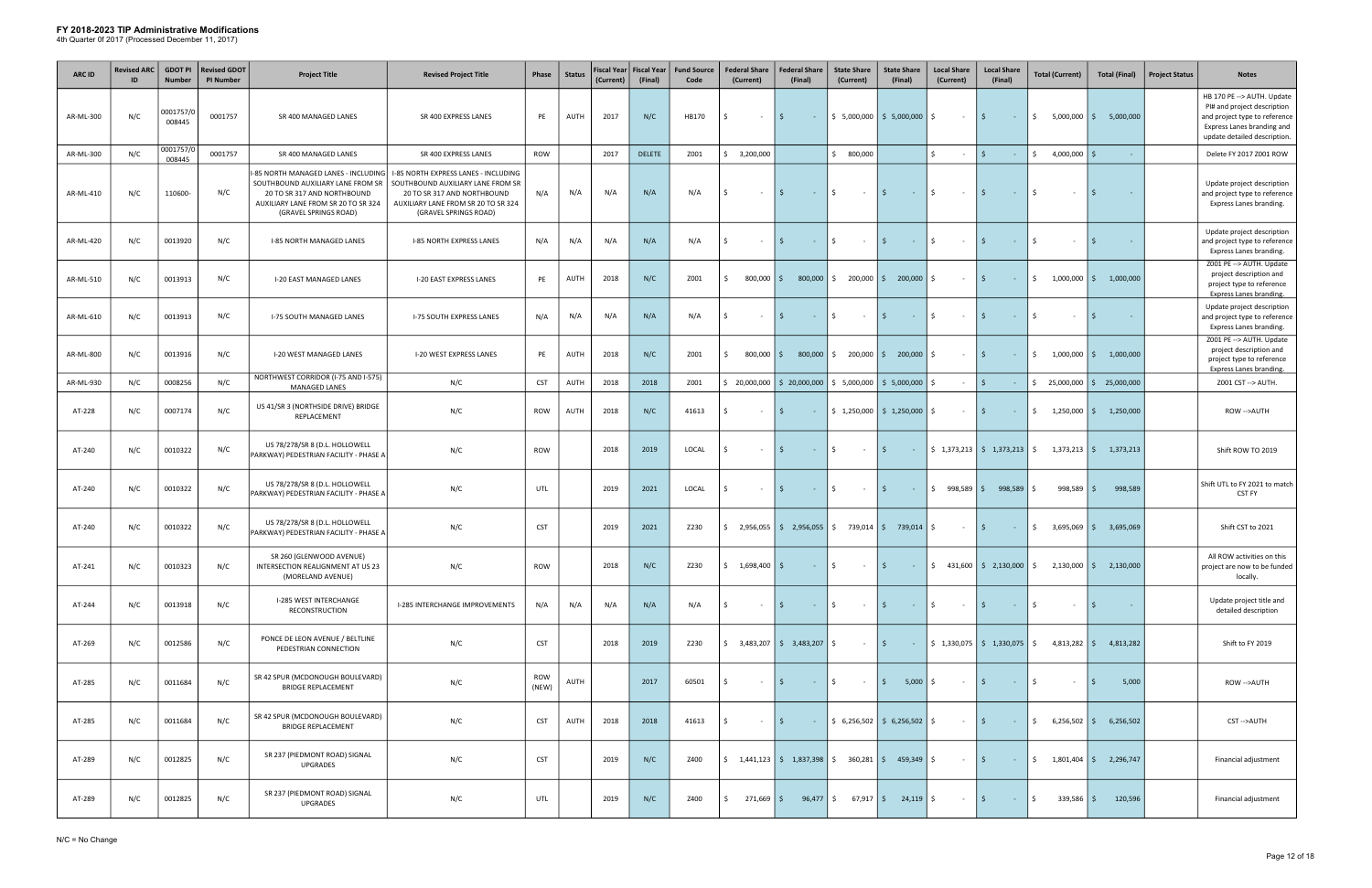| <b>ARC ID</b> | <b>Revised ARC</b> | <b>GDOT PI</b><br><b>Number</b> | <b>Revised GDOT</b><br><b>PI Number</b> | <b>Project Title</b>                                                                                                                                                    | <b>Revised Project Title</b>                                                                                                                                             | Phase               | <b>Status</b> | <b>Fiscal Year</b><br>(Current) | <b>Fiscal Year</b><br>(Final) | <b>Fund Source</b><br>Code | <b>Federal Share</b><br>(Current)                                                                                     | <b>Federal Share</b><br>(Final) | <b>State Share</b><br>(Current) | <b>State Share</b><br>(Final)                   | <b>Local Share</b><br>(Current)          | <b>Local Share</b><br>(Final)                                 | <b>Total (Current)</b>                                                                                                                       | <b>Total (Final)</b>     | <b>Project Status</b> | <b>Notes</b>                                                                                                                                             |
|---------------|--------------------|---------------------------------|-----------------------------------------|-------------------------------------------------------------------------------------------------------------------------------------------------------------------------|--------------------------------------------------------------------------------------------------------------------------------------------------------------------------|---------------------|---------------|---------------------------------|-------------------------------|----------------------------|-----------------------------------------------------------------------------------------------------------------------|---------------------------------|---------------------------------|-------------------------------------------------|------------------------------------------|---------------------------------------------------------------|----------------------------------------------------------------------------------------------------------------------------------------------|--------------------------|-----------------------|----------------------------------------------------------------------------------------------------------------------------------------------------------|
| AR-ML-300     | N/C                | 0001757/0<br>008445             | 0001757                                 | SR 400 MANAGED LANES                                                                                                                                                    | SR 400 EXPRESS LANES                                                                                                                                                     | PE                  | AUTH          | 2017                            | N/C                           | HB170                      | Ŝ.<br>$\sim$ $ \sim$                                                                                                  | l \$ l<br>$\sim 100$            |                                 | $$5,000,000$ $$5,000,000$ $$$                   | $\sim 100$                               | I \$<br>$\sim 100$                                            | \$<br>$5,000,000$ \$                                                                                                                         | 5,000,000                |                       | HB 170 PE --> AUTH. Update<br>PI# and project description<br>and project type to reference<br>Express Lanes branding and<br>update detailed description. |
| AR-ML-300     | N/C                | 0001757/0<br>008445             | 0001757                                 | SR 400 MANAGED LANES                                                                                                                                                    | SR 400 EXPRESS LANES                                                                                                                                                     | ROW                 |               | 2017                            | <b>DELETE</b>                 | Z001                       | \$3,200,000                                                                                                           |                                 | \$00,000                        |                                                 | \$                                       | I\$.<br>$\sim$                                                | $$4,000,000$ $$$                                                                                                                             |                          |                       | Delete FY 2017 Z001 ROW                                                                                                                                  |
| AR-ML-410     | N/C                | 110600-                         | N/C                                     | -85 NORTH MANAGED LANES - INCLUDING<br>SOUTHBOUND AUXILIARY LANE FROM SR<br>20 TO SR 317 AND NORTHBOUND<br>AUXILIARY LANE FROM SR 20 TO SR 324<br>(GRAVEL SPRINGS ROAD) | I-85 NORTH EXPRESS LANES - INCLUDING<br>SOUTHBOUND AUXILIARY LANE FROM SR<br>20 TO SR 317 AND NORTHBOUND<br>AUXILIARY LANE FROM SR 20 TO SR 324<br>(GRAVEL SPRINGS ROAD) | N/A                 | N/A           | N/A                             | N/A                           | N/A                        | Ŝ.<br>$\sim$ $-$                                                                                                      | IS.<br>$\sim 100$ km s $^{-1}$  | \$<br>$\sim 100$                | l \$<br><b>Contract</b>                         | \$<br>$\sim 100$                         | l \$<br>$\sim 10^{-1}$                                        | Ŝ.<br>$\sim$                                                                                                                                 | - S<br>$\sim$            |                       | Update project description<br>and project type to reference<br>Express Lanes branding.                                                                   |
| AR-ML-420     | N/C                | 0013920                         | N/C                                     | <b>I-85 NORTH MANAGED LANES</b>                                                                                                                                         | <b>I-85 NORTH EXPRESS LANES</b>                                                                                                                                          | N/A                 | N/A           | N/A                             | N/A                           | N/A                        | $\sim$                                                                                                                | <b>Contract</b>                 | \$<br>$\sim$ $-$                | I\$.<br>$\sim 100$                              | \$<br>$\sim$ $-$                         | 5.<br>$\sim$ $ \sim$                                          | Ŝ.<br>$\sim$                                                                                                                                 | - Ś                      |                       | Update project description<br>and project type to reference<br>Express Lanes branding.                                                                   |
| AR-ML-510     | N/C                | 0013913                         | N/C                                     | <b>I-20 EAST MANAGED LANES</b>                                                                                                                                          | I-20 EAST EXPRESS LANES                                                                                                                                                  | PE                  | AUTH          | 2018                            | N/C                           | Z001                       | $800,000$ \$<br>Ŝ.                                                                                                    | 800,000                         | $\frac{1}{2}$ 200,000 \$        | 200,000                                         | \$<br>$\sim$ $-$                         | l \$<br>$\sim 100$                                            | \$                                                                                                                                           | $1,000,000$ \$ 1,000,000 |                       | Z001 PE -- > AUTH. Update<br>project description and<br>project type to reference<br>Express Lanes branding.                                             |
| AR-ML-610     | N/C                | 0013913                         | N/C                                     | <b>I-75 SOUTH MANAGED LANES</b>                                                                                                                                         | <b>I-75 SOUTH EXPRESS LANES</b>                                                                                                                                          | N/A                 | N/A           | N/A                             | N/A                           | N/A                        | Ŝ.<br>$\sim$                                                                                                          | $\sim 10^{-1}$                  | \$<br>$\sim 100$                | l \$<br>$\sim 100$                              | \$<br>$\sim 10^{-1}$                     | l \$<br>$\sim$ $ \sim$                                        | Ŝ.<br>$\sim$                                                                                                                                 | $\sim$                   |                       | Update project description<br>and project type to reference<br>Express Lanes branding.                                                                   |
| AR-ML-800     | N/C                | 0013916                         | N/C                                     | I-20 WEST MANAGED LANES                                                                                                                                                 | <b>I-20 WEST EXPRESS LANES</b>                                                                                                                                           | PE                  | AUTH          | 2018                            | N/C                           | Z001                       | $800,000$ \$<br>Ŝ.                                                                                                    |                                 | $800,000$ \$ 200,000 \$ 200,000 |                                                 | Ŝ.<br>$\sim$                             | l \$<br>$\sim 100$                                            | \$                                                                                                                                           | $1,000,000$ \$ 1,000,000 |                       | Z001 PE --> AUTH. Update<br>project description and<br>project type to reference<br>Express Lanes branding.                                              |
| AR-ML-930     | N/C                | 0008256                         | N/C                                     | NORTHWEST CORRIDOR (I-75 AND I-575)<br><b>MANAGED LANES</b>                                                                                                             | N/C                                                                                                                                                                      | <b>CST</b>          | AUTH          | 2018                            | 2018                          | Z001                       | \$20,000,000                                                                                                          | $\frac{1}{2}$ 20,000,000        |                                 | $$5,000,000$ $$5,000,000$                       | Ŝ.                                       | $\mathsf{S}$<br>$\sim$                                        | $\frac{1}{2}$ 25,000,000 $\frac{1}{2}$ 25,000,000                                                                                            |                          |                       | Z001 CST -- > AUTH.                                                                                                                                      |
| AT-228        | N/C                | 0007174                         | N/C                                     | US 41/SR 3 (NORTHSIDE DRIVE) BRIDGE<br>REPLACEMENT                                                                                                                      | N/C                                                                                                                                                                      | ROW                 | AUTH          | 2018                            | N/C                           | 41613                      | Ś.<br>$\sim$ $-$                                                                                                      | I\$.<br>$\sim$ $-$              |                                 | $\frac{1}{2}$ 1,250,000 $\frac{1}{2}$ 1,250,000 | S.<br>$\sim$                             | I\$.<br>$\sim 10^{-1}$                                        | \$                                                                                                                                           | $1,250,000$ \$ 1,250,000 |                       | ROW -->AUTH                                                                                                                                              |
| AT-240        | N/C                | 0010322                         | N/C                                     | US 78/278/SR 8 (D.L. HOLLOWELL<br>PARKWAY) PEDESTRIAN FACILITY - PHASE A                                                                                                | N/C                                                                                                                                                                      | <b>ROW</b>          |               | 2018                            | 2019                          | LOCAL                      | $\sim$                                                                                                                | S.<br>$\sim 10$                 | \$<br>$\sim 100$                | l \$<br>$\sim 100$                              |                                          | $\frac{1}{2}$ 1,373,213 $\frac{1}{2}$ 1,373,213 $\frac{1}{2}$ |                                                                                                                                              | $1,373,213$ \$ 1,373,213 |                       | Shift ROW TO 2019                                                                                                                                        |
| AT-240        | N/C                | 0010322                         | N/C                                     | US 78/278/SR 8 (D.L. HOLLOWELL<br>PARKWAY) PEDESTRIAN FACILITY - PHASE A                                                                                                | N/C                                                                                                                                                                      | UTL                 |               | 2019                            | 2021                          | LOCAL                      | $\sim$                                                                                                                | S.<br>$\sim 10$                 | \$<br>$\sim$ $-$                | I\$.<br>$\sim 100$                              | \$998,589                                | 998,589                                                       | 998,589<br>\$                                                                                                                                | 998,589<br>- Ś           |                       | Shift UTL to FY 2021 to match<br>CST FY                                                                                                                  |
| AT-240        | N/C                | 0010322                         | N/C                                     | US 78/278/SR 8 (D.L. HOLLOWELL<br>PARKWAY) PEDESTRIAN FACILITY - PHASE A                                                                                                | N/C                                                                                                                                                                      | <b>CST</b>          |               | 2019                            | 2021                          | Z230                       | $\frac{1}{2}$ , 2,956,055   $\frac{1}{2}$ , 2,956,055   $\frac{1}{2}$ 739,014   $\frac{1}{2}$ 739,014   $\frac{1}{2}$ |                                 |                                 |                                                 | $\sim 100$                               | $\vert$ \$<br>$\sim 100$                                      | $$3,695,069$ $$$                                                                                                                             | 3,695,069                |                       | Shift CST to 2021                                                                                                                                        |
| AT-241        | N/C                | 0010323                         | N/C                                     | SR 260 (GLENWOOD AVENUE)<br>INTERSECTION REALIGNMENT AT US 23<br>(MORELAND AVENUE)                                                                                      | N/C                                                                                                                                                                      | ROW                 |               | 2018                            | N/C                           | Z230                       | $\frac{1}{2}$ \$ 1,698,400 \$                                                                                         |                                 | $ \frac{1}{2}$<br>$ \sqrt{5}$   |                                                 |                                          |                                                               | $\frac{1}{2}$ $\frac{1}{2}$ $\frac{31,600}{2}$ $\frac{1}{2}$ $\frac{2,130,000}{2}$ $\frac{1}{2}$ $\frac{2,130,000}{2}$ $\frac{2,130,000}{2}$ |                          |                       | All ROW activities on this<br>project are now to be funded<br>locally.                                                                                   |
| AT-244        | N/C                | 0013918                         | N/C                                     | <b>I-285 WEST INTERCHANGE</b><br>RECONSTRUCTION                                                                                                                         | I-285 INTERCHANGE IMPROVEMENTS                                                                                                                                           | N/A                 | N/A           | N/A                             | N/A                           | N/A                        | Ŝ.<br>$\sim 10^{-1}$                                                                                                  | $-15$<br>IS.                    | $\sim 10^{11}$ m $^{-1}$        | I \$<br><b>Contractor</b>                       | $\mathsf{\$}$<br>$\sim 100$ km s $^{-1}$ | l \$<br>$\alpha$ , $\alpha$ , $\alpha$                        | $\mathsf{S}$<br>$\sim 10^{-1}$                                                                                                               | l \$<br>÷                |                       | Update project title and<br>detailed description                                                                                                         |
| AT-269        | N/C                | 0012586                         | N/C                                     | PONCE DE LEON AVENUE / BELTLINE<br>PEDESTRIAN CONNECTION                                                                                                                | N/C                                                                                                                                                                      | <b>CST</b>          |               | 2018                            | 2019                          | Z230                       |                                                                                                                       |                                 | $-$ 5                           |                                                 |                                          |                                                               |                                                                                                                                              |                          |                       | Shift to FY 2019                                                                                                                                         |
| AT-285        | N/C                | 0011684                         | N/C                                     | SR 42 SPUR (MCDONOUGH BOULEVARD)<br><b>BRIDGE REPLACEMENT</b>                                                                                                           | N/C                                                                                                                                                                      | <b>ROW</b><br>(NEW) | AUTH          |                                 | 2017                          | 60501                      | \$<br>$\sim 10^{-1}$                                                                                                  | $\vert$ \$                      | $\sim$ $\sim$ $\sim$ $\sim$     | $\vert$ \$<br>$5,000$ \$                        | $ \vert$ \$                              | $\mathcal{L}(\mathcal{A})$ and $\mathcal{A}(\mathcal{A})$     | 5<br>$\sim$                                                                                                                                  | 5,000<br>l \$            |                       | ROW -->AUTH                                                                                                                                              |
| AT-285        | N/C                | 0011684                         | N/C                                     | SR 42 SPUR (MCDONOUGH BOULEVARD)<br><b>BRIDGE REPLACEMENT</b>                                                                                                           | N/C                                                                                                                                                                      | <b>CST</b>          | AUTH          | 2018                            | 2018                          | 41613                      | Ŝ.<br>$\sim 10^{-1}$                                                                                                  | $\vert$ \$<br><b>Contractor</b> |                                 | $\frac{1}{2}$ \$ 6,256,502 \$ 6,256,502 \$      | $ \sqrt{5}$                              | <b>Contract</b>                                               | $\frac{1}{2}$ 6,256,502 $\frac{1}{2}$ 6,256,502                                                                                              |                          |                       | CST-->AUTH                                                                                                                                               |
| AT-289        | N/C                | 0012825                         | N/C                                     | SR 237 (PIEDMONT ROAD) SIGNAL<br><b>UPGRADES</b>                                                                                                                        | N/C                                                                                                                                                                      | <b>CST</b>          |               | 2019                            | N/C                           | Z400                       | $\frac{1}{2}$ 1,441,123 $\frac{1}{2}$ 1,837,398 $\frac{1}{2}$ 360,281 $\frac{1}{2}$ 459,349 $\frac{1}{2}$             |                                 |                                 |                                                 | $\sim 10^{11}$ m $^{-1}$                 | l \$<br>$\mathcal{L}^{\text{max}}_{\text{max}}$               | $\frac{1}{2}$ 1,801,404 $\frac{1}{2}$ 2,296,747                                                                                              |                          |                       | Financial adjustment                                                                                                                                     |
| AT-289        | N/C                | 0012825                         | N/C                                     | SR 237 (PIEDMONT ROAD) SIGNAL<br>UPGRADES                                                                                                                               | N/C                                                                                                                                                                      | UTL                 |               | 2019                            | N/C                           | Z400                       | $271,669$ \$<br>\$                                                                                                    |                                 | $96,477$ \$ 67,917 \$ 24,119 \$ |                                                 | $\sim 100$                               | I \$<br>$\sim 1000$ km s $^{-1}$                              | $\ddot{\mathsf{S}}$<br>$339,586$ $\frac{2}{5}$                                                                                               | 120,596                  |                       | Financial adjustment                                                                                                                                     |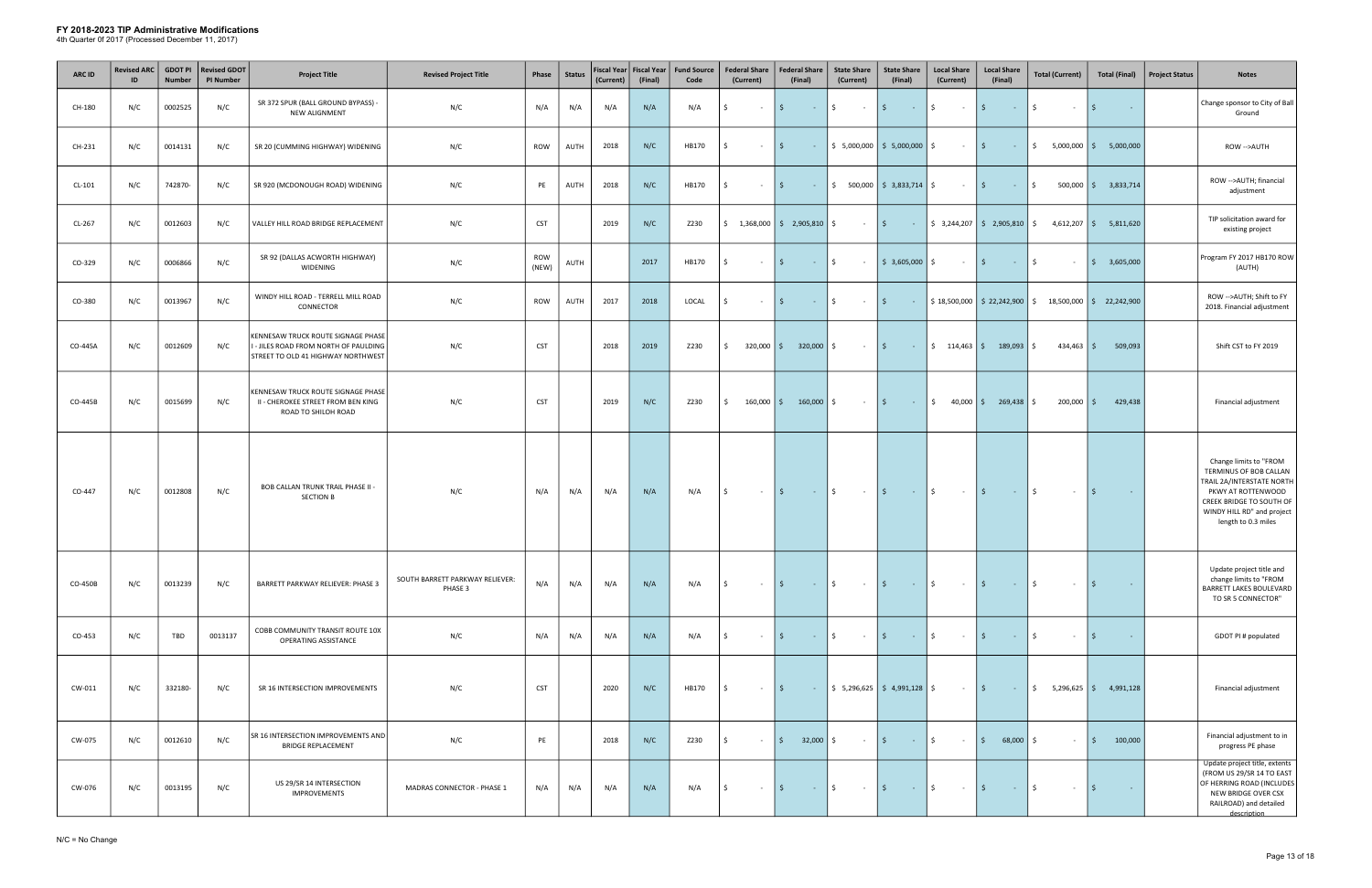| <b>ARC ID</b> | <b>Revised ARC</b><br>ID | <b>GDOT PI</b><br><b>Number</b> | <b>Revised GDOT</b><br><b>PI Number</b> | <b>Project Title</b>                                                                                              | <b>Revised Project Title</b>               | Phase        | <b>Status</b> | Fiscal Year  <br>(Current) | <b>Fiscal Year</b><br>(Final) | <b>Fund Source</b><br>Code | <b>Federal Share</b><br>(Current) | <b>Federal Share</b><br>(Final)                               | <b>State Share</b><br>(Current)                  | <b>State Share</b><br>(Final)                                 | <b>Local Share</b><br>(Current)                | <b>Local Share</b><br>(Final)                                                                     | <b>Total (Current)</b>                                  | <b>Total (Final)</b>               | <b>Project Status</b> | <b>Notes</b>                                                                                                                                                                         |
|---------------|--------------------------|---------------------------------|-----------------------------------------|-------------------------------------------------------------------------------------------------------------------|--------------------------------------------|--------------|---------------|----------------------------|-------------------------------|----------------------------|-----------------------------------|---------------------------------------------------------------|--------------------------------------------------|---------------------------------------------------------------|------------------------------------------------|---------------------------------------------------------------------------------------------------|---------------------------------------------------------|------------------------------------|-----------------------|--------------------------------------------------------------------------------------------------------------------------------------------------------------------------------------|
| CH-180        | N/C                      | 0002525                         | N/C                                     | SR 372 SPUR (BALL GROUND BYPASS) -<br>NEW ALIGNMENT                                                               | N/C                                        | N/A          | N/A           | N/A                        | N/A                           | N/A                        | \$<br>$\sim$                      | \$<br>$\sim 100$                                              | $\ddot{\mathsf{S}}$<br>$\sim 100$ m $^{-1}$      | $15 -$<br>$\sim 100$ km s $^{-1}$                             | $\ddot{\mathsf{S}}$<br>$\sim 100$ km s $^{-1}$ | l \$<br>$\sim 100$                                                                                | Ŝ.<br>$\sim$                                            | \$<br>$\sim$                       |                       | Change sponsor to City of Ball<br>Ground                                                                                                                                             |
| CH-231        | N/C                      | 0014131                         | N/C                                     | SR 20 (CUMMING HIGHWAY) WIDENING                                                                                  | N/C                                        | ROW          | AUTH          | 2018                       | N/C                           | HB170                      | $\sim$                            | S.                                                            | $\frac{1}{2}$   \$ 5,000,000   \$ 5,000,000   \$ |                                                               | $\sim 100$ km s $^{-1}$                        | \$<br>$\mathcal{L}^{\mathcal{L}}(\mathbb{R}^{d})$ and $\mathcal{L}^{\mathcal{L}}(\mathbb{R}^{d})$ | $$5,000,000$ $$5,000,000$                               |                                    |                       | ROW -->AUTH                                                                                                                                                                          |
| $CL-101$      | N/C                      | 742870-                         | N/C                                     | SR 920 (MCDONOUGH ROAD) WIDENING                                                                                  | N/C                                        | PE           | AUTH          | 2018                       | N/C                           | HB170                      | Ŝ.<br>$\sim$ $-$                  | $\mathsf{S}$<br><b>Contractor</b>                             |                                                  | $\frac{1}{2}$ 500,000 $\frac{1}{2}$ 3,833,714 $\frac{1}{2}$   | $\sim 100$                                     | $\vert$ \$<br>$\mathcal{L}^{\text{max}}_{\text{max}}$ and $\mathcal{L}^{\text{max}}_{\text{max}}$ | \$                                                      | $500,000$ $\binom{6}{5}$ 3,833,714 |                       | ROW -- > AUTH; financial<br>adjustment                                                                                                                                               |
| CL-267        | N/C                      | 0012603                         | N/C                                     | VALLEY HILL ROAD BRIDGE REPLACEMENT                                                                               | N/C                                        | <b>CST</b>   |               | 2019                       | N/C                           | Z230                       |                                   | $\frac{1}{2}$ 1,368,000 $\frac{1}{2}$ 2,905,810 $\frac{1}{2}$ | $ \frac{1}{2}$                                   |                                                               |                                                |                                                                                                   |                                                         |                                    |                       | TIP solicitation award for<br>existing project                                                                                                                                       |
| CO-329        | N/C                      | 0006866                         | N/C                                     | SR 92 (DALLAS ACWORTH HIGHWAY)<br>WIDENING                                                                        | N/C                                        | ROW<br>(NEW) | AUTH          |                            | 2017                          | HB170                      | Ś.<br>$\sim$                      | $\mathsf{S}$<br><b>Contract</b>                               | \$<br>$\sim 10^{-11}$                            | $\frac{1}{2}$ \$ 3,605,000 \$                                 | $\sim 100$                                     | $\vert$ \$<br>$\sim 10^{-10}$                                                                     | \$<br>$\sim$                                            | 3,605,000<br>IS.                   |                       | Program FY 2017 HB170 ROW<br>(AUTH)                                                                                                                                                  |
| CO-380        | N/C                      | 0013967                         | N/C                                     | WINDY HILL ROAD - TERRELL MILL ROAD<br>CONNECTOR                                                                  | N/C                                        | <b>ROW</b>   | AUTH          | 2017                       | 2018                          | LOCAL                      | Ŝ.<br>$\sim$                      | S.<br>$\sim 10^{-10}$                                         | \$<br>$\sim 100$                                 | l \$ l<br>$\sim 1000$ km s $^{-1}$                            |                                                |                                                                                                   | $$18,500,000$ $$22,242,900$ $$18,500,000$ $$22,242,900$ |                                    |                       | ROW -->AUTH; Shift to FY<br>2018. Financial adjustment                                                                                                                               |
| CO-445A       | N/C                      | 0012609                         | N/C                                     | KENNESAW TRUCK ROUTE SIGNAGE PHASE<br>I - JILES ROAD FROM NORTH OF PAULDING<br>STREET TO OLD 41 HIGHWAY NORTHWEST | N/C                                        | <b>CST</b>   |               | 2018                       | 2019                          | Z230                       | $320,000$ $\mid$ \$<br>\$         | $320,000$ \$                                                  | $ \frac{1}{2}$                                   |                                                               |                                                | $\frac{1}{5}$ 114,463 \$ 189,093 \$                                                               | $434,463$ \$                                            | 509,093                            |                       | Shift CST to FY 2019                                                                                                                                                                 |
| CO-445B       | N/C                      | 0015699                         | N/C                                     | KENNESAW TRUCK ROUTE SIGNAGE PHASE<br>II - CHEROKEE STREET FROM BEN KING<br>ROAD TO SHILOH ROAD                   | N/C                                        | <b>CST</b>   |               | 2019                       | N/C                           | Z230                       | Ŝ.                                | $160,000$   \$ $160,000$   \$                                 | $\alpha$ , $\alpha$ , $\alpha$                   | $\vert$ \$<br><b>Contractor</b>                               |                                                | $\frac{1}{2}$ 40,000 $\frac{1}{2}$ 269,438 $\frac{1}{2}$                                          | $200,000$ \$                                            | 429,438                            |                       | Financial adjustment                                                                                                                                                                 |
| CO-447        | N/C                      | 0012808                         | N/C                                     | <b>BOB CALLAN TRUNK TRAIL PHASE II -</b><br><b>SECTION B</b>                                                      | N/C                                        | N/A          | N/A           | N/A                        | N/A                           | N/A                        | l\$<br>$\sim 10^{-11}$            | $\vert$ \$<br><b>Contractor</b>                               | $\mathsf{\$}$<br>$\sim 100$ km s $^{-1}$         | $\vert \mathsf{S} \vert$<br>1994 - A                          | $\ddot{\mathsf{S}}$<br>$\sim 100$ km s $^{-1}$ | $\vert$ \$<br>$\sim 1000$ km s $^{-1}$                                                            | $\mathsf{S}$<br>$\sim$ $-$                              | $\vert$ \$<br><b>Contract</b>      |                       | Change limits to "FROM<br>TERMINUS OF BOB CALLAN<br>TRAIL 2A/INTERSTATE NORTH<br>PKWY AT ROTTENWOOD<br>CREEK BRIDGE TO SOUTH OF<br>WINDY HILL RD" and project<br>length to 0.3 miles |
| CO-450B       | N/C                      | 0013239                         | N/C                                     | BARRETT PARKWAY RELIEVER: PHASE 3                                                                                 | SOUTH BARRETT PARKWAY RELIEVER:<br>PHASE 3 | N/A          | N/A           | N/A                        | N/A                           | N/A                        | Ŝ.<br>$\sim$ $-$                  | $\sim$ $\frac{1}{2}$<br>\$                                    | $ \sqrt{5}$                                      | $\sim$ $\sim$ $\sim$ $\sim$                                   | $ \sqrt{5}$                                    | $\mathcal{L}^{\text{max}}_{\text{max}}$ and $\mathcal{L}^{\text{max}}_{\text{max}}$               | \$<br>$\sim$ $-$                                        | l \$<br>$\sim 100$ km s $^{-1}$    |                       | Update project title and<br>change limits to "FROM<br>BARRETT LAKES BOULEVARD<br>TO SR 5 CONNECTOR"                                                                                  |
| CO-453        | N/C                      | TBD                             | 0013137                                 | COBB COMMUNITY TRANSIT ROUTE 10X<br>OPERATING ASSISTANCE                                                          | N/C                                        | N/A          | N/A           | N/A                        | N/A                           | N/A                        | Ŝ.<br>$\sim$ $-$                  | Ŝ.<br><b>Contract</b>                                         | \$<br>$\sim$ $-$                                 | l \$<br><b>Contract</b>                                       | Ś.<br>$\sim$ $-$                               | $\mathsf{S}$<br>$\sim 10^{-10}$                                                                   | Ŝ.<br>$\sim$                                            | S.<br>$\sim$ $-$                   |                       | GDOT PI # populated                                                                                                                                                                  |
| CW-011        | N/C                      | 332180-                         | N/C                                     | SR 16 INTERSECTION IMPROVEMENTS                                                                                   | N/C                                        | <b>CST</b>   |               | 2020                       | N/C                           | HB170                      | Ŝ.<br>$\sim$ $-$                  | $\mathsf{S}$<br><b>Contract</b>                               |                                                  | $\frac{1}{2}$ 5,296,625 $\frac{1}{2}$ 4,991,128 $\frac{1}{2}$ | $\sim 100$                                     | $\vert$ \$<br>$\sim 1000$ km s $^{-1}$                                                            | $\frac{1}{2}$ 5,296,625 $\frac{1}{2}$ 4,991,128         |                                    |                       | Financial adjustment                                                                                                                                                                 |
| CW-075        | N/C                      | 0012610                         | N/C                                     | SR 16 INTERSECTION IMPROVEMENTS AND<br><b>BRIDGE REPLACEMENT</b>                                                  | N/C                                        | PE           |               | 2018                       | N/C                           | Z230                       | Ŝ.<br>$\sim$                      | 32,000<br>- \$                                                | Ŝ.<br>$\sim 10^{-11}$                            | l \$<br>$\sim 100$                                            | \$<br>$\sim$                                   | 68,000<br>l \$                                                                                    | $\sim$                                                  | 100,000<br>l \$                    |                       | Financial adjustment to in<br>progress PE phase                                                                                                                                      |
| CW-076        | N/C                      | 0013195                         | N/C                                     | US 29/SR 14 INTERSECTION<br><b>IMPROVEMENTS</b>                                                                   | MADRAS CONNECTOR - PHASE 1                 | N/A          | N/A           | N/A                        | N/A                           | N/A                        | \$<br>$\sim$ $-$                  | I \$<br>100 August 1                                          | $\ddot{\mathsf{S}}$<br>$\sim 100$ km s $^{-1}$   | $\vert$ \$<br><b>Contractor</b>                               | $\ddot{\mathsf{S}}$<br><b>Contract</b>         | $\vert$ \$<br>$\sim 100$                                                                          | Ŝ.<br>$\sim$                                            | l \$<br><b>Contract</b>            |                       | Update project title, extents<br>(FROM US 29/SR 14 TO EAST<br>OF HERRING ROAD (INCLUDES<br>NEW BRIDGE OVER CSX<br>RAILROAD) and detailed<br>description                              |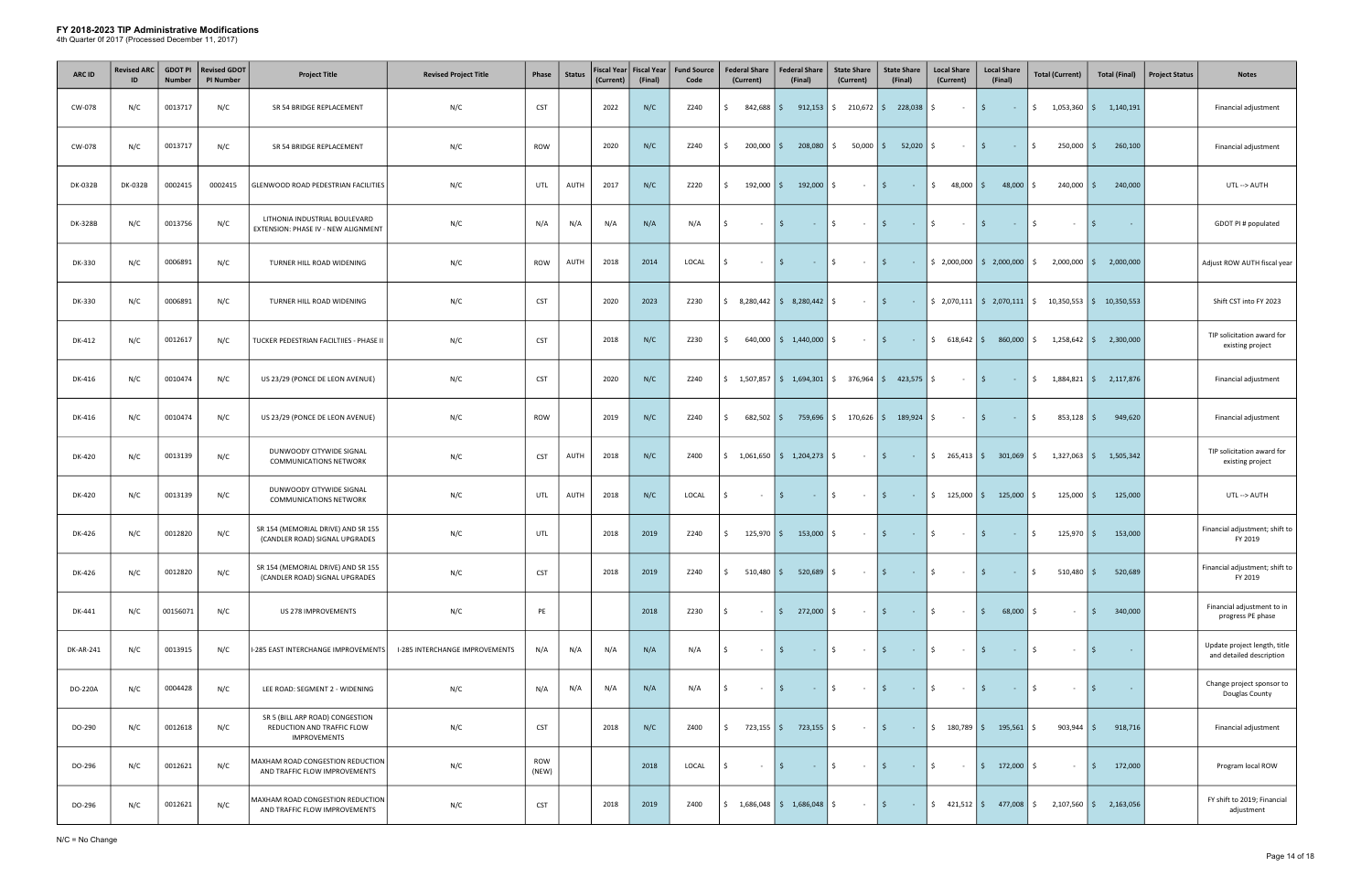| <b>ARC ID</b>  | <b>Revised ARC</b><br>ID | <b>GDOT PI</b><br><b>Number</b> | <b>Revised GDOT</b><br><b>PI Number</b> | <b>Project Title</b>                                                                 | <b>Revised Project Title</b>   | Phase        | <b>Status</b> | <b>Fiscal Year</b><br>(Current) | <b>Fiscal Year</b><br>(Final) | <b>Fund Source</b><br>Code | <b>Federal Share</b><br>(Current) | <b>Federal Share</b><br>(Final)                                                         | <b>State Share</b><br>(Current) | <b>State Share</b><br>(Final)             | <b>Local Share</b><br>(Current)    | <b>Local Share</b><br>(Final)                                                                                                   | <b>Total (Current)</b>                                                                      | <b>Total (Final)</b>                            | <b>Project Status</b><br><b>Notes</b>                    |
|----------------|--------------------------|---------------------------------|-----------------------------------------|--------------------------------------------------------------------------------------|--------------------------------|--------------|---------------|---------------------------------|-------------------------------|----------------------------|-----------------------------------|-----------------------------------------------------------------------------------------|---------------------------------|-------------------------------------------|------------------------------------|---------------------------------------------------------------------------------------------------------------------------------|---------------------------------------------------------------------------------------------|-------------------------------------------------|----------------------------------------------------------|
| CW-078         | N/C                      | 0013717                         | N/C                                     | SR 54 BRIDGE REPLACEMENT                                                             | N/C                            | <b>CST</b>   |               | 2022                            | N/C                           | Z240                       | Ŝ.                                | $842,688$ \$ 912,153                                                                    | $\frac{1}{2}$ 210,672 \$        | 228,038                                   | \$<br>$\sim$ $-$                   | l \$<br>$\sim 10^{-1}$                                                                                                          |                                                                                             | $\frac{1}{2}$ 1,053,360 $\frac{1}{2}$ 1,140,191 | Financial adjustment                                     |
| CW-078         | N/C                      | 0013717                         | N/C                                     | SR 54 BRIDGE REPLACEMENT                                                             | N/C                            | ROW          |               | 2020                            | N/C                           | Z240                       | $200,000$ \$<br>Ŝ.                | 208,080                                                                                 |                                 | $\frac{1}{2}$ 50,000 $\frac{1}{2}$ 52,020 | Ŝ.<br>$\sim$                       | l \$<br>$\sim 10^{-1}$                                                                                                          | 250,000 \$<br>\$                                                                            | 260,100                                         | Financial adjustment                                     |
| <b>DK-032B</b> | <b>DK-032B</b>           | 0002415                         | 0002415                                 | GLENWOOD ROAD PEDESTRIAN FACILITIES                                                  | N/C                            | UTL          | AUTH          | 2017                            | N/C                           | Z220                       | $192,000$ \$<br>Ŝ.                | 192,000                                                                                 | Ŝ.<br>$\sim$                    | l \$<br>$\sim 100$                        | $\ddot{\mathsf{S}}$<br>$48,000$ \$ | 48,000                                                                                                                          | $240,000$ \$<br>S.                                                                          | 240,000                                         | UTL--> AUTH                                              |
| DK-328B        | N/C                      | 0013756                         | N/C                                     | LITHONIA INDUSTRIAL BOULEVARD<br>EXTENSION: PHASE IV - NEW ALIGNMENT                 | N/C                            | N/A          | N/A           | N/A                             | N/A                           | N/A                        | \$<br>$\sim$                      | \$<br>$\sim 10^{-1}$                                                                    | \$<br>$\sim 10^{-1}$            | l \$<br>$\sim 1000$ km s $^{-1}$          | \$<br>$\sim$ $-$                   | \$<br>$\sim 10^{-1}$                                                                                                            | \$<br>$\sim$                                                                                | l \$<br>$\sim$                                  | GDOT PI # populated                                      |
| DK-330         | N/C                      | 0006891                         | N/C                                     | TURNER HILL ROAD WIDENING                                                            | N/C                            | ROW          | AUTH          | 2018                            | 2014                          | LOCAL                      | Ŝ.<br>$\sim$                      | \$<br>$\sim 10$                                                                         | Ś.<br>$\sim 10^{-1}$            | l \$<br>$\sim 10$                         |                                    | $\frac{1}{2}$ ,000,000 $\frac{1}{2}$ ,000,000                                                                                   | $2,000,000$ \$<br>S.                                                                        | 2,000,000                                       | Adjust ROW AUTH fiscal year                              |
| DK-330         | N/C                      | 0006891                         | N/C                                     | TURNER HILL ROAD WIDENING                                                            | N/C                            | <b>CST</b>   |               | 2020                            | 2023                          | Z230                       |                                   | $\frac{1}{2}$ 8,280,442   $\frac{1}{2}$ 8,280,442                                       | Ŝ.<br>$\sim$ $-$                | l \$<br>$\sim 10$                         |                                    | $\frac{1}{2}$ , 2,070,111   \$ 2,070,111                                                                                        | $\frac{1}{2}$ 10,350,553 $\frac{1}{2}$ 10,350,553                                           |                                                 | Shift CST into FY 2023                                   |
| DK-412         | N/C                      | 0012617                         | N/C                                     | TUCKER PEDESTRIAN FACILTIIES - PHASE II                                              | N/C                            | <b>CST</b>   |               | 2018                            | N/C                           | Z230                       | Ŝ.                                | $640,000$   \$ 1,440,000                                                                | Ś.<br>$\sim$                    | $\vert$ \$<br>$\sim 100$                  | \$618,642                          | 860,000                                                                                                                         | $1,258,642$ \$<br>S.                                                                        | 2,300,000                                       | TIP solicitation award for<br>existing project           |
| DK-416         | N/C                      | 0010474                         | N/C                                     | US 23/29 (PONCE DE LEON AVENUE)                                                      | N/C                            | <b>CST</b>   |               | 2020                            | N/C                           | Z240                       |                                   | $\binom{1}{5}$ 1,507,857 $\binom{2}{3}$ 1,694,301 $\binom{3}{5}$ 376,964 $\binom{3}{5}$ |                                 | $423,575$ \$                              | $\sim$ $-$                         | $\vert$ \$<br>$\sim 100$                                                                                                        |                                                                                             | $\frac{1}{2}$ 1,884,821 $\frac{1}{2}$ 2,117,876 | Financial adjustment                                     |
| DK-416         | N/C                      | 0010474                         | N/C                                     | US 23/29 (PONCE DE LEON AVENUE)                                                      | N/C                            | <b>ROW</b>   |               | 2019                            | N/C                           | Z240                       | \$<br>$682,502$ \$                | 759,696                                                                                 | \$170,626                       | $189,924$ \$                              | $\sim$ $-$                         | $\vert$ \$<br>$\sim 10^{-10}$                                                                                                   | \$<br>$853,128$ \$                                                                          | 949,620                                         | Financial adjustment                                     |
| DK-420         | N/C                      | 0013139                         | N/C                                     | DUNWOODY CITYWIDE SIGNAL<br><b>COMMUNICATIONS NETWORK</b>                            | N/C                            | <b>CST</b>   | AUTH          | 2018                            | N/C                           | Z400                       |                                   | $\frac{1}{2}$ 1,061,650 $\frac{1}{2}$ 1,204,273 $\frac{1}{2}$                           | $\sim 100$                      | l \$<br>$\sim 1000$ km s $^{-1}$          |                                    |                                                                                                                                 | $\frac{1}{2}$ 265,413 $\frac{1}{2}$ 301,069 $\frac{1}{2}$ 1,327,063 $\frac{1}{2}$ 1,505,342 |                                                 | TIP solicitation award for<br>existing project           |
| DK-420         | N/C                      | 0013139                         | N/C                                     | DUNWOODY CITYWIDE SIGNAL<br><b>COMMUNICATIONS NETWORK</b>                            | N/C                            | UTL          | AUTH          | 2018                            | N/C                           | LOCAL                      | Ŝ.<br>$\sim$                      | Ŝ.<br>$\sim 10$                                                                         | \$<br>$\sim 10^{-1}$            | l \$ l<br><b>Contract</b>                 |                                    | $\frac{1}{2}$ 125,000 \$ 125,000 \$                                                                                             | $125,000$ \$                                                                                | 125,000                                         | UTL--> AUTH                                              |
| DK-426         | N/C                      | 0012820                         | N/C                                     | SR 154 (MEMORIAL DRIVE) AND SR 155<br>(CANDLER ROAD) SIGNAL UPGRADES                 | N/C                            | UTL          |               | 2018                            | 2019                          | Z240                       | $125,970$ \$<br>\$                | $153,000$   \$                                                                          | $\sim 100$                      | $\vert$ \$<br>$ \sqrt{5}$                 | $\sim 100$                         | $\vert$ \$<br>$\mathcal{L}^{\mathcal{L}}(\mathcal{L}^{\mathcal{L}})$ and $\mathcal{L}^{\mathcal{L}}(\mathcal{L}^{\mathcal{L}})$ | \$<br>$125,970$ \$                                                                          | 153,000                                         | Financial adjustment; shift to<br>FY 2019                |
| DK-426         | N/C                      | 0012820                         | N/C                                     | SR 154 (MEMORIAL DRIVE) AND SR 155<br>(CANDLER ROAD) SIGNAL UPGRADES                 | N/C                            | <b>CST</b>   |               | 2018                            | 2019                          | Z240                       | \$                                | 510,480   \$ 520,689                                                                    | S.<br>$\sim$ $-$                | l \$<br>$\sim 100$                        | \$<br>$\sim 10^{-11}$              | l \$<br>$\sim 10^{-1}$                                                                                                          | \$<br>$510,480$ \$                                                                          | 520,689                                         | Financial adjustment; shift to<br>FY 2019                |
| DK-441         | N/C                      | 00156071                        | N/C                                     | US 278 IMPROVEMENTS                                                                  | N/C                            | PE           |               |                                 | 2018                          | Z230                       | Ŝ.<br>$\sim$ $-$                  | $\frac{1}{2}$ 272,000 $\frac{1}{2}$                                                     | $\sim 100$                      | l \$ l<br><b>Contractor</b>               | $\frac{1}{2}$<br>$\sim 100$        | 68,000<br>I \$                                                                                                                  | 5.<br>$\sim$                                                                                | 340,000<br>$\mathsf{S}$                         | Financial adjustment to in<br>progress PE phase          |
| DK-AR-241      | N/C                      | 0013915                         | N/C                                     | I-285 EAST INTERCHANGE IMPROVEMENTS                                                  | I-285 INTERCHANGE IMPROVEMENTS | N/A          | N/A           | N/A                             | N/A                           | N/A                        | Ŝ.<br>$\sim$                      |                                                                                         | \$<br>$\sim 10^{-1}$            | l \$<br>$\sim 100$                        | \$<br>$\sim$ $-$                   | -\$<br>$\sim 10^{-1}$                                                                                                           | S.<br>$\sim$                                                                                | -S                                              | Update project length, title<br>and detailed description |
| DO-220A        | N/C                      | 0004428                         | N/C                                     | LEE ROAD: SEGMENT 2 - WIDENING                                                       | N/C                            | N/A          | N/A           | N/A                             | N/A                           | N/A                        | \$<br>$\sim$ $-$                  | S.<br><b>Contract</b>                                                                   | $\frac{1}{2}$<br>$\sim 10^{-1}$ | \$<br><b>Contract</b>                     | \$<br>$\sim 10^{-1}$               | l \$<br>$\sim 10^{-10}$                                                                                                         | Ŝ.<br>$\sim$                                                                                | l \$<br>$\sim$ $ \sim$                          | Change project sponsor to<br>Douglas County              |
| DO-290         | N/C                      | 0012618                         | N/C                                     | SR 5 (BILL ARP ROAD) CONGESTION<br>REDUCTION AND TRAFFIC FLOW<br><b>IMPROVEMENTS</b> | N/C                            | <b>CST</b>   |               | 2018                            | N/C                           | Z400                       | Ŝ.<br>$723,155$ \$                | 723,155 \$                                                                              | $\sim 100$                      | l \$<br>$\sim 10^{-1}$                    | \$180,789                          | $195,561$ \$                                                                                                                    | $903,944$ \$                                                                                | 918,716                                         | Financial adjustment                                     |
| DO-296         | N/C                      | 0012621                         | N/C                                     | MAXHAM ROAD CONGESTION REDUCTION<br>AND TRAFFIC FLOW IMPROVEMENTS                    | N/C                            | ROW<br>(NEW) |               |                                 | 2018                          | LOCAL                      | Ŝ.<br>$\sim$                      | Ŝ.<br>$\sim 10^{-11}$                                                                   | \$<br>$\sim 100$                | l \$<br><b>Contract</b>                   | \$<br>$\sim 10^{-1}$               | $172,000$ \$<br>l \$ l                                                                                                          | $\sim$                                                                                      | 172,000<br>- \$                                 | Program local ROW                                        |
| DO-296         | N/C                      | 0012621                         | N/C                                     | MAXHAM ROAD CONGESTION REDUCTION<br>AND TRAFFIC FLOW IMPROVEMENTS                    | N/C                            | <b>CST</b>   |               | 2018                            | 2019                          | Z400                       |                                   | $\frac{1}{2}$ 1,686,048 $\frac{1}{2}$ 1,686,048                                         | \$<br>$\sim$                    | \$<br>$\sim 10^{-1}$                      | $\frac{1}{2}$ 421,512 \$           | 477,008                                                                                                                         | \$                                                                                          | $2,107,560$ \$ 2,163,056                        | FY shift to 2019; Financial<br>adjustment                |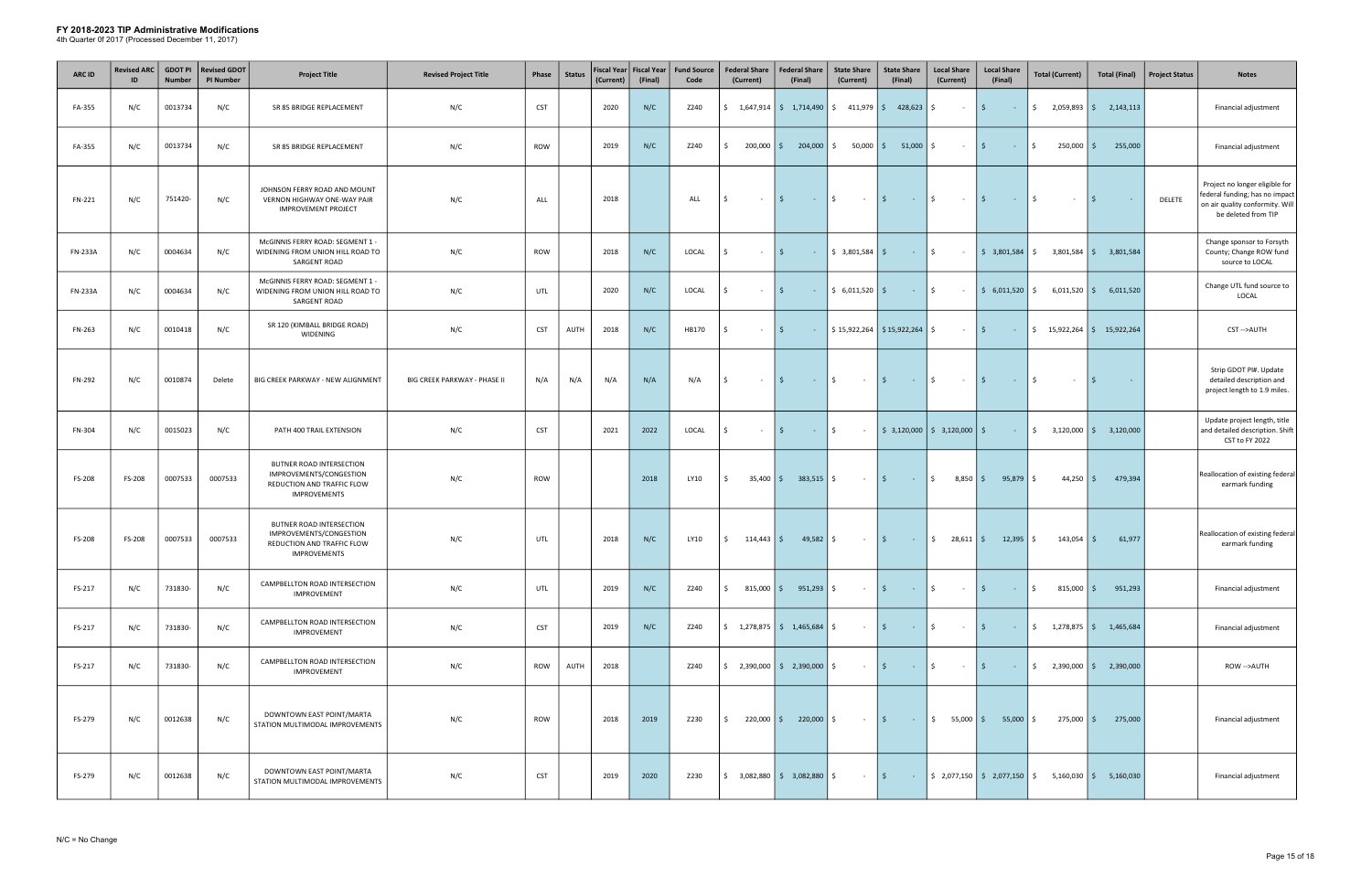| <b>ARC ID</b>  | <b>Revised ARC</b><br>ID | <b>GDOT PI</b><br><b>Number</b> | <b>Revised GDOT</b><br><b>PI Number</b> | <b>Project Title</b>                                                                                     | <b>Revised Project Title</b> | Phase      | <b>Status</b> | (Current) | Fiscal Year   Fiscal Year<br>(Final) | <b>Fund Source</b><br>Code | <b>Federal Share</b><br>(Current)                             | <b>Federal Share</b><br>(Final)                                                                           | <b>State Share</b><br>(Current)          | <b>State Share</b><br>(Final)                                         | <b>Local Share</b><br>(Current) | <b>Local Share</b><br>(Final)                                                                                           | <b>Total (Current)</b>                                          | Total (Final)                                     | <b>Project Status</b> | <b>Notes</b>                                                                                                               |
|----------------|--------------------------|---------------------------------|-----------------------------------------|----------------------------------------------------------------------------------------------------------|------------------------------|------------|---------------|-----------|--------------------------------------|----------------------------|---------------------------------------------------------------|-----------------------------------------------------------------------------------------------------------|------------------------------------------|-----------------------------------------------------------------------|---------------------------------|-------------------------------------------------------------------------------------------------------------------------|-----------------------------------------------------------------|---------------------------------------------------|-----------------------|----------------------------------------------------------------------------------------------------------------------------|
| FA-355         | N/C                      | 0013734                         | N/C                                     | SR 85 BRIDGE REPLACEMENT                                                                                 | N/C                          | <b>CST</b> |               | 2020      | N/C                                  | Z240                       |                                                               | $\frac{1}{2}$ 1,647,914 $\frac{1}{2}$ 1,714,490 $\frac{1}{2}$ 411,979 $\frac{1}{2}$ 428,623 $\frac{1}{2}$ |                                          |                                                                       | $\sim 10^{-11}$                 | 15<br>$\mathcal{L}^{\mathcal{L}}(\mathcal{L}^{\mathcal{L}})$ and $\mathcal{L}^{\mathcal{L}}(\mathcal{L}^{\mathcal{L}})$ |                                                                 | $\frac{1}{2}$ , 2,059,893 $\frac{1}{2}$ 2,143,113 |                       | Financial adjustment                                                                                                       |
| FA-355         | N/C                      | 0013734                         | N/C                                     | SR 85 BRIDGE REPLACEMENT                                                                                 | N/C                          | ROW        |               | 2019      | N/C                                  | Z240                       | \$<br>$200,000$ \$                                            | $204,000$ \$                                                                                              |                                          | $50,000$ \$ $51,000$ \$                                               | $\sim$ $-$                      | l \$<br>$ \sqrt{5}$                                                                                                     | $250,000$ \$                                                    | 255,000                                           |                       | Financial adjustment                                                                                                       |
| FN-221         | N/C                      | 751420-                         | N/C                                     | JOHNSON FERRY ROAD AND MOUNT<br>VERNON HIGHWAY ONE-WAY PAIR<br><b>IMPROVEMENT PROJECT</b>                | N/C                          | ALL        |               | 2018      |                                      | ALL                        | Ŝ.<br>$\sim$                                                  | IS.<br>$\sim 10^{-10}$                                                                                    | $\ddot{\mathsf{S}}$<br>$\sim 100$        | l \$<br><b>Contract</b>                                               | \$<br>$\sim 100$                | l \$<br><b>Contractor</b>                                                                                               | \$<br>$\sim$                                                    | l \$ l<br><b>Contract</b>                         | DELETE                | Project no longer eligible for<br>federal funding; has no impact<br>on air quality conformity. Will<br>be deleted from TIP |
| <b>FN-233A</b> | N/C                      | 0004634                         | N/C                                     | McGINNIS FERRY ROAD: SEGMENT 1 -<br>WIDENING FROM UNION HILL ROAD TO<br>SARGENT ROAD                     | N/C                          | <b>ROW</b> |               | 2018      | N/C                                  | LOCAL                      | \$<br>$\sim$                                                  | Is.<br><b>Contractor</b>                                                                                  | $\frac{1}{2}$ 3,801,584 \$               | $\sim 100$ km s $^{-1}$                                               | I \$<br>$\sim 100$              | $\frac{1}{2}$ 3,801,584                                                                                                 | S.                                                              | $3,801,584$ $\frac{2}{3}$ $3,801,584$             |                       | Change sponsor to Forsyth<br>County; Change ROW fund<br>source to LOCAL                                                    |
| <b>FN-233A</b> | N/C                      | 0004634                         | N/C                                     | McGINNIS FERRY ROAD: SEGMENT 1 -<br>WIDENING FROM UNION HILL ROAD TO<br>SARGENT ROAD                     | N/C                          | UTL        |               | 2020      | N/C                                  | LOCAL                      | 5<br>$\sim$                                                   | $\vert$ \$                                                                                                | $\frac{1}{2}$   \$ 6,011,520   \$        | $ \sqrt{5}$                                                           | $\sim 10^{-11}$                 | $\frac{1}{2}$ \$ 6,011,520 \$                                                                                           | $6,011,520$ \$                                                  | 6,011,520                                         |                       | Change UTL fund source to<br>LOCAL                                                                                         |
| FN-263         | N/C                      | 0010418                         | N/C                                     | SR 120 (KIMBALL BRIDGE ROAD)<br>WIDENING                                                                 | N/C                          | <b>CST</b> | AUTH          | 2018      | N/C                                  | HB170                      | Ŝ.<br>$\sim$                                                  | I \$<br>$\sim 100$                                                                                        |                                          | $\frac{1}{2}$ \$ 15,922,264 $\frac{1}{2}$ \$ 15,922,264 $\frac{1}{2}$ | $\sim 10^{-1}$                  | $\vert$ \$<br>$\sim 1000$ km s $^{-1}$                                                                                  |                                                                 | $\frac{1}{2}$ 15,922,264 $\frac{1}{2}$ 15,922,264 |                       | CST-->AUTH                                                                                                                 |
| FN-292         | N/C                      | 0010874                         | Delete                                  | BIG CREEK PARKWAY - NEW ALIGNMENT                                                                        | BIG CREEK PARKWAY - PHASE II | N/A        | N/A           | N/A       | N/A                                  | N/A                        | 5<br>$\sim$                                                   | ls.<br><b>Contact Contact</b>                                                                             | $\mathsf{\$}$<br>$\sim 100$ km s $^{-1}$ | $\vert$ \$<br>$\sim$ $\frac{1}{2}$                                    | $\sim 100$                      | $\vert$ \$<br>$\alpha$ , $\alpha$ , $\alpha$                                                                            | \$<br>$\sim$                                                    | l \$<br>$\sim$                                    |                       | Strip GDOT PI#. Update<br>detailed description and<br>project length to 1.9 miles.                                         |
| FN-304         | N/C                      | 0015023                         | N/C                                     | PATH 400 TRAIL EXTENSION                                                                                 | N/C                          | <b>CST</b> |               | 2021      | 2022                                 | LOCAL                      | \$<br>$\sim$                                                  | $ \frac{1}{5}$<br>I\$.                                                                                    |                                          | $\frac{1}{2}$   \$ 3,120,000   \$ 3,120,000   \$                      |                                 | $\sim 10^{-1}$                                                                                                          |                                                                 | $\frac{1}{2}$ 3,120,000 $\frac{1}{2}$ 3,120,000   |                       | Update project length, title<br>and detailed description. Shift<br>CST to FY 2022                                          |
| FS-208         | FS-208                   | 0007533                         | 0007533                                 | BUTNER ROAD INTERSECTION<br>IMPROVEMENTS/CONGESTION<br>REDUCTION AND TRAFFIC FLOW<br><b>IMPROVEMENTS</b> | N/C                          | <b>ROW</b> |               |           | 2018                                 | LY10                       | 5<br>$35,400$   \$                                            | $383,515$ \$                                                                                              | $ \frac{1}{2}$                           | $ \frac{1}{2}$                                                        | $8,850$ \$                      | $95,879$ \$                                                                                                             | $44,250$ \$                                                     | 479,394                                           |                       | Reallocation of existing federal<br>earmark funding                                                                        |
| FS-208         | FS-208                   | 0007533                         | 0007533                                 | BUTNER ROAD INTERSECTION<br>IMPROVEMENTS/CONGESTION<br>REDUCTION AND TRAFFIC FLOW<br><b>IMPROVEMENTS</b> | N/C                          | UTL        |               | 2018      | N/C                                  | LY10                       | \$<br>$114,443$ $\frac{1}{5}$                                 | $49,582$ \$                                                                                               | $ \sqrt{5}$                              | <b>Contact Contact</b>                                                | $\frac{1}{2}$ 28,611 \$         | $12,395$ \$                                                                                                             | $143,054$ \$                                                    | 61,977                                            |                       | Reallocation of existing federal<br>earmark funding                                                                        |
| FS-217         | N/C                      | 731830-                         | N/C                                     | CAMPBELLTON ROAD INTERSECTION<br><b>IMPROVEMENT</b>                                                      | N/C                          | UTL        |               | 2019      | N/C                                  | Z240                       | \$                                                            | 815,000   \$951,293   \$                                                                                  | $\sim 10^{-10}$                          | $\vert$ \$<br>$ \sqrt{5}$                                             | $\sim 100$                      | 15<br><b>Contract Contract</b>                                                                                          | $\frac{1}{2}$<br>$815,000$   \$                                 | 951,293                                           |                       | Financial adjustment                                                                                                       |
| FS-217         | N/C                      | 731830-                         | N/C                                     | CAMPBELLTON ROAD INTERSECTION<br>IMPROVEMENT                                                             | N/C                          | <b>CST</b> |               | 2019      | N/C                                  | Z240                       | $\frac{1}{2}$ 1,278,875 $\frac{1}{2}$ 1,465,684 $\frac{1}{2}$ |                                                                                                           | $ \sqrt{5}$                              | $\sim$ $\sim$ $\sim$ $\sim$                                           | $\sim 100$ km s $^{-1}$         | $\vert$ \$<br>$\mathcal{L}(\mathcal{A})$ and $\mathcal{A}(\mathcal{A})$                                                 | $\frac{1}{278,875}$ $\frac{1}{278,875}$ $\frac{1}{294,465,684}$ |                                                   |                       | Financial adjustment                                                                                                       |
| FS-217         | N/C                      | 731830-                         | N/C                                     | CAMPBELLTON ROAD INTERSECTION<br>IMPROVEMENT                                                             | N/C                          | <b>ROW</b> | AUTH          | 2018      |                                      | Z240                       |                                                               | $\frac{1}{2}$ , 2,390,000 $\frac{1}{2}$ , 2,390,000 $\frac{1}{2}$                                         | $ \frac{1}{2}$                           | <b>Contractor</b>                                                     | I \$<br>$\sim 100$              | $\vert$ \$<br><b>Contract</b>                                                                                           |                                                                 | $\sin 2,390,000$ $\sin 2,390,000$                 |                       | ROW -->AUTH                                                                                                                |
| FS-279         | N/C                      | 0012638                         | N/C                                     | DOWNTOWN EAST POINT/MARTA<br>STATION MULTIMODAL IMPROVEMENTS                                             | N/C                          | <b>ROW</b> |               | 2018      | 2019                                 | Z230                       | $\mathsf{S}$<br>$220,000$ \$                                  | $220,000$ \$                                                                                              | $ \sqrt{5}$                              | $\alpha$ , $\alpha$ , $\alpha$                                        |                                 | $\frac{1}{2}$ 55,000 \$ 55,000 \$                                                                                       | 275,000 \$                                                      | 275,000                                           |                       | Financial adjustment                                                                                                       |
| FS-279         | N/C                      | 0012638                         | N/C                                     | DOWNTOWN EAST POINT/MARTA<br>STATION MULTIMODAL IMPROVEMENTS                                             | N/C                          | <b>CST</b> |               | 2019      | 2020                                 | Z230                       | $\frac{1}{2}$ 3,082,880 $\frac{1}{2}$ 3,082,880 $\frac{1}{2}$ |                                                                                                           |                                          | $ \frac{1}{2}$                                                        |                                 |                                                                                                                         |                                                                 | $5,160,030$ \$ $5,160,030$                        |                       | Financial adjustment                                                                                                       |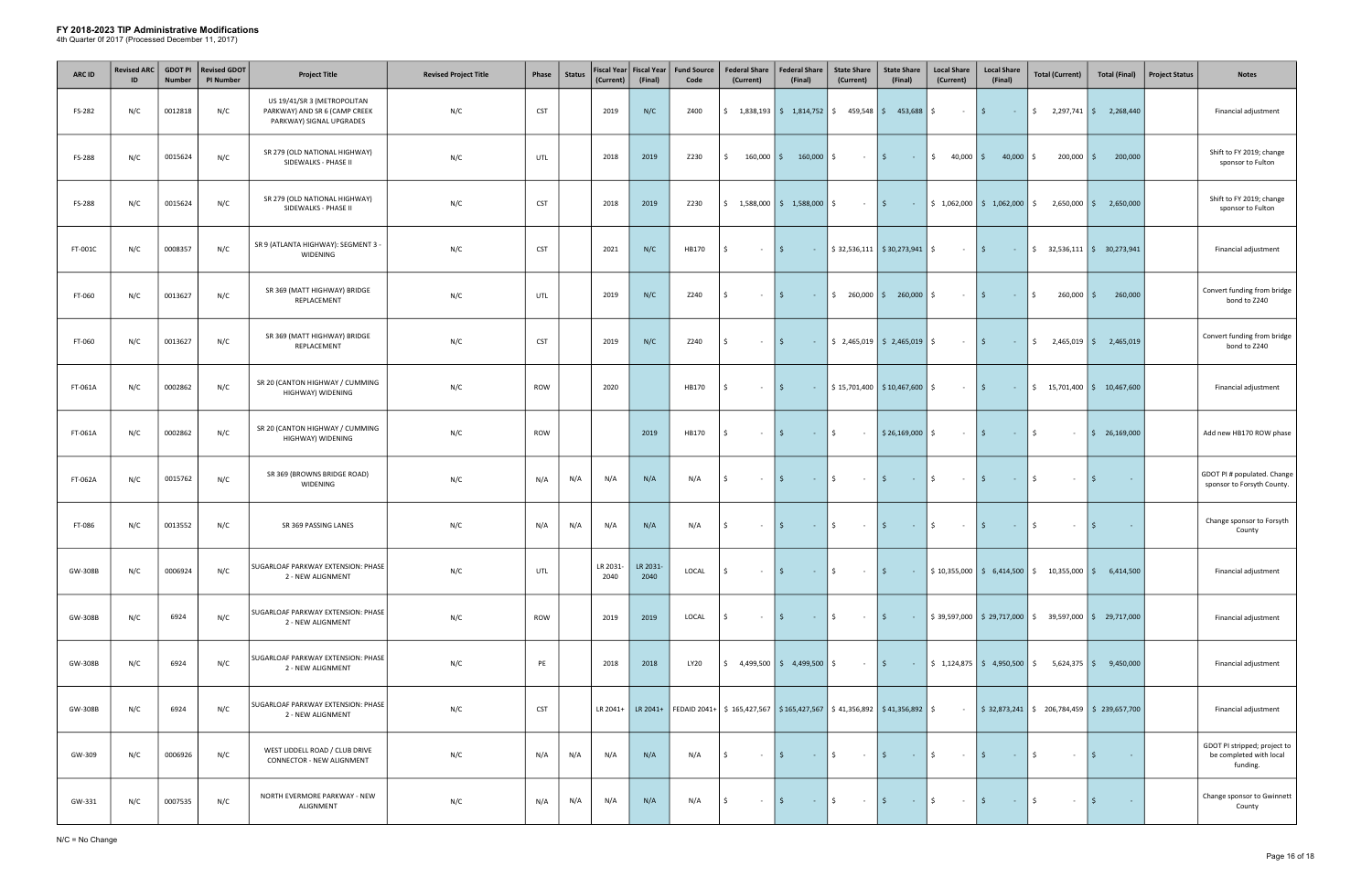| <b>ARC ID</b> | <b>Revised ARC</b><br>ID | <b>GDOT PI</b><br><b>Number</b> | <b>Revised GDOT</b><br><b>PI Number</b> | <b>Project Title</b>                                                                     | <b>Revised Project Title</b> | Phase      | <b>Status</b> | (Current)        | Fiscal Year Fiscal Year<br>(Final) | <b>Fund Source</b><br>Code | <b>Federal Share</b><br>(Current)                                                                                          | <b>Federal Share</b><br>(Final)                               | <b>State Share</b><br>(Current)                | <b>State Share</b><br>(Final)                                     | <b>Local Share</b><br>(Current) | <b>Local Share</b><br>(Final)                                          | <b>Total (Current)</b>                                                                            | <b>Total (Final)</b>                              | <b>Project Status</b><br><b>Notes</b>                               |
|---------------|--------------------------|---------------------------------|-----------------------------------------|------------------------------------------------------------------------------------------|------------------------------|------------|---------------|------------------|------------------------------------|----------------------------|----------------------------------------------------------------------------------------------------------------------------|---------------------------------------------------------------|------------------------------------------------|-------------------------------------------------------------------|---------------------------------|------------------------------------------------------------------------|---------------------------------------------------------------------------------------------------|---------------------------------------------------|---------------------------------------------------------------------|
| FS-282        | N/C                      | 0012818                         | N/C                                     | US 19/41/SR 3 (METROPOLITAN<br>PARKWAY) AND SR 6 (CAMP CREEK<br>PARKWAY) SIGNAL UPGRADES | N/C                          | <b>CST</b> |               | 2019             | N/C                                | Z400                       | \$                                                                                                                         | $1,838,193$ \$ $1,814,752$ \$ $459,548$ \$ $453,688$ \$       |                                                |                                                                   | $\sim 10^{-10}$                 | $\vert \mathfrak{s} \vert$<br>$\sim 100$ km s $^{-1}$                  |                                                                                                   | $\frac{1}{2}$ , 2,297,741 $\frac{1}{2}$ 2,268,440 | Financial adjustment                                                |
| FS-288        | N/C                      | 0015624                         | N/C                                     | SR 279 (OLD NATIONAL HIGHWAY)<br>SIDEWALKS - PHASE II                                    | N/C                          | UTL        |               | 2018             | 2019                               | Z230                       | $160,000$ $\frac{1}{5}$<br>Ŝ.                                                                                              | 160,000                                                       | $\ddot{\mathsf{S}}$<br>$\sim$ $-$              | I \$<br>$\sim 1000$ km s $^{-1}$                                  | $\frac{1}{2}$<br>40,000         | I \$<br>$40,000$ \$                                                    | $200,000$ \$                                                                                      | 200,000                                           | Shift to FY 2019; change<br>sponsor to Fulton                       |
| FS-288        | N/C                      | 0015624                         | N/C                                     | SR 279 (OLD NATIONAL HIGHWAY)<br>SIDEWALKS - PHASE II                                    | N/C                          | <b>CST</b> |               | 2018             | 2019                               | Z230                       |                                                                                                                            | $\frac{1}{2}$ 1,588,000   \$ 1,588,000   \$                   | $ \frac{1}{2}$                                 |                                                                   |                                 | $\frac{1}{2}$   \$ 1,062,000   \$ 1,062,000   \$                       |                                                                                                   | $2,650,000$ \$ 2,650,000                          | Shift to FY 2019; change<br>sponsor to Fulton                       |
| FT-001C       | N/C                      | 0008357                         | N/C                                     | SR 9 (ATLANTA HIGHWAY): SEGMENT 3 -<br>WIDENING                                          | N/C                          | <b>CST</b> |               | 2021             | N/C                                | HB170                      | Ŝ.<br>$\sim$                                                                                                               | \$<br>$\sim 10^{-1}$                                          |                                                | $$32,536,111$ $$30,273,941$ $$$                                   | $ \frac{1}{2}$                  | $\sim 100$                                                             |                                                                                                   | $\frac{1}{2}$ 32,536,111 $\frac{1}{2}$ 30,273,941 | Financial adjustment                                                |
| FT-060        | N/C                      | 0013627                         | N/C                                     | SR 369 (MATT HIGHWAY) BRIDGE<br>REPLACEMENT                                              | N/C                          | UTL        |               | 2019             | N/C                                | Z240                       | Ŝ.<br>$\sim$                                                                                                               | S.<br><b>Contract</b>                                         |                                                | $\frac{1}{2}$ 260,000 $\frac{1}{2}$ 260,000 $\frac{1}{2}$         | $\sim 10^{-10}$                 | l \$<br><b>Contract</b>                                                | \$<br>$260,000$ $\frac{2}{5}$                                                                     | 260,000                                           | Convert funding from bridge<br>bond to Z240                         |
| FT-060        | N/C                      | 0013627                         | N/C                                     | SR 369 (MATT HIGHWAY) BRIDGE<br>REPLACEMENT                                              | N/C                          | <b>CST</b> |               | 2019             | N/C                                | Z240                       | Ŝ.<br>$\sim$                                                                                                               | S.<br>$\sim 10$                                               |                                                | $\frac{1}{2}$ , 2,465,019 $\frac{1}{2}$ , 2,465,019 $\frac{1}{2}$ | $\sim 10^{-11}$                 | I\$.<br>$\sim 10^{-1}$                                                 | \$                                                                                                | $2,465,019$ \$ 2,465,019                          | Convert funding from bridge<br>bond to Z240                         |
| FT-061A       | N/C                      | 0002862                         | N/C                                     | SR 20 (CANTON HIGHWAY / CUMMING<br>HIGHWAY) WIDENING                                     | N/C                          | <b>ROW</b> |               | 2020             |                                    | HB170                      | Ŝ.<br>$\sim$ $-$                                                                                                           | $\mathsf{S}$<br><b>Contract</b>                               |                                                | $$15,701,400$ $$10,467,600$ $$$                                   | $\sim$                          | l \$<br>$\alpha$ , $\alpha$ , $\alpha$                                 |                                                                                                   | $\frac{1}{2}$ 15,701,400 $\frac{1}{2}$ 10,467,600 | Financial adjustment                                                |
| FT-061A       | N/C                      | 0002862                         | N/C                                     | SR 20 (CANTON HIGHWAY / CUMMING<br>HIGHWAY) WIDENING                                     | N/C                          | ROW        |               |                  | 2019                               | HB170                      | Ŝ.<br>$\sim$ $-$                                                                                                           | $ \sqrt{5}$<br>$\mathsf{S}$                                   | $\sim 100$                                     | $\frac{1}{2}$ \$26,169,000 \$                                     | $\sim 10^{-1}$                  | $\vert$ \$<br>$\sim 1000$ km s $^{-1}$                                 | \$<br>$\sim$                                                                                      | $\frac{1}{2}$ 26,169,000                          | Add new HB170 ROW phase                                             |
| FT-062A       | N/C                      | 0015762                         | N/C                                     | SR 369 (BROWNS BRIDGE ROAD)<br>WIDENING                                                  | N/C                          | N/A        | N/A           | N/A              | N/A                                | N/A                        | l\$<br>$\sim$ $-$                                                                                                          | - \$<br><b>Contractor</b>                                     | $\ddot{\mathsf{S}}$<br>$\sim 100$              | l \$<br>$\alpha$ , $\alpha$ , $\alpha$ , $\alpha$                 | $\frac{1}{2}$<br>$\sim 100$     | \$<br>$\sim 100$                                                       | Ŝ.<br>$\sim$ $-$                                                                                  | l \$<br>$\sim$ $-$                                | GDOT PI # populated. Change<br>sponsor to Forsyth County.           |
| FT-086        | N/C                      | 0013552                         | N/C                                     | SR 369 PASSING LANES                                                                     | N/C                          | N/A        | N/A           | N/A              | N/A                                | N/A                        | \$<br>$\sim$                                                                                                               | $\mathsf{S}$<br><b>Contact Contact</b>                        | \$<br>$\sim 100$ km s $^{-1}$                  | $\vert$ \$<br><b>Contractor</b>                                   | \$<br>$\sim 100$                | $\vert \mathsf{S} \vert$<br>$\sim 100$                                 | Ŝ.<br>$\sim$                                                                                      | l \$<br>$\sim$                                    | Change sponsor to Forsyth<br>County                                 |
| GW-308B       | N/C                      | 0006924                         | N/C                                     | SUGARLOAF PARKWAY EXTENSION: PHASE<br>2 - NEW ALIGNMENT                                  | N/C                          | UTL        |               | LR 2031-<br>2040 | LR 2031-<br>2040                   | LOCAL                      | l\$<br>$\sim$                                                                                                              | S.<br>$\sim$                                                  | \$<br>$\sim 100$                               | $\vert$ \$<br>$\sim 100$                                          |                                 |                                                                        | $\frac{1}{2}$ 10,355,000 $\frac{1}{2}$ 6,414,500 $\frac{1}{2}$ 10,355,000 $\frac{1}{2}$ 6,414,500 |                                                   | Financial adjustment                                                |
| GW-308B       | N/C                      | 6924                            | N/C                                     | SUGARLOAF PARKWAY EXTENSION: PHASE<br>2 - NEW ALIGNMENT                                  | N/C                          | <b>ROW</b> |               | 2019             | 2019                               | LOCAL                      | S.<br>$\sim$ $-$                                                                                                           | \$<br>$\sim 10^{-10}$                                         | $\ddot{\mathsf{S}}$<br>$\sim 10^{11}$          | l \$                                                              |                                 |                                                                        | $\frac{1}{2}$ \$39,597,000 \$29,717,000 \$39,597,000 \$29,717,000                                 |                                                   | Financial adjustment                                                |
| GW-308B       | N/C                      | 6924                            | N/C                                     | SUGARLOAF PARKWAY EXTENSION: PHASE<br>2 - NEW ALIGNMENT                                  | N/C                          | PE         |               | 2018             | 2018                               | LY20                       |                                                                                                                            | $\frac{1}{2}$ 4,499,500 $\frac{1}{2}$ 4,499,500 $\frac{1}{2}$ | $\sim 10^{-11}$                                | l \$                                                              |                                 | $\frac{1}{5}$ $\frac{1}{24,875}$ $\frac{1}{5}$ 4,950,500 $\frac{1}{5}$ |                                                                                                   | $5,624,375$ \$ 9,450,000                          | Financial adjustment                                                |
| GW-308B       | N/C                      | 6924                            | N/C                                     | SUGARLOAF PARKWAY EXTENSION: PHASE<br>2 - NEW ALIGNMENT                                  | N/C                          | <b>CST</b> |               | LR 2041+         |                                    |                            | LR 2041+ FEDAID 2041+ $\vert$ \$ 165,427,567 $\vert$ \$ 165,427,567 $\vert$ \$ 41,356,892 $\vert$ \$ 41,356,892 $\vert$ \$ |                                                               |                                                |                                                                   | $\sim 10^{-10}$                 |                                                                        | $\frac{1}{2}$ \$ 32,873,241 \$ 206,784,459 \$ 239,657,700                                         |                                                   | Financial adjustment                                                |
| GW-309        | N/C                      | 0006926                         | N/C                                     | WEST LIDDELL ROAD / CLUB DRIVE<br>CONNECTOR - NEW ALIGNMENT                              | N/C                          | N/A        | N/A           | N/A              | N/A                                | N/A                        | l \$<br>$\sim$ $-$                                                                                                         | l \$<br>$\sim 1000$ km s $^{-1}$                              | $\ddot{\mathsf{S}}$<br>$\sim 100$ km s $^{-1}$ | $\vert$ \$<br>$ \sqrt{5}$                                         | $\sim 100$                      | $\vert$ \$<br><b>Contract</b>                                          | \$<br>$\sim$                                                                                      | l \$<br>$\sim 100$                                | GDOT PI stripped; project to<br>be completed with local<br>funding. |
| GW-331        | N/C                      | 0007535                         | N/C                                     | NORTH EVERMORE PARKWAY - NEW<br>ALIGNMENT                                                | N/C                          | N/A        | N/A           | N/A              | N/A                                | N/A                        | l \$<br>$\sim$                                                                                                             | - \$<br><b>Contractor</b>                                     | \$<br>$\sim 100$                               | $\vert$ \$<br>$ \frac{15}{2}$                                     | $\sim 100$                      | \$<br>$\sim 10^{-1}$                                                   | Ŝ.<br>$\sim$                                                                                      | l \$<br>$\sim 100$ km $^{-1}$                     | Change sponsor to Gwinnett<br>County                                |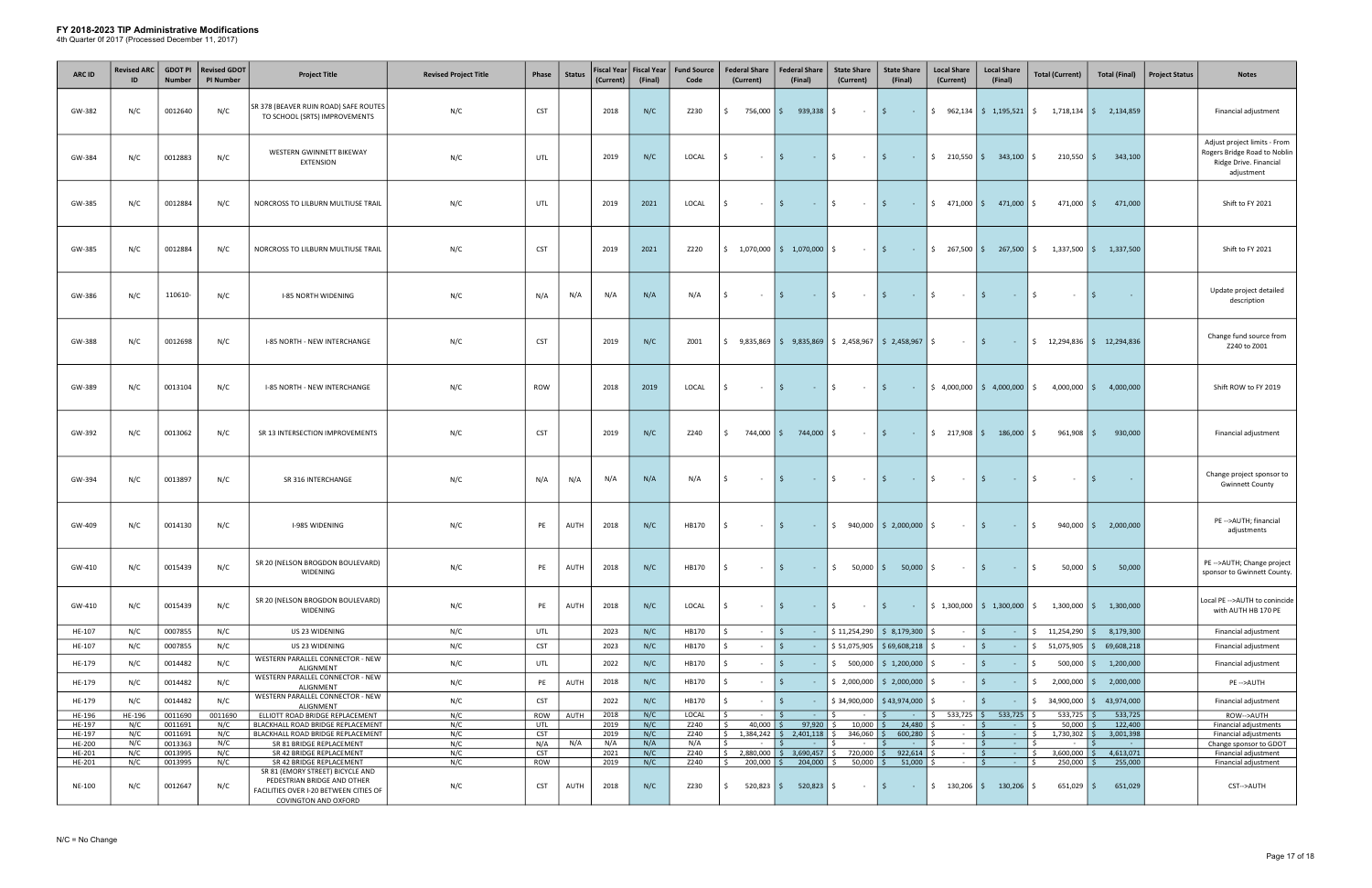| <b>ARC ID</b>    | <b>Revised ARC</b> | <b>GDOT PI</b><br><b>Number</b> | <b>Revised GDOT</b><br><b>PI Number</b> | <b>Project Title</b>                                                                                                                     | <b>Revised Project Title</b> | Phase             | <b>Status</b> | <b>Fiscal Year</b><br>(Current) | <b>Fiscal Year</b><br>(Final) | <b>Fund Source</b><br>Code | <b>Federal Share</b><br>(Current) |                               | <b>Federal Share</b><br>(Final)                      | <b>State Share</b><br>(Current)                                      | <b>State Share</b><br>(Final)                 | <b>Local Share</b><br>(Current)  | <b>Local Share</b><br>(Final)                                 | <b>Total (Current)</b>                                                                          | <b>Total (Final)</b>                              | <b>Project Status</b><br><b>Notes</b>                                                                |
|------------------|--------------------|---------------------------------|-----------------------------------------|------------------------------------------------------------------------------------------------------------------------------------------|------------------------------|-------------------|---------------|---------------------------------|-------------------------------|----------------------------|-----------------------------------|-------------------------------|------------------------------------------------------|----------------------------------------------------------------------|-----------------------------------------------|----------------------------------|---------------------------------------------------------------|-------------------------------------------------------------------------------------------------|---------------------------------------------------|------------------------------------------------------------------------------------------------------|
| GW-382           | N/C                | 0012640                         | N/C                                     | SR 378 (BEAVER RUIN ROAD) SAFE ROUTES<br>TO SCHOOL (SRTS) IMPROVEMENTS                                                                   | N/C                          | <b>CST</b>        |               | 2018                            | N/C                           | Z230                       | Ŝ.                                | 756,000 \$                    | $939,338$ $\frac{1}{5}$                              | $\sim$ $-$                                                           | l \$<br>$\sim 100$ km s $^{-1}$               |                                  | $\frac{1}{2}$ 962,134 $\frac{1}{2}$ 1,195,521 $\frac{1}{2}$   |                                                                                                 | $1,718,134$ \$ 2,134,859                          | Financial adjustment                                                                                 |
| GW-384           | N/C                | 0012883                         | N/C                                     | WESTERN GWINNETT BIKEWAY<br><b>EXTENSION</b>                                                                                             | N/C                          | UTL               |               | 2019                            | N/C                           | LOCAL                      | Ŝ.                                | $\sim$                        | I\$.<br>$\sim 100$                                   | $\frac{1}{2}$<br>$\sim$ $-$                                          | I \$<br>$\sim 1000$ km s $^{-1}$              | $\frac{1}{2}$ 210,550 \$         | 343,100 \$                                                    | $210,550$   \$                                                                                  | 343,100                                           | Adjust project limits - From<br>Rogers Bridge Road to Noblin<br>Ridge Drive. Financial<br>adjustment |
| GW-385           | N/C                | 0012884                         | N/C                                     | NORCROSS TO LILBURN MULTIUSE TRAIL                                                                                                       | N/C                          | UTL               |               | 2019                            | 2021                          | LOCAL                      | Ŝ.                                | $\sim$ $-$                    | IS.<br>$\sim 10^{-11}$                               | \$<br>$\sim 100$                                                     | I \$<br>$\sim 100$ km s $^{-1}$               |                                  | $\frac{1}{2}$ 471,000 $\frac{1}{2}$ 471,000 $\frac{1}{2}$     | 471,000 \$                                                                                      | 471,000                                           | Shift to FY 2021                                                                                     |
| GW-385           | N/C                | 0012884                         | N/C                                     | NORCROSS TO LILBURN MULTIUSE TRAIL                                                                                                       | N/C                          | <b>CST</b>        |               | 2019                            | 2021                          | Z220                       | \$                                |                               | $1,070,000$ $\binom{5}{7}$ $1,070,000$               | Ŝ.<br>$\sim$ $-$                                                     | l \$<br>$\sim 100$                            | $$267,500$ \$                    | 267,500                                                       | S.                                                                                              | $1,337,500$   \$ 1,337,500                        | Shift to FY 2021                                                                                     |
| GW-386           | N/C                | 110610-                         | N/C                                     | <b>I-85 NORTH WIDENING</b>                                                                                                               | N/C                          | N/A               | N/A           | N/A                             | N/A                           | N/A                        | Ŝ.                                | $\sim$ $-$                    | $\sim 100$                                           | Ŝ.<br>$\sim$ 100 $\pm$                                               | I\$.<br>$\sim 100$                            | Ŝ.<br>$\sim 100$                 | l \$<br>$\sim 100$                                            | Ŝ.<br>$\sim$ $-$                                                                                | - Ś<br>$\sim 10^{-1}$                             | Update project detailed<br>description                                                               |
| GW-388           | N/C                | 0012698                         | N/C                                     | I-85 NORTH - NEW INTERCHANGE                                                                                                             | N/C                          | <b>CST</b>        |               | 2019                            | N/C                           | Z001                       | \$                                |                               | $9,835,869$ \$ $9,835,869$ \$ 2,458,967 \$ 2,458,967 |                                                                      |                                               | \$<br>$\sim$                     | l \$<br>$\sim 10^{-1}$                                        |                                                                                                 | $\frac{1}{2}$ 12,294,836 $\frac{1}{2}$ 12,294,836 | Change fund source from<br>Z240 to Z001                                                              |
| GW-389           | N/C                | 0013104                         | N/C                                     | I-85 NORTH - NEW INTERCHANGE                                                                                                             | N/C                          | <b>ROW</b>        |               | 2018                            | 2019                          | LOCAL                      | Ŝ.                                | $\sim$ $-$                    | <b>Contract</b>                                      | \$<br>$\sim$ 100 $\pm$                                               | IS.<br><b>Contract</b>                        |                                  | $\frac{1}{2}$ 4,000,000 $\frac{1}{2}$ 4,000,000 $\frac{1}{2}$ |                                                                                                 | $4,000,000$ \$ $4,000,000$                        | Shift ROW to FY 2019                                                                                 |
| GW-392           | N/C                | 0013062                         | N/C                                     | SR 13 INTERSECTION IMPROVEMENTS                                                                                                          | N/C                          | <b>CST</b>        |               | 2019                            | N/C                           | Z240                       | \$                                | 744,000 S                     | 744,000 \$                                           | $\sim$ 100 $\pm$                                                     | \$<br>$\sim 1000$                             | $\frac{217,908}{5}$              | $186,000$ \$                                                  | 961,908 \$                                                                                      | 930,000                                           | Financial adjustment                                                                                 |
| GW-394           | N/C                | 0013897                         | N/C                                     | SR 316 INTERCHANGE                                                                                                                       | N/C                          | N/A               | N/A           | N/A                             | N/A                           | N/A                        | -S                                | $\sim$ $-$                    | I\$.<br><b>State State</b>                           | \$<br>$\sim 100$                                                     | l \$<br><b>Contract</b>                       | \$<br>$\sim 100$                 | I\$.<br>$\sim 10^{-1}$                                        | S.<br>$\sim$ $-$                                                                                | l \$<br>$\sim$                                    | Change project sponsor to<br><b>Gwinnett County</b>                                                  |
| GW-409           | N/C                | 0014130                         | N/C                                     | <b>I-985 WIDENING</b>                                                                                                                    | N/C                          | PE                | AUTH          | 2018                            | N/C                           | HB170                      |                                   | $\sim 10^{-1}$                | I \$<br>$\alpha$ , $\alpha$ , $\alpha$ , $\alpha$    |                                                                      | $\frac{1}{2}$ 940,000 $\frac{1}{2}$ 2,000,000 | \$<br>$\sim 100$                 | I \$<br>$\sim 1000$ km s $^{-1}$                              | \$                                                                                              | $940,000$ $\binom{6}{5}$ 2,000,000                | PE -- > AUTH; financial<br>adjustments                                                               |
| GW-410           | N/C                | 0015439                         | N/C                                     | SR 20 (NELSON BROGDON BOULEVARD)<br><b>WIDENING</b>                                                                                      | N/C                          | PE                | AUTH          | 2018                            | N/C                           | HB170                      | l\$                               | $\sim$ $-$                    | $\vert$ \$                                           | $ \vert \xi \vert$ 50,000 $\vert \xi \vert$ 50,000 $\vert \xi \vert$ |                                               | $\sim 100$                       | $\vert$ \$<br><b>Contractor</b>                               | $\ddot{s}$<br>$50,000$ \$                                                                       | 50,000                                            | PE -- > AUTH; Change project<br>sponsor to Gwinnett County.                                          |
| GW-410           | N/C                | 0015439                         | N/C                                     | SR 20 (NELSON BROGDON BOULEVARD)<br><b>WIDENING</b>                                                                                      | N/C                          | PE                | AUTH          | 2018                            | N/C                           | LOCAL                      | Ŝ.                                |                               | $\sim 10^{-10}$                                      | \$<br>$\sim 100$ km s $^{-1}$                                        | l \$<br><b>Contract</b>                       |                                  |                                                               | $\frac{1}{2}$ 1,300,000 $\frac{1}{2}$ 1,300,000 $\frac{1}{2}$ 1,300,000 $\frac{1}{2}$ 1,300,000 |                                                   | Local PE -- > AUTH to conincide<br>with AUTH HB 170 PE                                               |
| HE-107           | N/C                | 0007855                         | N/C                                     | US 23 WIDENING                                                                                                                           | N/C                          | UTL               |               | 2023                            | N/C                           | HB170                      |                                   | $\sim$                        |                                                      |                                                                      | $$11,254,290$ $$8,179,300$                    | $\sim$ $-$                       | I\$<br>$\sim$ $-$                                             |                                                                                                 | $\frac{1}{2}$ 11,254,290 $\frac{1}{2}$ 8,179,300  | Financial adjustment                                                                                 |
| HE-107           | N/C                | 0007855                         | N/C                                     | US 23 WIDENING<br>WESTERN PARALLEL CONNECTOR - NEW                                                                                       | N/C                          | <b>CST</b>        |               | 2023                            | N/C                           | HB170                      |                                   | $\sim$                        | IS.                                                  |                                                                      | $$ 51,075,905$ $$ 69,608,218$                 | Ś.<br>$\sim$ 10 $\,$             | l \$<br>$\sim$                                                | $\frac{1}{2}$ 51,075,905 $\frac{1}{2}$ 69,608,218                                               |                                                   | Financial adjustment                                                                                 |
| HE-179           | N/C                | 0014482                         | N/C                                     | ALIGNMENT<br>WESTERN PARALLEL CONNECTOR - NEW                                                                                            | N/C                          | UTL               |               | 2022                            | N/C                           | HB170                      |                                   |                               | S.                                                   |                                                                      | $$500,000$ $$1,200,000$                       | Ś.                               | \$                                                            | Ŝ.                                                                                              | $500,000$ $\binom{6}{5}$ 1,200,000                | Financial adjustment                                                                                 |
| HE-179           | N/C                | 0014482                         | N/C                                     | ALIGNMENT<br>WESTERN PARALLEL CONNECTOR - NEW                                                                                            | N/C                          | PE                | AUTH          | 2018                            | N/C                           | HB170                      |                                   | $\sim$                        | 5                                                    |                                                                      | $\frac{1}{2}$ ,000,000 $\frac{1}{2}$ ,000,000 | Ś.<br>$\sim$ $-$                 | l \$<br>$\sim$                                                |                                                                                                 | $\frac{1}{2}$ ,000,000 $\frac{1}{2}$ 2,000,000    | PE-->AUTH                                                                                            |
| HE-179           | N/C                | 0014482                         | N/C                                     | ALIGNMENT                                                                                                                                | N/C                          | <b>CST</b>        |               | 2022                            | N/C                           | HB170                      |                                   |                               | S.                                                   |                                                                      | $$34,900,000$ $$43,974,000$                   | Ŝ.                               | \$<br>$\sim$ $-$                                              | $$34,900,000$ $$$                                                                               | 43,974,000                                        | Financial adjustment                                                                                 |
| HE-196<br>HE-197 | HE-196<br>N/C      | 0011690<br>0011691              | 0011690<br>N/C                          | ELLIOTT ROAD BRIDGE REPLACEMENT<br>BLACKHALL ROAD BRIDGE REPLACEMENT                                                                     | N/C<br>N/C                   | <b>ROW</b><br>UTL | AUTH          | 2018<br>2019                    | N/C<br>N/C                    | LOCAL<br>Z240              | I\$<br>l \$                       | $\sim 10^{-1}$<br>$40,000$ \$ | 97,920                                               | Ŝ.<br>$10,000$ \$<br>\$                                              | I\$.<br>$\sim 100$<br>24,480                  | $533,725$ \$<br>\$<br>$\sim 100$ | $533,725$ \$<br><b>Contract</b>                               | $533,725$ \$<br>$50,000$ \$                                                                     | 533,725<br>122,400                                | ROW-->AUTH<br>Financial adjustments                                                                  |
| HE-197           | N/C                | 0011691                         | N/C                                     | BLACKHALL ROAD BRIDGE REPLACEMENT                                                                                                        | N/C                          | <b>CST</b>        |               | 2019                            | N/C                           | Z240                       |                                   |                               |                                                      | 346,060 \$                                                           | 600,280                                       | $\sim 10^{-11}$                  | l \$<br><b>Contractor</b>                                     | $1,730,302$ \$<br>$\mathsf{S}$                                                                  | 3,001,398                                         | Financial adjustments                                                                                |
| HE-200<br>HE-201 | N/C<br>N/C         | 0013363<br>0013995              | N/C<br>N/C                              | SR 81 BRIDGE REPLACEMENT<br>SR 42 BRIDGE REPLACEMENT                                                                                     | N/C<br>N/C                   | N/A<br><b>CST</b> | N/A           | N/A<br>2021                     | N/A<br>N/C                    | N/A<br>Z240                | ls.                               | $\sim$ $-$                    | I\$.<br><b>Contractor</b>                            | $ \vert$ \$<br>\$                                                    | <b>Contact Contact</b>                        | Ŝ.<br>$\sim 100$<br>$\sim$ $-$   | 5<br>$\sim 100$<br>l \$<br>$\sim 100$                         | Ŝ.<br>$\sim$ $-$<br>$\mathsf{S}$<br>$3,600,000$ \$                                              | l \$<br><b>Contract</b><br>4,613,071              | Change sponsor to GDOT<br>Financial adjustment                                                       |
| HE-201           | N/C                | 0013995                         | N/C                                     | SR 42 BRIDGE REPLACEMENT                                                                                                                 | N/C                          | <b>ROW</b>        |               | 2019                            | N/C                           | Z240                       | $\sqrt{5}$                        | 200,000 \$                    | $204,000$ \$                                         | $50,000$ \$                                                          | 51,000                                        | Ŝ.<br>$\sim 10^{-11}$            | ls.<br>$\sim 100$                                             | $250,000$ \$<br>$\zeta$                                                                         | 255,000                                           | Financial adjustment                                                                                 |
| NE-100           | N/C                | 0012647                         | N/C                                     | SR 81 (EMORY STREET) BICYCLE AND<br>PEDESTRIAN BRIDGE AND OTHER<br>FACILITIES OVER I-20 BETWEEN CITIES OF<br><b>COVINGTON AND OXFORD</b> | N/C                          | <b>CST</b>        | AUTH          | 2018                            | N/C                           | Z230                       | \$                                |                               | 520,823   \$ 520,823   \$                            | $\sim$                                                               | I\$.                                          |                                  |                                                               | $651,029$ \$                                                                                    | 651,029                                           | CST-->AUTH                                                                                           |